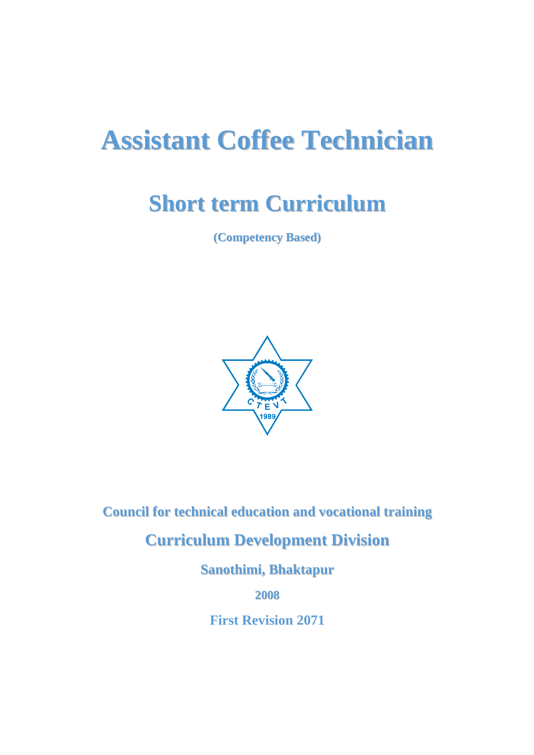# **Assistant Coffee Technician**

# **Short term Curriculum**

**(Competency Based)**



**Council for technical education and vocational training**

## **Curriculum Development Division**

**Sanothimi, Bhaktapur**

**2008**

**First Revision 2071**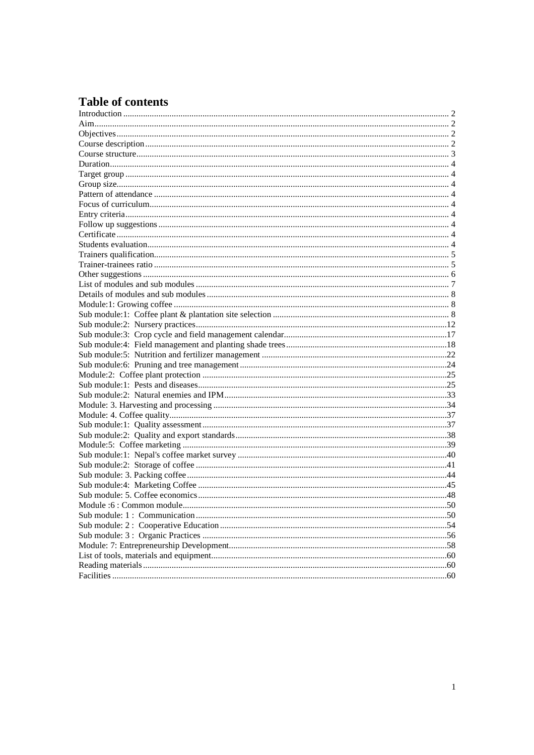### **Table of contents**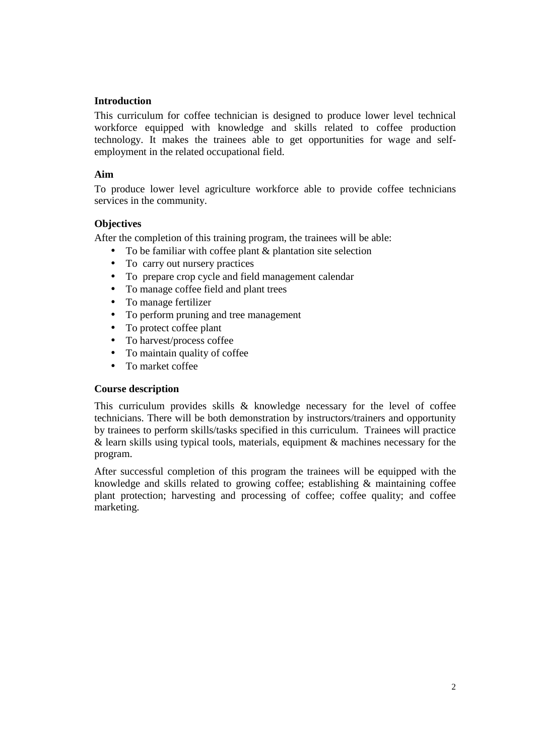#### **Introduction**

This curriculum for coffee technician is designed to produce lower level technical workforce equipped with knowledge and skills related to coffee production technology. It makes the trainees able to get opportunities for wage and selfemployment in the related occupational field.

#### **Aim**

To produce lower level agriculture workforce able to provide coffee technicians services in the community.

#### **Objectives**

After the completion of this training program, the trainees will be able:

- To be familiar with coffee plant & plantation site selection
- To carry out nursery practices
- To prepare crop cycle and field management calendar
- To manage coffee field and plant trees
- To manage fertilizer
- To perform pruning and tree management
- To protect coffee plant
- To harvest/process coffee
- To maintain quality of coffee
- To market coffee

#### **Course description**

This curriculum provides skills & knowledge necessary for the level of coffee technicians. There will be both demonstration by instructors/trainers and opportunity by trainees to perform skills/tasks specified in this curriculum. Trainees will practice & learn skills using typical tools, materials, equipment & machines necessary for the program.

After successful completion of this program the trainees will be equipped with the knowledge and skills related to growing coffee; establishing & maintaining coffee plant protection; harvesting and processing of coffee; coffee quality; and coffee marketing.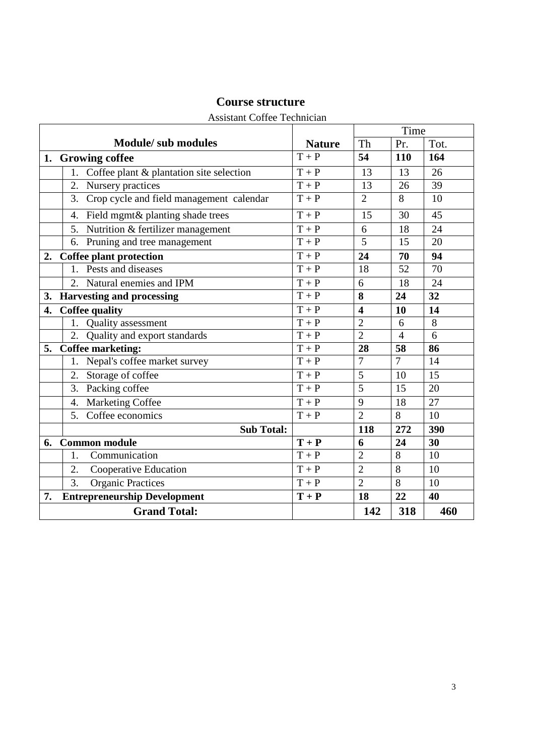|                                        | Assistant Correct Technician                   |               |                         | Time            |                 |
|----------------------------------------|------------------------------------------------|---------------|-------------------------|-----------------|-----------------|
|                                        | <b>Module/</b> sub modules                     | <b>Nature</b> | Th                      | Pr.             | Tot.            |
|                                        | 1. Growing coffee                              | $T+P$         | 54                      | 110             | 164             |
|                                        | Coffee plant & plantation site selection<br>1. | $T+P$         | 13                      | 13              | 26              |
|                                        | 2. Nursery practices                           | $T + P$       | 13                      | 26              | 39              |
|                                        | 3.<br>Crop cycle and field management calendar | $T + P$       | $\overline{2}$          | 8               | 10              |
|                                        | Field mgmt& planting shade trees<br>4.         | $T+P$         | 15                      | 30              | 45              |
|                                        | Nutrition & fertilizer management<br>5.        | $T+P$         | 6                       | 18              | 24              |
|                                        | Pruning and tree management<br>6.              | $T + P$       | 5                       | 15              | 20              |
| 2.                                     | Coffee plant protection                        | $T + P$       | 24                      | 70              | 94              |
|                                        | 1. Pests and diseases                          | $T + P$       | 18                      | 52              | 70              |
|                                        | 2. Natural enemies and IPM                     | $T+P$         | 6                       | $\overline{18}$ | $\overline{24}$ |
| <b>Harvesting and processing</b><br>3. |                                                | $T + P$       | 8                       | 24              | 32              |
| 4.                                     | <b>Coffee quality</b>                          | $T+P$         | $\overline{\mathbf{4}}$ | 10              | 14              |
|                                        | Quality assessment<br>1.                       | $T + P$       | $\overline{2}$          | 6               | $8\,$           |
|                                        | 2.<br>Quality and export standards             | $T+P$         | $\overline{2}$          | $\overline{4}$  | 6               |
| 5.                                     | <b>Coffee marketing:</b>                       | $T + P$       | 28                      | 58              | 86              |
|                                        | 1. Nepal's coffee market survey                | $T + P$       | $\overline{7}$          | $\overline{7}$  | 14              |
|                                        | Storage of coffee<br>2.                        | $T + P$       | 5                       | 10              | 15              |
|                                        | Packing coffee<br>3.                           | $T + P$       | 5                       | 15              | 20              |
|                                        | Marketing Coffee<br>4.                         | $T + P$       | 9                       | 18              | 27              |
|                                        | 5. Coffee economics                            | $T+P$         | $\overline{2}$          | 8               | 10              |
|                                        | <b>Sub Total:</b>                              |               | 118                     | 272             | 390             |
| 6.                                     | <b>Common module</b>                           | $T + P$       | 6                       | 24              | 30              |
|                                        | Communication<br>1.                            | $T + P$       | $\overline{2}$          | 8               | 10              |
|                                        | 2.<br>Cooperative Education                    | $T + P$       | $\overline{2}$          | 8               | 10              |
|                                        | 3.<br><b>Organic Practices</b>                 | $T + P$       | $\overline{2}$          | 8               | 10              |
| 7.                                     | <b>Entrepreneurship Development</b>            | $T + P$       | 18                      | 22              | 40              |
|                                        | <b>Grand Total:</b>                            |               | 142                     | 318             | 460             |

#### **Course structure**

#### Assistant Coffee Technician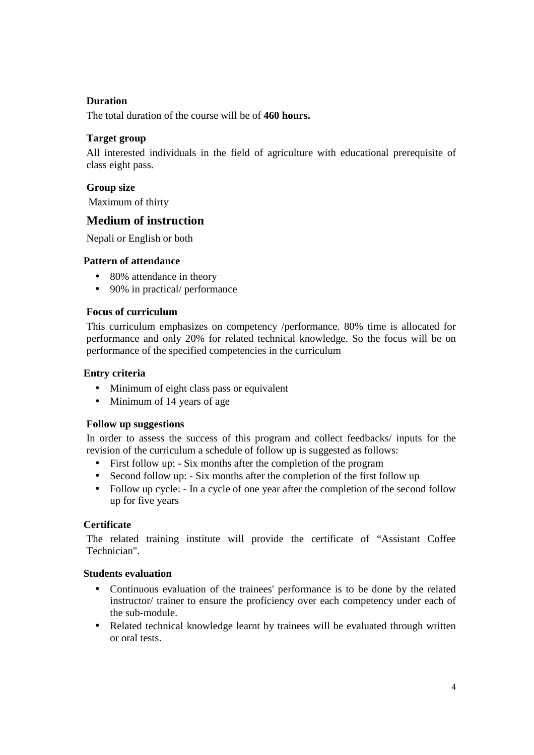#### **Duration**

The total duration of the course will be of **460 hours.**

#### **Target group**

All interested individuals in the field of agriculture with educational prerequisite of class eight pass.

#### **Group size**

Maximum of thirty

#### **Medium of instruction**

Nepali or English or both

#### **Pattern of attendance**

- 80% attendance in theory
- 90% in practical/ performance

#### **Focus of curriculum**

This curriculum emphasizes on competency /performance. 80% time is allocated for performance and only 20% for related technical knowledge. So the focus will be on performance of the specified competencies in the curriculum

#### **Entry criteria**

- Minimum of eight class pass or equivalent
- Minimum of 14 years of age

#### **Follow up suggestions**

In order to assess the success of this program and collect feedbacks/ inputs for the revision of the curriculum a schedule of follow up is suggested as follows:

- First follow up: Six months after the completion of the program
- Second follow up: Six months after the completion of the first follow up
- Follow up cycle: In a cycle of one year after the completion of the second follow up for five years

#### **Certificate**

The related training institute will provide the certificate of "Assistant Coffee Technician".

#### **Students evaluation**

- Continuous evaluation of the trainees' performance is to be done by the related instructor/ trainer to ensure the proficiency over each competency under each of the sub-module.
- Related technical knowledge learnt by trainees will be evaluated through written or oral tests.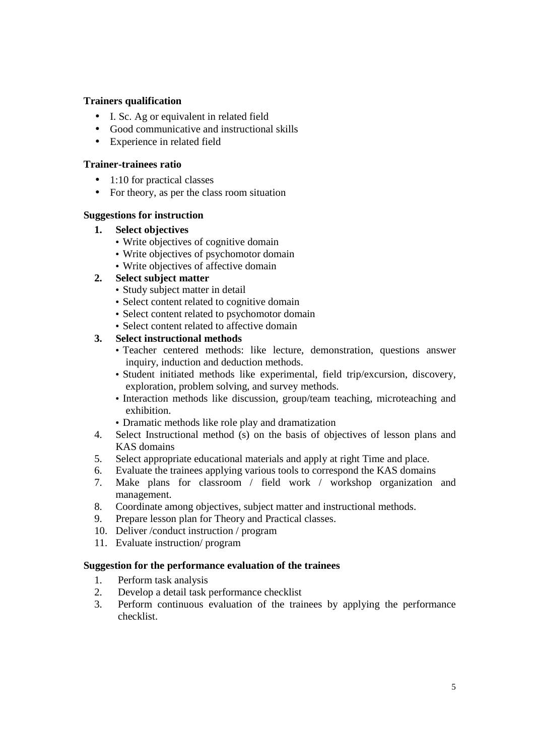#### **Trainers qualification**

- I. Sc. Ag or equivalent in related field
- Good communicative and instructional skills
- Experience in related field

#### **Trainer-trainees ratio**

- 1:10 for practical classes
- For theory, as per the class room situation

#### **Suggestions for instruction**

- **1. Select objectives** 
	- Write objectives of cognitive domain
	- Write objectives of psychomotor domain
	- Write objectives of affective domain

#### **2. Select subject matter**

- Study subject matter in detail
- Select content related to cognitive domain
- Select content related to psychomotor domain
- Select content related to affective domain

#### **3. Select instructional methods**

- Teacher centered methods: like lecture, demonstration, questions answer inquiry, induction and deduction methods.
- Student initiated methods like experimental, field trip/excursion, discovery, exploration, problem solving, and survey methods.
- Interaction methods like discussion, group/team teaching, microteaching and exhibition.
- Dramatic methods like role play and dramatization
- 4. Select Instructional method (s) on the basis of objectives of lesson plans and KAS domains
- 5. Select appropriate educational materials and apply at right Time and place.
- 6. Evaluate the trainees applying various tools to correspond the KAS domains
- 7. Make plans for classroom / field work / workshop organization and management.
- 8. Coordinate among objectives, subject matter and instructional methods.
- 9. Prepare lesson plan for Theory and Practical classes.
- 10. Deliver /conduct instruction / program
- 11. Evaluate instruction/ program

#### **Suggestion for the performance evaluation of the trainees**

- 1. Perform task analysis
- 2. Develop a detail task performance checklist
- 3. Perform continuous evaluation of the trainees by applying the performance checklist.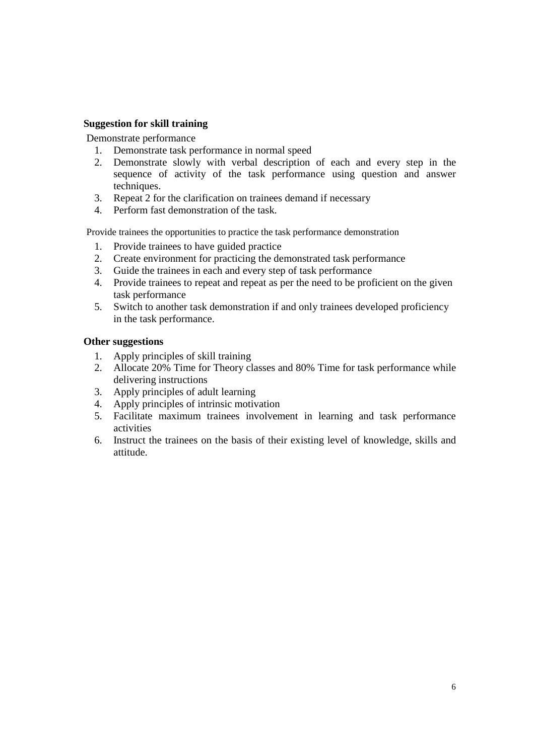#### **Suggestion for skill training**

Demonstrate performance

- 1. Demonstrate task performance in normal speed
- 2. Demonstrate slowly with verbal description of each and every step in the sequence of activity of the task performance using question and answer techniques.
- 3. Repeat 2 for the clarification on trainees demand if necessary
- 4. Perform fast demonstration of the task.

Provide trainees the opportunities to practice the task performance demonstration

- 1. Provide trainees to have guided practice
- 2. Create environment for practicing the demonstrated task performance
- 3. Guide the trainees in each and every step of task performance
- 4. Provide trainees to repeat and repeat as per the need to be proficient on the given task performance
- 5. Switch to another task demonstration if and only trainees developed proficiency in the task performance.

#### **Other suggestions**

- 1. Apply principles of skill training
- 2. Allocate 20% Time for Theory classes and 80% Time for task performance while delivering instructions
- 3. Apply principles of adult learning
- 4. Apply principles of intrinsic motivation
- 5. Facilitate maximum trainees involvement in learning and task performance activities
- 6. Instruct the trainees on the basis of their existing level of knowledge, skills and attitude.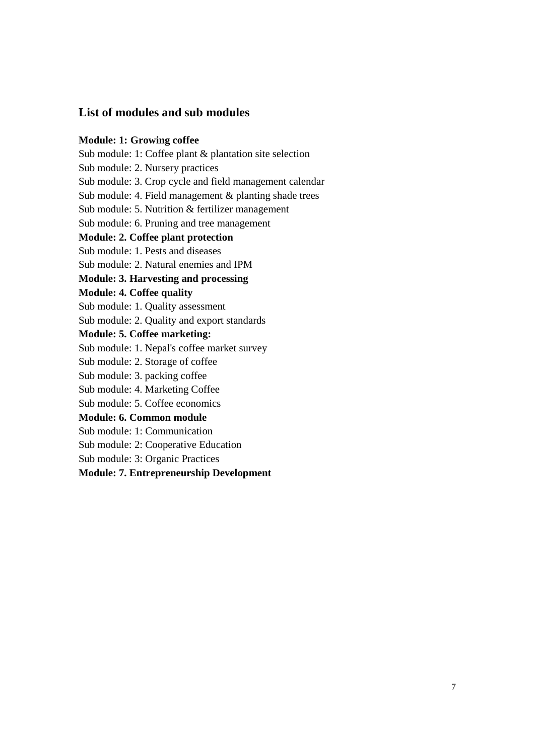#### **List of modules and sub modules**

#### **Module: 1: Growing coffee**

Sub module: 1: Coffee plant & plantation site selection

Sub module: 2. Nursery practices

Sub module: 3. Crop cycle and field management calendar

Sub module: 4. Field management & planting shade trees

Sub module: 5. Nutrition & fertilizer management

Sub module: 6. Pruning and tree management

#### **Module: 2. Coffee plant protection**

Sub module: 1. Pests and diseases

Sub module: 2. Natural enemies and IPM

#### **Module: 3. Harvesting and processing**

#### **Module: 4. Coffee quality**

Sub module: 1. Quality assessment

Sub module: 2. Quality and export standards

#### **Module: 5. Coffee marketing:**

Sub module: 1. Nepal's coffee market survey

Sub module: 2. Storage of coffee

Sub module: 3. packing coffee

Sub module: 4. Marketing Coffee

Sub module: 5. Coffee economics

#### **Module: 6. Common module**

Sub module: 1: Communication

Sub module: 2: Cooperative Education

Sub module: 3: Organic Practices

**Module: 7. Entrepreneurship Development**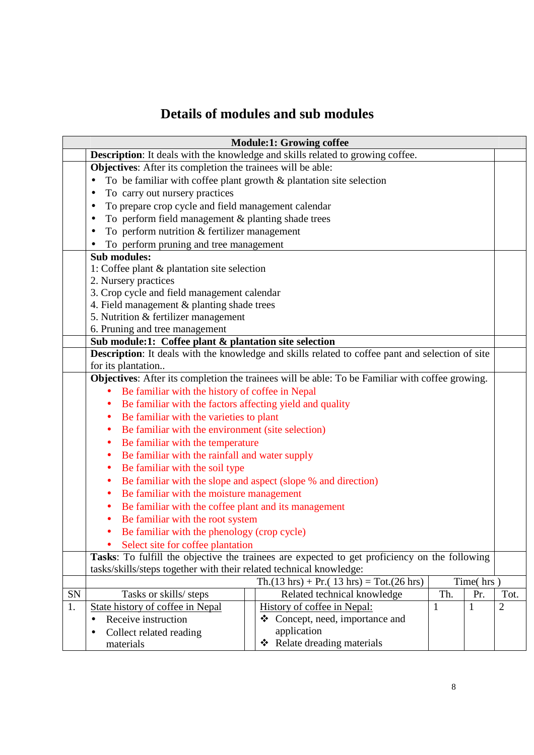## **Details of modules and sub modules**

| <b>Module:1: Growing coffee</b> |                                                                       |  |                                                                                                  |     |              |                |  |  |
|---------------------------------|-----------------------------------------------------------------------|--|--------------------------------------------------------------------------------------------------|-----|--------------|----------------|--|--|
|                                 |                                                                       |  | Description: It deals with the knowledge and skills related to growing coffee.                   |     |              |                |  |  |
|                                 | <b>Objectives:</b> After its completion the trainees will be able:    |  |                                                                                                  |     |              |                |  |  |
|                                 | To be familiar with coffee plant growth $&$ plantation site selection |  |                                                                                                  |     |              |                |  |  |
|                                 | To carry out nursery practices                                        |  |                                                                                                  |     |              |                |  |  |
|                                 | To prepare crop cycle and field management calendar                   |  |                                                                                                  |     |              |                |  |  |
|                                 | To perform field management & planting shade trees                    |  |                                                                                                  |     |              |                |  |  |
|                                 | To perform nutrition & fertilizer management<br>٠                     |  |                                                                                                  |     |              |                |  |  |
|                                 | To perform pruning and tree management                                |  |                                                                                                  |     |              |                |  |  |
|                                 | <b>Sub modules:</b>                                                   |  |                                                                                                  |     |              |                |  |  |
|                                 | 1: Coffee plant $\&$ plantation site selection                        |  |                                                                                                  |     |              |                |  |  |
|                                 | 2. Nursery practices                                                  |  |                                                                                                  |     |              |                |  |  |
|                                 | 3. Crop cycle and field management calendar                           |  |                                                                                                  |     |              |                |  |  |
|                                 | 4. Field management & planting shade trees                            |  |                                                                                                  |     |              |                |  |  |
|                                 | 5. Nutrition & fertilizer management                                  |  |                                                                                                  |     |              |                |  |  |
|                                 | 6. Pruning and tree management                                        |  |                                                                                                  |     |              |                |  |  |
|                                 | Sub module:1: Coffee plant & plantation site selection                |  |                                                                                                  |     |              |                |  |  |
|                                 |                                                                       |  | Description: It deals with the knowledge and skills related to coffee pant and selection of site |     |              |                |  |  |
|                                 | for its plantation                                                    |  |                                                                                                  |     |              |                |  |  |
|                                 |                                                                       |  | Objectives: After its completion the trainees will be able: To be Familiar with coffee growing.  |     |              |                |  |  |
|                                 | Be familiar with the history of coffee in Nepal                       |  |                                                                                                  |     |              |                |  |  |
|                                 | Be familiar with the factors affecting yield and quality<br>$\bullet$ |  |                                                                                                  |     |              |                |  |  |
|                                 | Be familiar with the varieties to plant<br>٠                          |  |                                                                                                  |     |              |                |  |  |
|                                 | Be familiar with the environment (site selection)<br>$\bullet$        |  |                                                                                                  |     |              |                |  |  |
|                                 | Be familiar with the temperature<br>٠                                 |  |                                                                                                  |     |              |                |  |  |
|                                 | Be familiar with the rainfall and water supply<br>٠                   |  |                                                                                                  |     |              |                |  |  |
|                                 | Be familiar with the soil type<br>٠                                   |  |                                                                                                  |     |              |                |  |  |
|                                 | Be familiar with the slope and aspect (slope % and direction)<br>٠    |  |                                                                                                  |     |              |                |  |  |
|                                 | Be familiar with the moisture management<br>$\bullet$                 |  |                                                                                                  |     |              |                |  |  |
|                                 | Be familiar with the coffee plant and its management<br>$\bullet$     |  |                                                                                                  |     |              |                |  |  |
|                                 | Be familiar with the root system<br>$\bullet$                         |  |                                                                                                  |     |              |                |  |  |
|                                 | Be familiar with the phenology (crop cycle)                           |  |                                                                                                  |     |              |                |  |  |
|                                 | Select site for coffee plantation                                     |  |                                                                                                  |     |              |                |  |  |
|                                 |                                                                       |  | Tasks: To fulfill the objective the trainees are expected to get proficiency on the following    |     |              |                |  |  |
|                                 | tasks/skills/steps together with their related technical knowledge:   |  |                                                                                                  |     |              |                |  |  |
|                                 |                                                                       |  | $Th.(13 hrs) + Pr.(13 hrs) = Tot.(26 hrs)$                                                       |     | Time(hrs)    |                |  |  |
| SN                              | Tasks or skills/ steps                                                |  | Related technical knowledge                                                                      | Th. | Pr.          | Tot.           |  |  |
| 1.                              | <b>State history of coffee in Nepal</b>                               |  | History of coffee in Nepal:                                                                      | 1   | $\mathbf{1}$ | $\overline{2}$ |  |  |
|                                 | Receive instruction                                                   |  | Concept, need, importance and<br>$\mathbf{v}$                                                    |     |              |                |  |  |
|                                 | Collect related reading                                               |  | application                                                                                      |     |              |                |  |  |
|                                 | materials                                                             |  | ❖ Relate dreading materials                                                                      |     |              |                |  |  |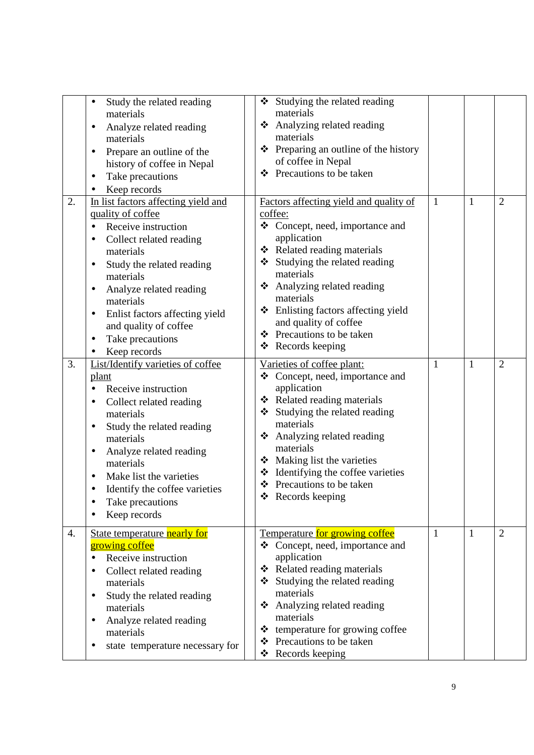|    | Study the related reading<br>materials<br>Analyze related reading<br>materials<br>Prepare an outline of the<br>history of coffee in Nepal<br>Take precautions                                                                                                                                                                 | ❖ Studying the related reading<br>materials<br>❖ Analyzing related reading<br>materials<br>❖ Preparing an outline of the history<br>of coffee in Nepal<br>❖ Precautions to be taken                                                                                                                                                                         |              |              |                |
|----|-------------------------------------------------------------------------------------------------------------------------------------------------------------------------------------------------------------------------------------------------------------------------------------------------------------------------------|-------------------------------------------------------------------------------------------------------------------------------------------------------------------------------------------------------------------------------------------------------------------------------------------------------------------------------------------------------------|--------------|--------------|----------------|
| 2. | Keep records<br>In list factors affecting yield and<br>quality of coffee<br>Receive instruction<br>Collect related reading<br>materials<br>Study the related reading<br>٠<br>materials<br>Analyze related reading<br>materials<br>Enlist factors affecting yield<br>and quality of coffee<br>Take precautions<br>Keep records | Factors affecting yield and quality of<br>coffee:<br>❖ Concept, need, importance and<br>application<br>❖ Related reading materials<br>Studying the related reading<br>materials<br>❖ Analyzing related reading<br>materials<br>❖ Enlisting factors affecting yield<br>and quality of coffee<br>❖ Precautions to be taken<br>$\triangleleft$ Records keeping | $\mathbf{1}$ | $\mathbf{1}$ | $\overline{2}$ |
| 3. | List/Identify varieties of coffee<br>plant<br>Receive instruction<br>Collect related reading<br>materials<br>Study the related reading<br>materials<br>Analyze related reading<br>٠<br>materials<br>Make list the varieties<br>Identify the coffee varieties<br>Take precautions<br>Keep records                              | Varieties of coffee plant:<br>❖ Concept, need, importance and<br>application<br>❖ Related reading materials<br>Studying the related reading<br>❖<br>materials<br>❖ Analyzing related reading<br>materials<br>Making list the varieties<br>* Identifying the coffee varieties<br>❖ Precautions to be taken<br>❖ Records keeping                              | 1            | $\mathbf{1}$ | 2              |
| 4. | State temperature nearly for<br>growing coffee<br>Receive instruction<br>Collect related reading<br>materials<br>Study the related reading<br>$\bullet$<br>materials<br>Analyze related reading<br>materials<br>state temperature necessary for                                                                               | Temperature for growing coffee<br>❖ Concept, need, importance and<br>application<br>Related reading materials<br>❖<br>Studying the related reading<br>❖<br>materials<br>Analyzing related reading<br>❖<br>materials<br>❖ temperature for growing coffee<br>Precautions to be taken<br>❖<br>❖ Records keeping                                                | 1            | $\mathbf{1}$ | $\overline{2}$ |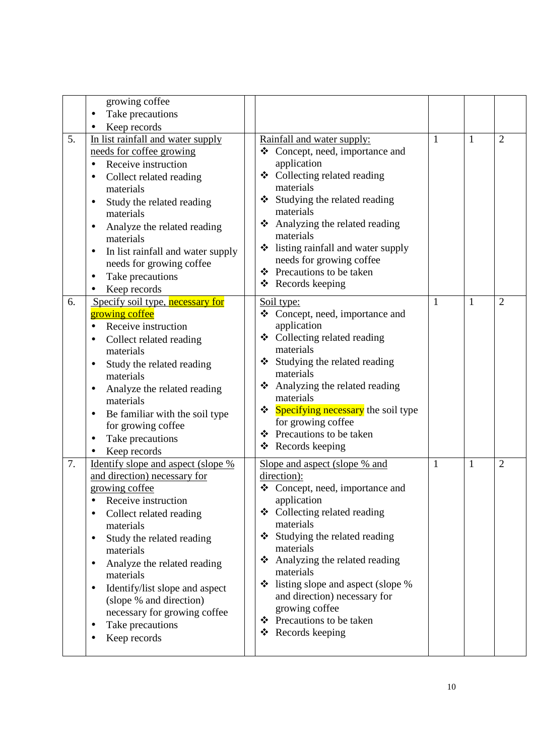|    | growing coffee<br>Take precautions<br>Keep records                                                                                                                                                                                                                                                                                                                                                                                 |                                                                                                                                                                                                                                                                                                                                                                                                   |   |              |                |
|----|------------------------------------------------------------------------------------------------------------------------------------------------------------------------------------------------------------------------------------------------------------------------------------------------------------------------------------------------------------------------------------------------------------------------------------|---------------------------------------------------------------------------------------------------------------------------------------------------------------------------------------------------------------------------------------------------------------------------------------------------------------------------------------------------------------------------------------------------|---|--------------|----------------|
| 5. | In list rainfall and water supply<br>needs for coffee growing<br>Receive instruction<br>Collect related reading<br>materials<br>Study the related reading<br>٠<br>materials<br>Analyze the related reading<br>materials<br>In list rainfall and water supply<br>$\bullet$<br>needs for growing coffee<br>Take precautions<br>Keep records                                                                                          | Rainfall and water supply:<br>❖ Concept, need, importance and<br>application<br>Collecting related reading<br>❖<br>materials<br>Studying the related reading<br>❖<br>materials<br>Analyzing the related reading<br>❖<br>materials<br>State is listing rainfall and water supply<br>needs for growing coffee<br>Precautions to be taken<br>❖<br>Records keeping<br>❖                               | 1 | 1            | $\overline{2}$ |
| 6. | Specify soil type, necessary for<br>growing coffee<br>Receive instruction<br>Collect related reading<br>materials<br>Study the related reading<br>٠<br>materials<br>Analyze the related reading<br>٠<br>materials<br>Be familiar with the soil type<br>$\bullet$<br>for growing coffee<br>Take precautions<br>Keep records                                                                                                         | Soil type:<br>❖ Concept, need, importance and<br>application<br>Collecting related reading<br>❖<br>materials<br>❖ Studying the related reading<br>materials<br>Analyzing the related reading<br>❖<br>materials<br>❖ Specifying necessary the soil type<br>for growing coffee<br>Precautions to be taken<br>❖<br>Records keeping<br>❖                                                              | 1 | $\mathbf{1}$ | $\overline{2}$ |
| 7. | <u>Identify slope and aspect (slope %</u><br>and direction) necessary for<br>growing coffee<br>Receive instruction<br>$\bullet$<br>Collect related reading<br>materials<br>Study the related reading<br>٠<br>materials<br>Analyze the related reading<br>$\bullet$<br>materials<br>Identify/list slope and aspect<br>$\bullet$<br>(slope % and direction)<br>necessary for growing coffee<br>Take precautions<br>٠<br>Keep records | Slope and aspect (slope % and<br>direction):<br>❖ Concept, need, importance and<br>application<br>❖ Collecting related reading<br>materials<br>Studying the related reading<br>❖<br>materials<br>Analyzing the related reading<br>❖<br>materials<br>listing slope and aspect (slope %<br>❖<br>and direction) necessary for<br>growing coffee<br>❖ Precautions to be taken<br>Records keeping<br>❖ | 1 | $\mathbf{1}$ | $\overline{2}$ |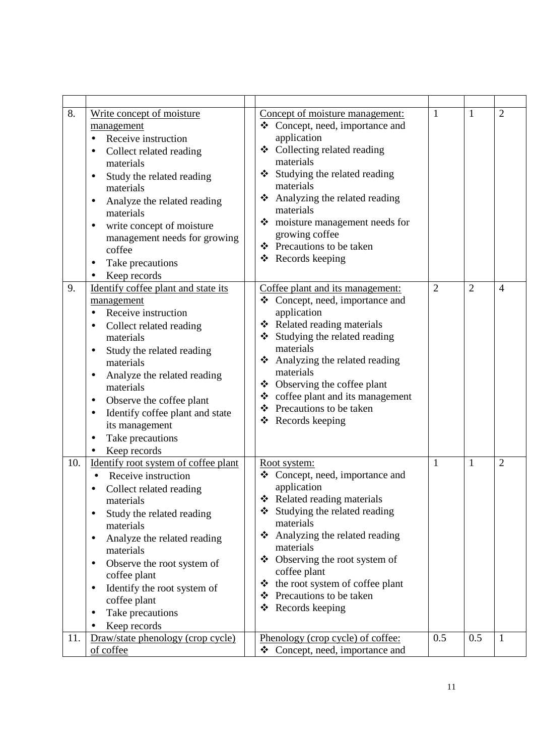| 8.  | Write concept of moisture<br>management<br>Receive instruction<br>Collect related reading<br>materials<br>Study the related reading<br>$\bullet$<br>materials<br>Analyze the related reading<br>materials<br>write concept of moisture<br>$\bullet$<br>management needs for growing<br>coffee<br>Take precautions<br>$\bullet$<br>Keep records                              | Concept of moisture management:<br>Concept, need, importance and<br>❖<br>application<br>❖ Collecting related reading<br>materials<br>Studying the related reading<br>❖<br>materials<br>Analyzing the related reading<br>❖<br>materials<br>$\div$ moisture management needs for<br>growing coffee<br>❖ Precautions to be taken<br>❖ Records keeping                     | 1              | 1              | $\overline{2}$ |
|-----|-----------------------------------------------------------------------------------------------------------------------------------------------------------------------------------------------------------------------------------------------------------------------------------------------------------------------------------------------------------------------------|------------------------------------------------------------------------------------------------------------------------------------------------------------------------------------------------------------------------------------------------------------------------------------------------------------------------------------------------------------------------|----------------|----------------|----------------|
| 9.  | Identify coffee plant and state its<br>management<br>Receive instruction<br>Collect related reading<br>materials<br>Study the related reading<br>materials<br>Analyze the related reading<br>٠<br>materials<br>Observe the coffee plant<br>$\bullet$<br>Identify coffee plant and state<br>$\bullet$<br>its management<br>Take precautions<br>Keep records                  | Coffee plant and its management:<br>Concept, need, importance and<br>❖<br>application<br>❖ Related reading materials<br>Studying the related reading<br>❖<br>materials<br>Analyzing the related reading<br>❖<br>materials<br>❖ Observing the coffee plant<br>$\div$ coffee plant and its management<br>Precautions to be taken<br>❖<br>$\triangleleft$ Records keeping | $\overline{2}$ | $\overline{2}$ | $\overline{4}$ |
| 10. | Identify root system of coffee plant<br>Receive instruction<br>Collect related reading<br>materials<br>Study the related reading<br>$\bullet$<br>materials<br>Analyze the related reading<br>$\bullet$<br>materials<br>Observe the root system of<br>٠<br>coffee plant<br>Identify the root system of<br>$\bullet$<br>coffee plant<br>Take precautions<br>٠<br>Keep records | Root system:<br>Concept, need, importance and<br>❖<br>application<br>Related reading materials<br>❖<br>Studying the related reading<br>❖<br>materials<br>Analyzing the related reading<br>❖<br>materials<br>$\triangle$ Observing the root system of<br>coffee plant<br>the root system of coffee plant<br>❖<br>Precautions to be taken<br>❖<br>Records keeping<br>❖   | 1              | $\mathbf{1}$   | $\overline{2}$ |
| 11. | Draw/state phenology (crop cycle)<br>of coffee                                                                                                                                                                                                                                                                                                                              | <u>Phenology (crop cycle) of coffee:</u><br>❖ Concept, need, importance and                                                                                                                                                                                                                                                                                            | 0.5            | 0.5            | 1              |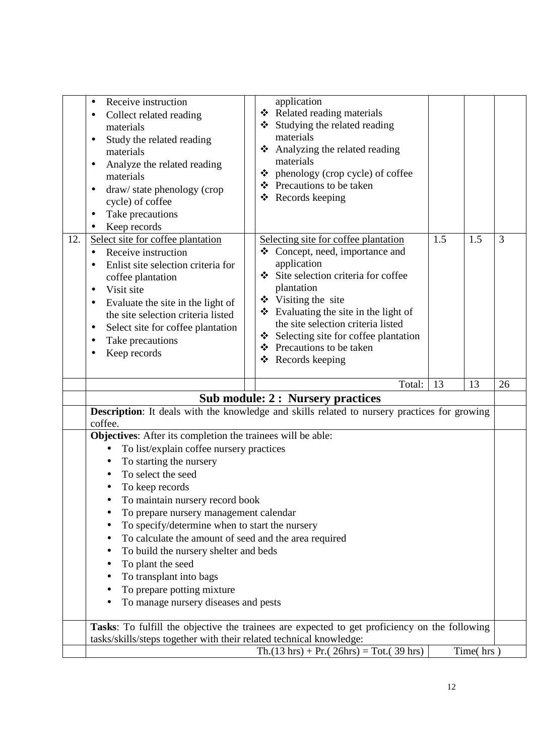|     | Receive instruction<br>$\bullet$<br>Collect related reading<br>materials<br>Study the related reading<br>$\bullet$<br>materials<br>Analyze the related reading<br>materials<br>draw/state phenology (crop<br>٠<br>cycle) of coffee<br>Take precautions<br>Keep records                                               | application<br>❖ Related reading materials<br>Studying the related reading<br>materials<br>Analyzing the related reading<br>❖<br>materials<br>$\triangleleft$ phenology (crop cycle) of coffee<br>❖ Precautions to be taken<br>❖ Records keeping                                                                                                                      |           |  |  |
|-----|----------------------------------------------------------------------------------------------------------------------------------------------------------------------------------------------------------------------------------------------------------------------------------------------------------------------|-----------------------------------------------------------------------------------------------------------------------------------------------------------------------------------------------------------------------------------------------------------------------------------------------------------------------------------------------------------------------|-----------|--|--|
| 12. | Select site for coffee plantation<br>Receive instruction<br>$\bullet$<br>Enlist site selection criteria for<br>coffee plantation<br>Visit site<br>$\bullet$<br>Evaluate the site in the light of<br>the site selection criteria listed<br>Select site for coffee plantation<br>٠<br>Take precautions<br>Keep records | 1.5<br>Selecting site for coffee plantation<br>Concept, need, importance and<br>❖<br>application<br>Site selection criteria for coffee<br>plantation<br>❖ Visiting the site<br>$\triangleleft$ Evaluating the site in the light of<br>the site selection criteria listed<br>Selecting site for coffee plantation<br>Precautions to be taken<br>❖<br>❖ Records keeping | 1.5<br>3  |  |  |
|     |                                                                                                                                                                                                                                                                                                                      | Total:<br>13<br><b>Sub module: 2: Nursery practices</b>                                                                                                                                                                                                                                                                                                               | 13<br>26  |  |  |
|     |                                                                                                                                                                                                                                                                                                                      | Description: It deals with the knowledge and skills related to nursery practices for growing                                                                                                                                                                                                                                                                          |           |  |  |
|     | coffee.                                                                                                                                                                                                                                                                                                              |                                                                                                                                                                                                                                                                                                                                                                       |           |  |  |
|     | Objectives: After its completion the trainees will be able:                                                                                                                                                                                                                                                          |                                                                                                                                                                                                                                                                                                                                                                       |           |  |  |
|     | To list/explain coffee nursery practices<br>$\bullet$                                                                                                                                                                                                                                                                |                                                                                                                                                                                                                                                                                                                                                                       |           |  |  |
|     | To starting the nursery                                                                                                                                                                                                                                                                                              |                                                                                                                                                                                                                                                                                                                                                                       |           |  |  |
|     | To select the seed                                                                                                                                                                                                                                                                                                   |                                                                                                                                                                                                                                                                                                                                                                       |           |  |  |
|     | To keep records                                                                                                                                                                                                                                                                                                      |                                                                                                                                                                                                                                                                                                                                                                       |           |  |  |
|     |                                                                                                                                                                                                                                                                                                                      |                                                                                                                                                                                                                                                                                                                                                                       |           |  |  |
|     | To maintain nursery record book                                                                                                                                                                                                                                                                                      |                                                                                                                                                                                                                                                                                                                                                                       |           |  |  |
|     | To prepare nursery management calendar                                                                                                                                                                                                                                                                               |                                                                                                                                                                                                                                                                                                                                                                       |           |  |  |
|     | To specify/determine when to start the nursery<br>To calculate the amount of seed and the area required                                                                                                                                                                                                              |                                                                                                                                                                                                                                                                                                                                                                       |           |  |  |
|     | To build the nursery shelter and beds                                                                                                                                                                                                                                                                                |                                                                                                                                                                                                                                                                                                                                                                       |           |  |  |
|     | To plant the seed                                                                                                                                                                                                                                                                                                    |                                                                                                                                                                                                                                                                                                                                                                       |           |  |  |
|     | To transplant into bags                                                                                                                                                                                                                                                                                              |                                                                                                                                                                                                                                                                                                                                                                       |           |  |  |
|     | To prepare potting mixture                                                                                                                                                                                                                                                                                           |                                                                                                                                                                                                                                                                                                                                                                       |           |  |  |
|     | To manage nursery diseases and pests                                                                                                                                                                                                                                                                                 |                                                                                                                                                                                                                                                                                                                                                                       |           |  |  |
|     |                                                                                                                                                                                                                                                                                                                      | Tasks: To fulfill the objective the trainees are expected to get proficiency on the following                                                                                                                                                                                                                                                                         |           |  |  |
|     | tasks/skills/steps together with their related technical knowledge:                                                                                                                                                                                                                                                  | $\text{Th.}(13 \text{ hrs}) + \text{Pr.}(26 \text{hrs}) = \text{Tot.}(39 \text{ hrs})$                                                                                                                                                                                                                                                                                | Time(hrs) |  |  |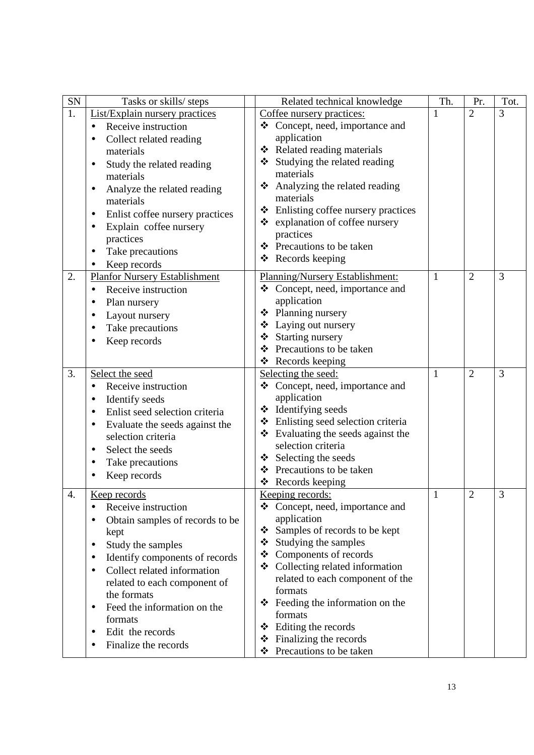| ${\rm SN}$ | Tasks or skills/ steps                      | Related technical knowledge                                     | Th.          | Pr.            | Tot. |
|------------|---------------------------------------------|-----------------------------------------------------------------|--------------|----------------|------|
| 1.         | <b>List/Explain nursery practices</b>       | Coffee nursery practices:                                       | 1            | $\overline{2}$ | 3    |
|            | Receive instruction                         | ❖ Concept, need, importance and                                 |              |                |      |
|            | Collect related reading                     | application                                                     |              |                |      |
|            | materials                                   | ❖ Related reading materials                                     |              |                |      |
|            | Study the related reading<br>$\bullet$      | ❖ Studying the related reading                                  |              |                |      |
|            | materials                                   | materials                                                       |              |                |      |
|            | Analyze the related reading                 | Analyzing the related reading<br>❖                              |              |                |      |
|            | materials                                   | materials                                                       |              |                |      |
|            | Enlist coffee nursery practices<br>٠        | Enlisting coffee nursery practices<br>❖                         |              |                |      |
|            | Explain coffee nursery                      | ❖ explanation of coffee nursery                                 |              |                |      |
|            | practices                                   | practices                                                       |              |                |      |
|            | Take precautions<br>$\bullet$               | ❖ Precautions to be taken                                       |              |                |      |
|            | Keep records                                | ❖ Records keeping                                               |              |                |      |
| 2.         | <b>Planfor Nursery Establishment</b>        | Planning/Nursery Establishment:                                 | 1            | $\overline{2}$ | 3    |
|            | Receive instruction<br>$\bullet$            | Concept, need, importance and<br>❖                              |              |                |      |
|            | Plan nursery                                | application                                                     |              |                |      |
|            | Layout nursery                              | ❖ Planning nursery                                              |              |                |      |
|            | Take precautions                            | ❖ Laying out nursery                                            |              |                |      |
|            | Keep records                                | Starting nursery<br>❖                                           |              |                |      |
|            |                                             | Precautions to be taken<br>❖                                    |              |                |      |
|            |                                             | ❖ Records keeping                                               |              |                |      |
| 3.         | Select the seed                             | Selecting the seed:                                             | $\mathbf{1}$ | $\overline{2}$ | 3    |
|            | Receive instruction<br>$\bullet$            | Concept, need, importance and<br>❖                              |              |                |      |
|            | Identify seeds<br>$\bullet$                 | application                                                     |              |                |      |
|            | Enlist seed selection criteria              | $\div$ Identifying seeds                                        |              |                |      |
|            | Evaluate the seeds against the<br>$\bullet$ | ❖ Enlisting seed selection criteria                             |              |                |      |
|            | selection criteria                          | $\div$ Evaluating the seeds against the                         |              |                |      |
|            | Select the seeds<br>$\bullet$               | selection criteria                                              |              |                |      |
|            | Take precautions                            | $\div$ Selecting the seeds                                      |              |                |      |
|            | Keep records                                | ❖ Precautions to be taken                                       |              |                |      |
|            |                                             | Records keeping                                                 |              |                |      |
| Δ          | Keep records                                | Keeping records:                                                | $\mathbf{1}$ | $\overline{2}$ | 3    |
|            | Receive instruction<br>$\bullet$            | ❖ Concept, need, importance and                                 |              |                |      |
|            | Obtain samples of records to be             | application                                                     |              |                |      |
|            | kept                                        | Samples of records to be kept<br>❖<br>Studying the samples<br>❖ |              |                |      |
|            | Study the samples                           | ❖ Components of records                                         |              |                |      |
|            | Identify components of records              | ❖ Collecting related information                                |              |                |      |
|            | Collect related information<br>$\bullet$    | related to each component of the                                |              |                |      |
|            | related to each component of                | formats                                                         |              |                |      |
|            | the formats                                 | Feeding the information on the<br>❖                             |              |                |      |
|            | Feed the information on the<br>$\bullet$    | formats                                                         |              |                |      |
|            | formats                                     | Editing the records<br>❖                                        |              |                |      |
|            | Edit the records                            | Finalizing the records<br>❖                                     |              |                |      |
|            | Finalize the records                        | Precautions to be taken<br>❖                                    |              |                |      |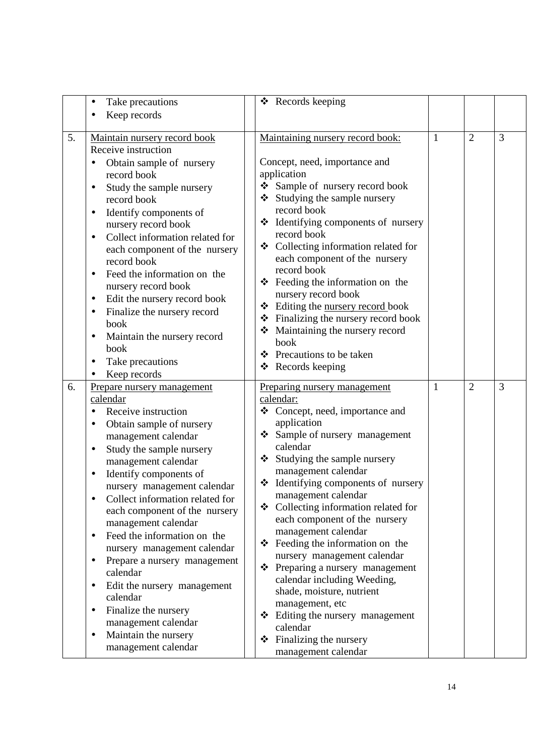|    | Take precautions<br>$\bullet$                            | ❖ Records keeping                                                            |   |                |   |
|----|----------------------------------------------------------|------------------------------------------------------------------------------|---|----------------|---|
|    | Keep records                                             |                                                                              |   |                |   |
|    |                                                          |                                                                              |   |                |   |
| 5. | Maintain nursery record book                             | Maintaining nursery record book:                                             | 1 | $\overline{2}$ | 3 |
|    | Receive instruction                                      |                                                                              |   |                |   |
|    | Obtain sample of nursery                                 | Concept, need, importance and                                                |   |                |   |
|    | record book                                              | application                                                                  |   |                |   |
|    | Study the sample nursery<br>٠                            | Sample of nursery record book<br>❖                                           |   |                |   |
|    | record book                                              | Studying the sample nursery                                                  |   |                |   |
|    | Identify components of<br>$\bullet$                      | record book                                                                  |   |                |   |
|    | nursery record book                                      | * Identifying components of nursery                                          |   |                |   |
|    | Collect information related for<br>$\bullet$             | record book                                                                  |   |                |   |
|    | each component of the nursery                            | ❖ Collecting information related for                                         |   |                |   |
|    | record book                                              | each component of the nursery                                                |   |                |   |
|    | Feed the information on the<br>$\bullet$                 | record book                                                                  |   |                |   |
|    | nursery record book                                      | $\div$ Feeding the information on the                                        |   |                |   |
|    | Edit the nursery record book<br>$\bullet$                | nursery record book<br>❖                                                     |   |                |   |
|    | Finalize the nursery record<br>$\bullet$                 | Editing the nursery record book<br>$\div$ Finalizing the nursery record book |   |                |   |
|    | book                                                     | Maintaining the nursery record                                               |   |                |   |
|    | Maintain the nursery record                              | book                                                                         |   |                |   |
|    | book                                                     | ❖ Precautions to be taken                                                    |   |                |   |
|    | Take precautions<br>$\bullet$                            | ❖ Records keeping                                                            |   |                |   |
|    | Keep records                                             |                                                                              |   |                |   |
|    |                                                          |                                                                              |   |                |   |
| 6. | Prepare nursery management                               | <b>Preparing nursery management</b>                                          | 1 | $\overline{2}$ | 3 |
|    | calendar                                                 | calendar:                                                                    |   |                |   |
|    | Receive instruction                                      | ❖ Concept, need, importance and                                              |   |                |   |
|    | Obtain sample of nursery                                 | application                                                                  |   |                |   |
|    | management calendar                                      | Sample of nursery management<br>❖                                            |   |                |   |
|    | Study the sample nursery<br>$\bullet$                    | calendar                                                                     |   |                |   |
|    | management calendar                                      | ❖ Studying the sample nursery                                                |   |                |   |
|    | Identify components of<br>$\bullet$                      | management calendar                                                          |   |                |   |
|    | nursery management calendar                              | Identifying components of nursery<br>❖                                       |   |                |   |
|    | Collect information related for                          | management calendar                                                          |   |                |   |
|    | each component of the nursery                            | $\div$ Collecting information related for                                    |   |                |   |
|    | management calendar                                      | each component of the nursery                                                |   |                |   |
|    | Feed the information on the<br>$\bullet$                 | management calendar                                                          |   |                |   |
|    | nursery management calendar                              | Feeding the information on the<br>❖                                          |   |                |   |
|    | Prepare a nursery management<br>$\bullet$                | nursery management calendar                                                  |   |                |   |
|    | calendar                                                 | ❖ Preparing a nursery management                                             |   |                |   |
|    | Edit the nursery management<br>$\bullet$                 | calendar including Weeding,                                                  |   |                |   |
|    | calendar                                                 | shade, moisture, nutrient                                                    |   |                |   |
|    | Finalize the nursery<br>$\bullet$                        | management, etc                                                              |   |                |   |
|    | management calendar                                      | ❖ Editing the nursery management<br>calendar                                 |   |                |   |
|    | Maintain the nursery<br>$\bullet$<br>management calendar | Finalizing the nursery<br>❖                                                  |   |                |   |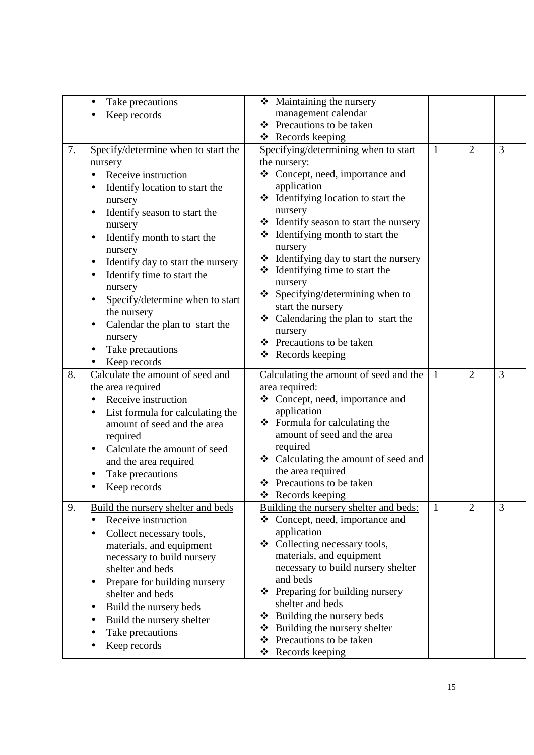|    | Take precautions<br>$\bullet$                                   |   | Maintaining the nursery<br>❖                      |              |                |   |
|----|-----------------------------------------------------------------|---|---------------------------------------------------|--------------|----------------|---|
|    | Keep records                                                    |   | management calendar                               |              |                |   |
|    |                                                                 |   | ❖ Precautions to be taken                         |              |                |   |
|    |                                                                 |   | $\triangleleft$ Records keeping                   |              |                |   |
| 7. | Specify/determine when to start the                             |   | Specifying/determining when to start              | 1            | $\overline{2}$ | 3 |
|    | nursery                                                         |   | the nursery:                                      |              |                |   |
|    | Receive instruction                                             |   | ❖ Concept, need, importance and                   |              |                |   |
|    | Identify location to start the                                  |   | application                                       |              |                |   |
|    | nursery                                                         |   | Identifying location to start the<br>❖            |              |                |   |
|    | Identify season to start the                                    |   | nursery                                           |              |                |   |
|    | nursery                                                         |   | Hentify season to start the nursery               |              |                |   |
|    | Identify month to start the<br>$\bullet$                        |   | $\triangleleft$ Identifying month to start the    |              |                |   |
|    | nursery                                                         |   | nursery                                           |              |                |   |
|    | Identify day to start the nursery<br>٠                          |   | * Identifying day to start the nursery            |              |                |   |
|    | Identify time to start the<br>$\bullet$                         |   | $\bullet$ Identifying time to start the           |              |                |   |
|    | nursery                                                         |   | nursery                                           |              |                |   |
|    | Specify/determine when to start                                 |   | Specifying/determining when to<br>❖               |              |                |   |
|    | the nursery                                                     |   | start the nursery                                 |              |                |   |
|    |                                                                 |   | ❖ Calendaring the plan to start the               |              |                |   |
|    | Calendar the plan to start the<br>٠                             |   | nursery                                           |              |                |   |
|    | nursery                                                         |   | ❖ Precautions to be taken                         |              |                |   |
|    | Take precautions                                                |   | $\triangleleft$ Records keeping                   |              |                |   |
| 8. | Keep records                                                    |   |                                                   |              | $\overline{2}$ | 3 |
|    | Calculate the amount of seed and                                |   | Calculating the amount of seed and the            | 1            |                |   |
|    | the area required                                               |   | area required:<br>❖ Concept, need, importance and |              |                |   |
|    | Receive instruction                                             |   | application                                       |              |                |   |
|    | List formula for calculating the<br>amount of seed and the area |   | $\div$ Formula for calculating the                |              |                |   |
|    | required                                                        |   | amount of seed and the area                       |              |                |   |
|    |                                                                 |   | required                                          |              |                |   |
|    | Calculate the amount of seed<br>$\bullet$                       |   | ❖ Calculating the amount of seed and              |              |                |   |
|    | and the area required                                           |   | the area required                                 |              |                |   |
|    | Take precautions                                                |   | ❖ Precautions to be taken                         |              |                |   |
|    | Keep records                                                    |   | $\triangleleft$ Records keeping                   |              |                |   |
| 9. | Build the nursery shelter and beds                              |   | Building the nursery shelter and beds:            | $\mathbf{1}$ | $\overline{2}$ | 3 |
|    | Receive instruction<br>$\bullet$                                |   | Concept, need, importance and<br>❖                |              |                |   |
|    | Collect necessary tools,<br>$\bullet$                           |   | application                                       |              |                |   |
|    | materials, and equipment                                        |   | ❖ Collecting necessary tools,                     |              |                |   |
|    | necessary to build nursery                                      |   | materials, and equipment                          |              |                |   |
|    | shelter and beds                                                |   | necessary to build nursery shelter                |              |                |   |
|    | Prepare for building nursery<br>$\bullet$                       |   | and beds                                          |              |                |   |
|    | shelter and beds                                                |   | Preparing for building nursery<br>❖               |              |                |   |
|    | Build the nursery beds<br>$\bullet$                             |   | shelter and beds                                  |              |                |   |
|    | Build the nursery shelter<br>٠                                  |   | Building the nursery beds<br>❖                    |              |                |   |
|    | Take precautions<br>٠                                           | ❖ | Building the nursery shelter                      |              |                |   |
|    | Keep records                                                    |   | Precautions to be taken<br>❖                      |              |                |   |
|    |                                                                 |   | Records keeping<br>❖                              |              |                |   |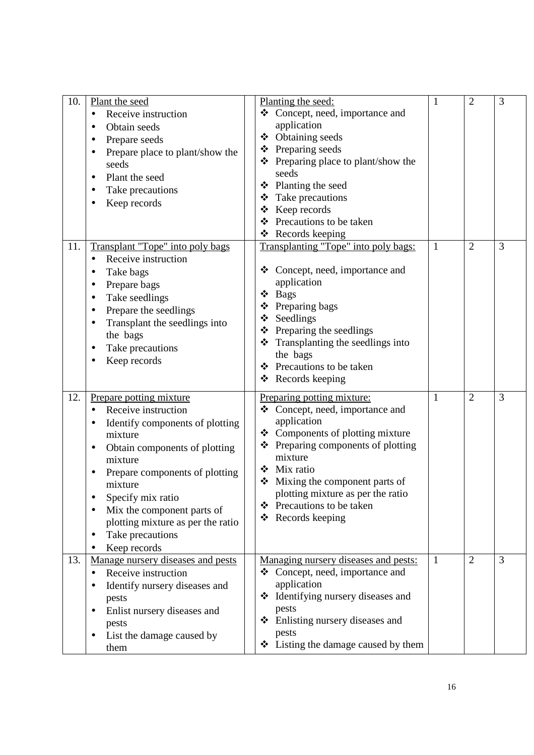| 10. | Plant the seed<br>Receive instruction<br>$\bullet$<br>Obtain seeds<br>Prepare seeds<br>Prepare place to plant/show the<br>seeds<br>Plant the seed<br>$\bullet$<br>Take precautions<br>Keep records                                                                                                                                               | Planting the seed:<br>❖ Concept, need, importance and<br>application<br>Obtaining seeds<br>❖<br>❖ Preparing seeds<br>❖ Preparing place to plant/show the<br>seeds<br>Planting the seed<br>❖<br>Take precautions<br>❖<br>Keep records<br>❖<br>Precautions to be taken<br>❖<br>Records keeping<br>❖                      | $\mathbf{1}$ | $\overline{2}$ | 3              |
|-----|--------------------------------------------------------------------------------------------------------------------------------------------------------------------------------------------------------------------------------------------------------------------------------------------------------------------------------------------------|------------------------------------------------------------------------------------------------------------------------------------------------------------------------------------------------------------------------------------------------------------------------------------------------------------------------|--------------|----------------|----------------|
| 11. | Transplant "Tope" into poly bags<br>Receive instruction<br>Take bags<br>Prepare bags<br>٠<br>Take seedlings<br>Prepare the seedlings<br>Transplant the seedlings into<br>the bags<br>Take precautions<br>Keep records                                                                                                                            | Transplanting "Tope" into poly bags:<br>Concept, need, importance and<br>❖<br>application<br><b>Bags</b><br>❖<br>Preparing bags<br>❖<br>❖ Seedlings<br>$\div$ Preparing the seedlings<br>Transplanting the seedlings into<br>❖<br>the bags<br>❖ Precautions to be taken<br>Records keeping<br>❖                        | $\mathbf{1}$ | $\overline{2}$ | 3              |
| 12. | Prepare potting mixture<br>Receive instruction<br>Identify components of plotting<br>mixture<br>Obtain components of plotting<br>٠<br>mixture<br>Prepare components of plotting<br>mixture<br>Specify mix ratio<br>Mix the component parts of<br>plotting mixture as per the ratio<br>Take precautions<br>$\bullet$<br>Keep records<br>$\bullet$ | Preparing potting mixture:<br>❖ Concept, need, importance and<br>application<br>Components of plotting mixture<br>❖<br>Preparing components of plotting<br>❖<br>mixture<br>Mix ratio<br>❖<br>Mixing the component parts of<br>❖<br>plotting mixture as per the ratio<br>❖ Precautions to be taken<br>❖ Records keeping | 1            | $\overline{2}$ | 3              |
| 13. | Manage nursery diseases and pests<br>Receive instruction<br>$\bullet$<br>Identify nursery diseases and<br>٠<br>pests<br>Enlist nursery diseases and<br>$\bullet$<br>pests<br>List the damage caused by<br>$\bullet$<br>them                                                                                                                      | Managing nursery diseases and pests:<br>Concept, need, importance and<br>❖<br>application<br>❖ Identifying nursery diseases and<br>pests<br>Enlisting nursery diseases and<br>❖<br>pests<br>$\triangleleft$ Listing the damage caused by them                                                                          | $\mathbf{1}$ | $\overline{2}$ | $\overline{3}$ |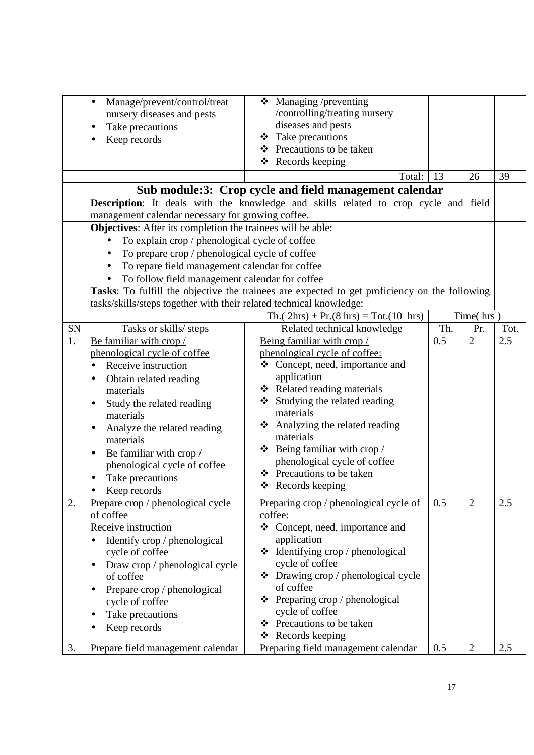|                  | Manage/prevent/control/treat<br>$\bullet$<br>nursery diseases and pests<br>Take precautions<br>Keep records                              |  | ❖ Managing /preventing<br>/controlling/treating nursery<br>diseases and pests<br>Take precautions<br>❖<br>❖ Precautions to be taken<br>$\triangleleft$ Records keeping<br>Total: | 13  | 26             | 39   |  |
|------------------|------------------------------------------------------------------------------------------------------------------------------------------|--|----------------------------------------------------------------------------------------------------------------------------------------------------------------------------------|-----|----------------|------|--|
|                  |                                                                                                                                          |  | Sub module:3: Crop cycle and field management calendar                                                                                                                           |     |                |      |  |
|                  |                                                                                                                                          |  |                                                                                                                                                                                  |     |                |      |  |
|                  | Description: It deals with the knowledge and skills related to crop cycle and field<br>management calendar necessary for growing coffee. |  |                                                                                                                                                                                  |     |                |      |  |
|                  | Objectives: After its completion the trainees will be able:                                                                              |  |                                                                                                                                                                                  |     |                |      |  |
|                  | To explain crop / phenological cycle of coffee<br>$\bullet$                                                                              |  |                                                                                                                                                                                  |     |                |      |  |
|                  | To prepare crop / phenological cycle of coffee                                                                                           |  |                                                                                                                                                                                  |     |                |      |  |
|                  | To repare field management calendar for coffee                                                                                           |  |                                                                                                                                                                                  |     |                |      |  |
|                  | To follow field management calendar for coffee                                                                                           |  |                                                                                                                                                                                  |     |                |      |  |
|                  |                                                                                                                                          |  | Tasks: To fulfill the objective the trainees are expected to get proficiency on the following                                                                                    |     |                |      |  |
|                  | tasks/skills/steps together with their related technical knowledge:                                                                      |  |                                                                                                                                                                                  |     |                |      |  |
|                  |                                                                                                                                          |  | Th.( $2hrs$ ) + Pr.(8 hrs) = Tot.(10 hrs)                                                                                                                                        |     | Time(hrs)      |      |  |
| SN               | Tasks or skills/ steps                                                                                                                   |  | Related technical knowledge                                                                                                                                                      | Th. | Pr.            | Tot. |  |
| 1.               | Be familiar with crop/<br>phenological cycle of coffee                                                                                   |  | Being familiar with crop/<br>phenological cycle of coffee:                                                                                                                       | 0.5 | $\overline{2}$ | 2.5  |  |
|                  | Receive instruction                                                                                                                      |  | ❖ Concept, need, importance and                                                                                                                                                  |     |                |      |  |
|                  | Obtain related reading                                                                                                                   |  | application                                                                                                                                                                      |     |                |      |  |
|                  | materials                                                                                                                                |  | Related reading materials<br>❖                                                                                                                                                   |     |                |      |  |
|                  | Study the related reading                                                                                                                |  | Studying the related reading<br>❖                                                                                                                                                |     |                |      |  |
|                  | materials                                                                                                                                |  | materials                                                                                                                                                                        |     |                |      |  |
|                  | Analyze the related reading<br>٠                                                                                                         |  | Analyzing the related reading<br>❖                                                                                                                                               |     |                |      |  |
|                  | materials                                                                                                                                |  | materials                                                                                                                                                                        |     |                |      |  |
|                  | Be familiar with crop /<br>٠                                                                                                             |  | Being familiar with crop /<br>❖                                                                                                                                                  |     |                |      |  |
|                  | phenological cycle of coffee                                                                                                             |  | phenological cycle of coffee                                                                                                                                                     |     |                |      |  |
|                  | Take precautions                                                                                                                         |  | ❖ Precautions to be taken                                                                                                                                                        |     |                |      |  |
|                  | Keep records                                                                                                                             |  | ❖ Records keeping                                                                                                                                                                |     |                |      |  |
| $\overline{2}$ . | Prepare crop / phenological cycle                                                                                                        |  | Preparing crop / phenological cycle of                                                                                                                                           | 0.5 | $\overline{2}$ | 2.5  |  |
|                  | of coffee                                                                                                                                |  | coffee:                                                                                                                                                                          |     |                |      |  |
|                  | Receive instruction                                                                                                                      |  | ❖ Concept, need, importance and                                                                                                                                                  |     |                |      |  |
|                  | Identify crop / phenological                                                                                                             |  | application                                                                                                                                                                      |     |                |      |  |
|                  | cycle of coffee                                                                                                                          |  | $\div$ Identifying crop / phenological                                                                                                                                           |     |                |      |  |
|                  | Draw crop / phenological cycle                                                                                                           |  | cycle of coffee                                                                                                                                                                  |     |                |      |  |
|                  | of coffee                                                                                                                                |  | $\bullet$ Drawing crop / phenological cycle<br>of coffee                                                                                                                         |     |                |      |  |
|                  | Prepare crop / phenological                                                                                                              |  | Preparing crop / phenological<br>❖                                                                                                                                               |     |                |      |  |
|                  | cycle of coffee                                                                                                                          |  | cycle of coffee                                                                                                                                                                  |     |                |      |  |
|                  | Take precautions<br>$\bullet$<br>Keep records                                                                                            |  | Precautions to be taken<br>❖                                                                                                                                                     |     |                |      |  |
|                  |                                                                                                                                          |  | Records keeping<br>❖                                                                                                                                                             |     |                |      |  |
| 3.               | Prepare field management calendar                                                                                                        |  | Preparing field management calendar                                                                                                                                              | 0.5 | $\overline{2}$ | 2.5  |  |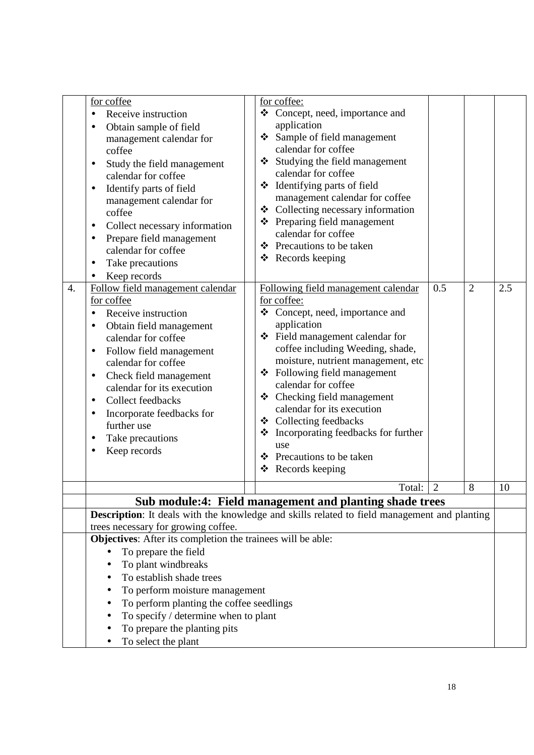| 4. | for coffee<br>Receive instruction<br>$\bullet$<br>Obtain sample of field<br>٠<br>management calendar for<br>coffee<br>Study the field management<br>$\bullet$<br>calendar for coffee<br>Identify parts of field<br>$\bullet$<br>management calendar for<br>coffee<br>Collect necessary information<br>٠<br>Prepare field management<br>$\bullet$<br>calendar for coffee<br>Take precautions<br>$\bullet$<br>Keep records<br>$\bullet$<br>Follow field management calendar<br>for coffee<br>Receive instruction<br>$\bullet$<br>Obtain field management<br>٠<br>calendar for coffee<br>Follow field management<br>$\bullet$<br>calendar for coffee<br>Check field management<br>$\bullet$<br>calendar for its execution<br>Collect feedbacks<br>$\bullet$<br>Incorporate feedbacks for<br>٠<br>further use<br>Take precautions<br>$\bullet$<br>Keep records<br>$\bullet$ | for coffee:<br>Concept, need, importance and<br>❖<br>application<br>❖ Sample of field management<br>calendar for coffee<br>Studying the field management<br>❖<br>calendar for coffee<br>❖ Identifying parts of field<br>management calendar for coffee<br>❖ Collecting necessary information<br>❖ Preparing field management<br>calendar for coffee<br>❖ Precautions to be taken<br>❖ Records keeping<br>Following field management calendar<br>for coffee:<br>❖ Concept, need, importance and<br>application<br>❖ Field management calendar for<br>coffee including Weeding, shade,<br>moisture, nutrient management, etc<br>❖ Following field management<br>calendar for coffee<br>$\triangle$ Checking field management<br>calendar for its execution<br>❖ Collecting feedbacks<br>Incorporating feedbacks for further<br>❖<br>use<br>Precautions to be taken<br>❖<br>$\triangleleft$ Records keeping | 0.5<br>$\overline{2}$ | 2.5 |
|----|-------------------------------------------------------------------------------------------------------------------------------------------------------------------------------------------------------------------------------------------------------------------------------------------------------------------------------------------------------------------------------------------------------------------------------------------------------------------------------------------------------------------------------------------------------------------------------------------------------------------------------------------------------------------------------------------------------------------------------------------------------------------------------------------------------------------------------------------------------------------------|----------------------------------------------------------------------------------------------------------------------------------------------------------------------------------------------------------------------------------------------------------------------------------------------------------------------------------------------------------------------------------------------------------------------------------------------------------------------------------------------------------------------------------------------------------------------------------------------------------------------------------------------------------------------------------------------------------------------------------------------------------------------------------------------------------------------------------------------------------------------------------------------------------|-----------------------|-----|
|    |                                                                                                                                                                                                                                                                                                                                                                                                                                                                                                                                                                                                                                                                                                                                                                                                                                                                         | Total:                                                                                                                                                                                                                                                                                                                                                                                                                                                                                                                                                                                                                                                                                                                                                                                                                                                                                                   | $\overline{2}$<br>8   | 10  |
|    |                                                                                                                                                                                                                                                                                                                                                                                                                                                                                                                                                                                                                                                                                                                                                                                                                                                                         | Sub module:4: Field management and planting shade trees                                                                                                                                                                                                                                                                                                                                                                                                                                                                                                                                                                                                                                                                                                                                                                                                                                                  |                       |     |
|    | trees necessary for growing coffee.                                                                                                                                                                                                                                                                                                                                                                                                                                                                                                                                                                                                                                                                                                                                                                                                                                     | Description: It deals with the knowledge and skills related to field management and planting                                                                                                                                                                                                                                                                                                                                                                                                                                                                                                                                                                                                                                                                                                                                                                                                             |                       |     |
|    | Objectives: After its completion the trainees will be able:<br>To prepare the field<br>To plant windbreaks<br>To establish shade trees<br>To perform moisture management<br>To perform planting the coffee seedlings<br>To specify / determine when to plant<br>To prepare the planting pits<br>To select the plant                                                                                                                                                                                                                                                                                                                                                                                                                                                                                                                                                     |                                                                                                                                                                                                                                                                                                                                                                                                                                                                                                                                                                                                                                                                                                                                                                                                                                                                                                          |                       |     |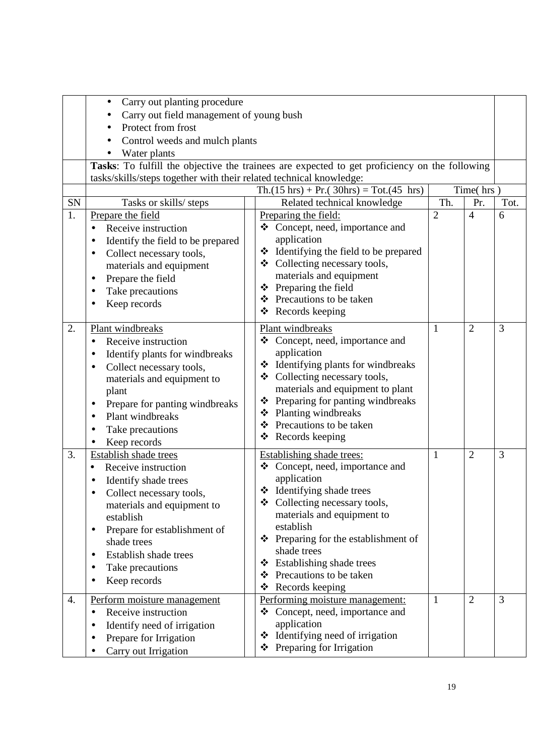|    | Carry out planting procedure<br>$\bullet$                                                     |                                                        |                |                |      |  |  |
|----|-----------------------------------------------------------------------------------------------|--------------------------------------------------------|----------------|----------------|------|--|--|
|    | Carry out field management of young bush                                                      |                                                        |                |                |      |  |  |
|    | Protect from frost                                                                            |                                                        |                |                |      |  |  |
|    | Control weeds and mulch plants                                                                |                                                        |                |                |      |  |  |
|    | Water plants                                                                                  |                                                        |                |                |      |  |  |
|    | Tasks: To fulfill the objective the trainees are expected to get proficiency on the following |                                                        |                |                |      |  |  |
|    | tasks/skills/steps together with their related technical knowledge:                           |                                                        |                |                |      |  |  |
|    | Time(hrs)<br>$Th.(15 hrs) + Pr.(30 hrs) = Tot.(45 hrs)$                                       |                                                        |                |                |      |  |  |
| SN | Tasks or skills/ steps                                                                        | Related technical knowledge                            | Th.            | Pr.            | Tot. |  |  |
| 1. | Prepare the field                                                                             | Preparing the field:                                   | $\overline{2}$ | $\overline{4}$ | 6    |  |  |
|    | Receive instruction                                                                           | ❖ Concept, need, importance and                        |                |                |      |  |  |
|    | Identify the field to be prepared                                                             | application                                            |                |                |      |  |  |
|    | Collect necessary tools,<br>$\bullet$                                                         | Identifying the field to be prepared<br>❖              |                |                |      |  |  |
|    | materials and equipment                                                                       | ❖ Collecting necessary tools,                          |                |                |      |  |  |
|    | Prepare the field<br>$\bullet$                                                                | materials and equipment                                |                |                |      |  |  |
|    | Take precautions                                                                              | Preparing the field<br>❖                               |                |                |      |  |  |
|    | Keep records                                                                                  | ❖ Precautions to be taken                              |                |                |      |  |  |
|    |                                                                                               | ❖ Records keeping                                      |                |                |      |  |  |
| 2. | Plant windbreaks                                                                              | Plant windbreaks                                       | $\mathbf{1}$   | $\overline{2}$ | 3    |  |  |
|    | Receive instruction<br>$\bullet$                                                              | Concept, need, importance and<br>❖                     |                |                |      |  |  |
|    | Identify plants for windbreaks<br>$\bullet$                                                   | application                                            |                |                |      |  |  |
|    | Collect necessary tools,                                                                      | ❖ Identifying plants for windbreaks                    |                |                |      |  |  |
|    | materials and equipment to                                                                    | ❖ Collecting necessary tools,                          |                |                |      |  |  |
|    | plant                                                                                         | materials and equipment to plant                       |                |                |      |  |  |
|    | Prepare for panting windbreaks                                                                | Preparing for panting windbreaks<br>❖                  |                |                |      |  |  |
|    | Plant windbreaks<br>$\bullet$                                                                 | ❖ Planting windbreaks<br>Precautions to be taken<br>❖  |                |                |      |  |  |
|    | Take precautions                                                                              | ❖                                                      |                |                |      |  |  |
|    | Keep records                                                                                  | Records keeping                                        |                |                |      |  |  |
| 3. | Establish shade trees                                                                         | Establishing shade trees:                              | 1              | $\overline{2}$ | 3    |  |  |
|    | Receive instruction<br>$\bullet$                                                              | Concept, need, importance and<br>❖                     |                |                |      |  |  |
|    | Identify shade trees                                                                          | application                                            |                |                |      |  |  |
|    | Collect necessary tools,                                                                      | $\triangleleft$ Identifying shade trees                |                |                |      |  |  |
|    | materials and equipment to                                                                    | Collecting necessary tools,<br>❖                       |                |                |      |  |  |
|    | establish                                                                                     | materials and equipment to                             |                |                |      |  |  |
|    | Prepare for establishment of<br>٠                                                             | establish                                              |                |                |      |  |  |
|    | shade trees                                                                                   | Preparing for the establishment of<br>❖<br>shade trees |                |                |      |  |  |
|    | Establish shade trees                                                                         | Establishing shade trees<br>❖                          |                |                |      |  |  |
|    | Take precautions                                                                              | Precautions to be taken<br>❖                           |                |                |      |  |  |
|    | Keep records<br>$\bullet$                                                                     | ❖<br>Records keeping                                   |                |                |      |  |  |
| 4. | Perform moisture management                                                                   | Performing moisture management:                        | $\mathbf{1}$   | $\overline{2}$ | 3    |  |  |
|    | Receive instruction<br>$\bullet$                                                              | Concept, need, importance and<br>❖                     |                |                |      |  |  |
|    | Identify need of irrigation                                                                   | application                                            |                |                |      |  |  |
|    | Prepare for Irrigation                                                                        | Identifying need of irrigation<br>❖                    |                |                |      |  |  |
|    | Carry out Irrigation                                                                          | ❖ Preparing for Irrigation                             |                |                |      |  |  |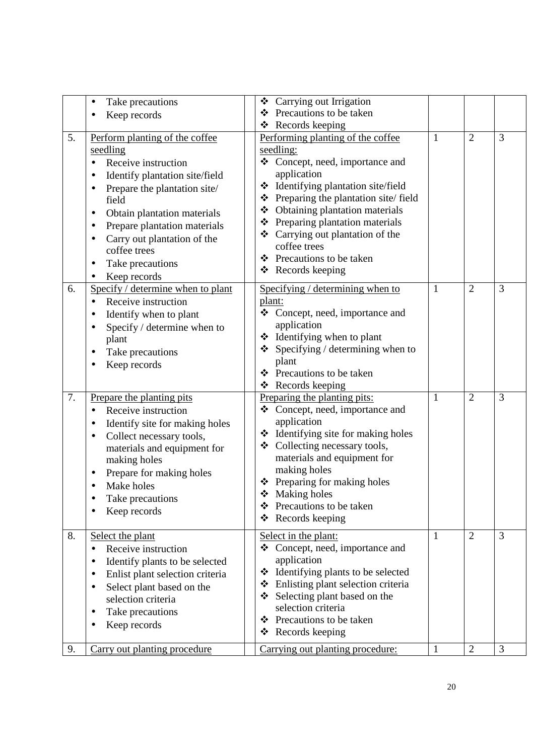|    | Take precautions<br>$\bullet$<br>Keep records                                                                                                                                                                                                                                                                         | Carrying out Irrigation<br>❖<br>Precautions to be taken<br>❖                                                                                                                                                                                                                                                                                                                                                  |              |                |   |
|----|-----------------------------------------------------------------------------------------------------------------------------------------------------------------------------------------------------------------------------------------------------------------------------------------------------------------------|---------------------------------------------------------------------------------------------------------------------------------------------------------------------------------------------------------------------------------------------------------------------------------------------------------------------------------------------------------------------------------------------------------------|--------------|----------------|---|
| 5. | Perform planting of the coffee<br>seedling<br>Receive instruction<br>Identify plantation site/field<br>Prepare the plantation site/<br>field<br>Obtain plantation materials<br>٠<br>Prepare plantation materials<br>٠<br>Carry out plantation of the<br>coffee trees<br>Take precautions<br>$\bullet$<br>Keep records | ❖ Records keeping<br>Performing planting of the coffee<br>seedling:<br>Concept, need, importance and<br>❖<br>application<br>Identifying plantation site/field<br>❖<br>Preparing the plantation site/field<br>❖<br>Obtaining plantation materials<br>❖<br>❖ Preparing plantation materials<br>❖ Carrying out plantation of the<br>coffee trees<br>❖ Precautions to be taken<br>$\triangleleft$ Records keeping | 1            | $\overline{2}$ | 3 |
| 6. | Specify / determine when to plant<br>Receive instruction<br>$\bullet$<br>Identify when to plant<br>Specify / determine when to<br>plant<br>Take precautions<br>Keep records                                                                                                                                           | Specifying / determining when to<br>plant:<br>Concept, need, importance and<br>❖<br>application<br>Identifying when to plant<br>❖<br>Specifying / determining when to<br>❖<br>plant<br>Precautions to be taken<br>❖<br>Records keeping<br>❖                                                                                                                                                                   | 1            | $\overline{2}$ | 3 |
| 7. | Prepare the planting pits<br>Receive instruction<br>Identify site for making holes<br>Collect necessary tools,<br>$\bullet$<br>materials and equipment for<br>making holes<br>Prepare for making holes<br>Make holes<br>Take precautions<br>Keep records                                                              | Preparing the planting pits:<br>❖ Concept, need, importance and<br>application<br>Identifying site for making holes<br>❖<br>Collecting necessary tools,<br>❖<br>materials and equipment for<br>making holes<br>❖ Preparing for making holes<br>❖ Making holes<br>Precautions to be taken<br>❖<br>Records keeping<br>❖                                                                                         | $\mathbf{1}$ | $\overline{2}$ | 3 |
| 8. | Select the plant<br>Receive instruction<br>٠<br>Identify plants to be selected<br>٠<br>Enlist plant selection criteria<br>٠<br>Select plant based on the<br>$\bullet$<br>selection criteria<br>Take precautions<br>Keep records                                                                                       | Select in the plant:<br>Concept, need, importance and<br>❖<br>application<br>* Identifying plants to be selected<br>Enlisting plant selection criteria<br>❖<br>Selecting plant based on the<br>selection criteria<br>❖ Precautions to be taken<br>Records keeping<br>❖                                                                                                                                        | 1            | $\overline{2}$ | 3 |
| 9. | Carry out planting procedure                                                                                                                                                                                                                                                                                          | Carrying out planting procedure:                                                                                                                                                                                                                                                                                                                                                                              | $\mathbf{1}$ | $\overline{2}$ | 3 |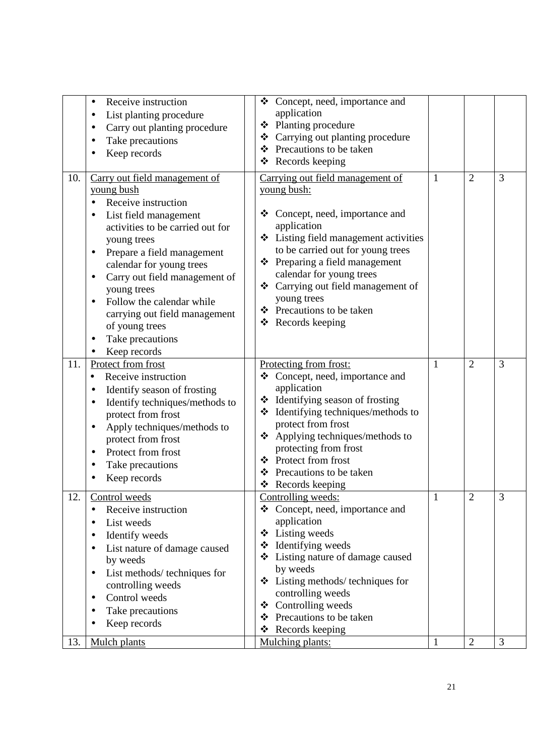|     | Receive instruction<br>List planting procedure<br>Carry out planting procedure<br>Take precautions<br>Keep records                                                                                                                                                                                                                                                                                          | ❖ Concept, need, importance and<br>application<br>❖ Planting procedure<br>Carrying out planting procedure<br>❖<br>❖ Precautions to be taken<br>Records keeping<br>❖                                                                                                                                                                                        |              |                |   |
|-----|-------------------------------------------------------------------------------------------------------------------------------------------------------------------------------------------------------------------------------------------------------------------------------------------------------------------------------------------------------------------------------------------------------------|------------------------------------------------------------------------------------------------------------------------------------------------------------------------------------------------------------------------------------------------------------------------------------------------------------------------------------------------------------|--------------|----------------|---|
| 10. | Carry out field management of<br>young bush<br>Receive instruction<br>List field management<br>activities to be carried out for<br>young trees<br>Prepare a field management<br>$\bullet$<br>calendar for young trees<br>Carry out field management of<br>٠<br>young trees<br>Follow the calendar while<br>carrying out field management<br>of young trees<br>Take precautions<br>$\bullet$<br>Keep records | Carrying out field management of<br>young bush:<br>Concept, need, importance and<br>❖<br>application<br>❖ Listing field management activities<br>to be carried out for young trees<br>Preparing a field management<br>❖<br>calendar for young trees<br>❖ Carrying out field management of<br>young trees<br>❖ Precautions to be taken<br>❖ Records keeping | 1            | $\overline{2}$ | 3 |
| 11. | Protect from frost<br>Receive instruction<br>٠<br>Identify season of frosting<br>Identify techniques/methods to<br>protect from frost<br>Apply techniques/methods to<br>protect from frost<br>Protect from frost<br>Take precautions<br>Keep records                                                                                                                                                        | Protecting from frost:<br>Concept, need, importance and<br>❖<br>application<br>Identifying season of frosting<br>❖<br>Identifying techniques/methods to<br>❖<br>protect from frost<br>❖ Applying techniques/methods to<br>protecting from frost<br>Protect from frost<br>❖<br>Precautions to be taken<br>❖<br>❖ Records keeping                            | 1            | $\overline{2}$ | 3 |
| 12. | Control weeds<br>Receive instruction<br>$\bullet$<br>List weeds<br>$\bullet$<br>Identify weeds<br>List nature of damage caused<br>$\bullet$<br>by weeds<br>List methods/ techniques for<br>٠<br>controlling weeds<br>Control weeds<br>$\bullet$<br>Take precautions<br>Keep records                                                                                                                         | Controlling weeds:<br>Concept, need, importance and<br>❖<br>application<br>$\triangleleft$ Listing weeds<br>❖ Identifying weeds<br>Listing nature of damage caused<br>❖<br>by weeds<br>$\triangleleft$ Listing methods/techniques for<br>controlling weeds<br>Controlling weeds<br>❖<br>Precautions to be taken<br>❖<br>Records keeping<br>❖               | $\mathbf{1}$ | $\overline{2}$ | 3 |
| 13. | Mulch plants                                                                                                                                                                                                                                                                                                                                                                                                | Mulching plants:                                                                                                                                                                                                                                                                                                                                           | $\mathbf{1}$ | $\overline{2}$ | 3 |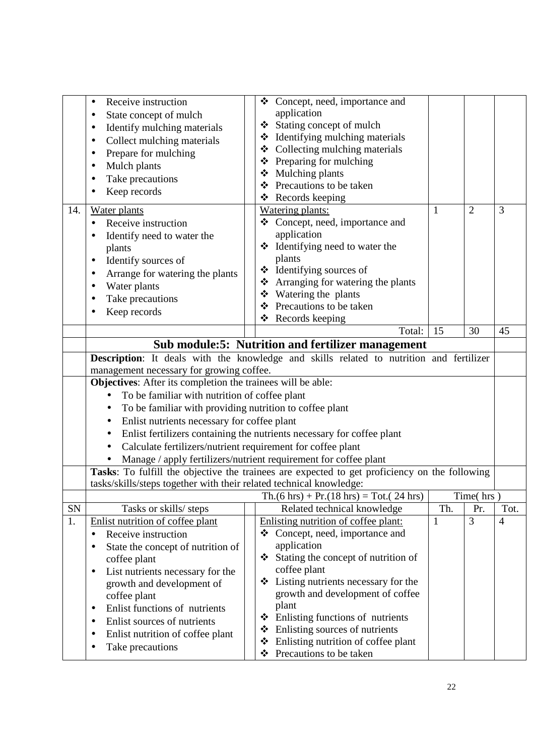|            | Receive instruction<br>$\bullet$                                         | ❖ | Concept, need, importance and                                                                 |     |                |                |
|------------|--------------------------------------------------------------------------|---|-----------------------------------------------------------------------------------------------|-----|----------------|----------------|
|            | State concept of mulch                                                   |   | application                                                                                   |     |                |                |
|            | Identify mulching materials                                              |   | ❖ Stating concept of mulch                                                                    |     |                |                |
|            | Collect mulching materials                                               |   | ❖ Identifying mulching materials                                                              |     |                |                |
|            | Prepare for mulching                                                     |   | ❖ Collecting mulching materials                                                               |     |                |                |
|            |                                                                          |   | ❖ Preparing for mulching                                                                      |     |                |                |
|            | Mulch plants                                                             |   | ❖ Mulching plants                                                                             |     |                |                |
|            | Take precautions                                                         |   | ❖ Precautions to be taken                                                                     |     |                |                |
|            | Keep records                                                             |   | $\triangleleft$ Records keeping                                                               |     |                |                |
| 14.        | Water plants                                                             |   | <b>Watering plants:</b>                                                                       | 1   | $\overline{2}$ | 3              |
|            | Receive instruction<br>$\bullet$                                         |   | ❖ Concept, need, importance and                                                               |     |                |                |
|            | Identify need to water the                                               |   | application                                                                                   |     |                |                |
|            | plants                                                                   |   | ❖ Identifying need to water the                                                               |     |                |                |
|            | Identify sources of                                                      |   | plants                                                                                        |     |                |                |
|            |                                                                          |   | ❖ Identifying sources of                                                                      |     |                |                |
|            | Arrange for watering the plants                                          |   | ❖ Arranging for watering the plants                                                           |     |                |                |
|            | Water plants                                                             |   | ❖ Watering the plants                                                                         |     |                |                |
|            | Take precautions                                                         | ❖ | Precautions to be taken                                                                       |     |                |                |
|            | Keep records                                                             |   | ❖ Records keeping                                                                             |     |                |                |
|            |                                                                          |   | Total:                                                                                        | 15  | 30             | 45             |
|            |                                                                          |   | Sub module:5: Nutrition and fertilizer management                                             |     |                |                |
|            |                                                                          |   | Description: It deals with the knowledge and skills related to nutrition and fertilizer       |     |                |                |
|            | management necessary for growing coffee.                                 |   |                                                                                               |     |                |                |
|            | Objectives: After its completion the trainees will be able:              |   |                                                                                               |     |                |                |
|            |                                                                          |   |                                                                                               |     |                |                |
|            | To be familiar with nutrition of coffee plant<br>$\bullet$               |   |                                                                                               |     |                |                |
|            | To be familiar with providing nutrition to coffee plant                  |   |                                                                                               |     |                |                |
|            | Enlist nutrients necessary for coffee plant<br>$\bullet$                 |   |                                                                                               |     |                |                |
|            | $\bullet$                                                                |   | Enlist fertilizers containing the nutrients necessary for coffee plant                        |     |                |                |
|            | Calculate fertilizers/nutrient requirement for coffee plant<br>$\bullet$ |   |                                                                                               |     |                |                |
|            | Manage / apply fertilizers/nutrient requirement for coffee plant         |   |                                                                                               |     |                |                |
|            |                                                                          |   | Tasks: To fulfill the objective the trainees are expected to get proficiency on the following |     |                |                |
|            | tasks/skills/steps together with their related technical knowledge:      |   |                                                                                               |     |                |                |
|            |                                                                          |   | $\text{Th.}(6 \text{ hrs}) + \text{Pr.}(18 \text{ hrs}) = \text{Tot.}(24 \text{ hrs})$        |     | Time(hrs)      |                |
| ${\rm SN}$ | Tasks or skills/ steps                                                   |   | Related technical knowledge                                                                   | Th. | Pr.            | Tot.           |
| 1.         | Enlist nutrition of coffee plant                                         |   | Enlisting nutrition of coffee plant:                                                          | 1   | 3              | $\overline{4}$ |
|            | Receive instruction                                                      | ❖ | Concept, need, importance and                                                                 |     |                |                |
|            | State the concept of nutrition of                                        |   | application                                                                                   |     |                |                |
|            | coffee plant                                                             | ❖ | Stating the concept of nutrition of                                                           |     |                |                |
|            | List nutrients necessary for the<br>$\bullet$                            |   | coffee plant                                                                                  |     |                |                |
|            | growth and development of                                                | ❖ | Listing nutrients necessary for the                                                           |     |                |                |
|            | coffee plant                                                             |   | growth and development of coffee                                                              |     |                |                |
|            | Enlist functions of nutrients<br>٠                                       |   | plant                                                                                         |     |                |                |
|            | Enlist sources of nutrients                                              | ❖ | Enlisting functions of nutrients                                                              |     |                |                |
|            | Enlist nutrition of coffee plant                                         | ❖ | Enlisting sources of nutrients                                                                |     |                |                |
|            | Take precautions<br>٠                                                    | ❖ | Enlisting nutrition of coffee plant                                                           |     |                |                |
|            |                                                                          | ❖ | Precautions to be taken                                                                       |     |                |                |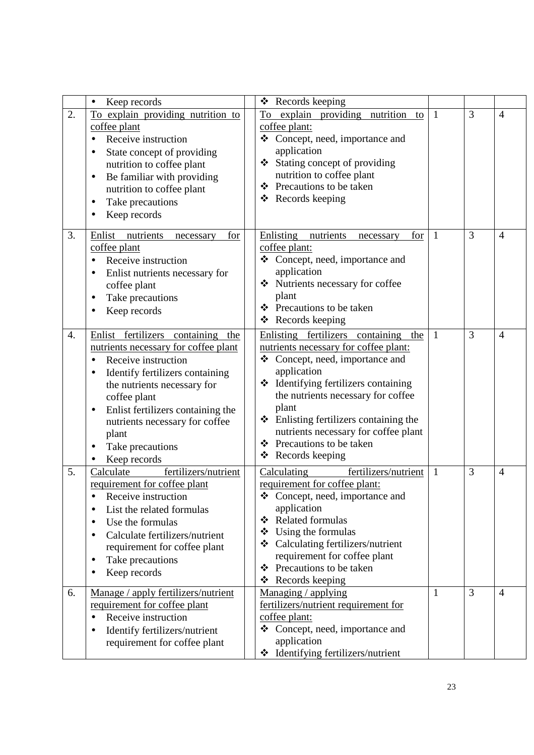|    | Keep records<br>$\bullet$                                                                                                                                                                                                                                                                                                        | ❖ Records keeping                                                                                                                                                                                                                                                                                                                                                          |              |                |                |
|----|----------------------------------------------------------------------------------------------------------------------------------------------------------------------------------------------------------------------------------------------------------------------------------------------------------------------------------|----------------------------------------------------------------------------------------------------------------------------------------------------------------------------------------------------------------------------------------------------------------------------------------------------------------------------------------------------------------------------|--------------|----------------|----------------|
| 2. | To explain providing nutrition to<br>coffee plant<br>Receive instruction<br>State concept of providing<br>nutrition to coffee plant<br>Be familiar with providing<br>$\bullet$<br>nutrition to coffee plant<br>Take precautions<br>Keep records                                                                                  | To explain providing nutrition<br>to<br>coffee plant:<br>Concept, need, importance and<br>❖<br>application<br>❖ Stating concept of providing<br>nutrition to coffee plant<br>Precautions to be taken<br>❖<br>$\triangleleft$ Records keeping                                                                                                                               | 1            | 3              | $\overline{4}$ |
| 3. | Enlist<br>nutrients<br>for<br>necessary<br>coffee plant<br>Receive instruction<br>Enlist nutrients necessary for<br>coffee plant<br>Take precautions<br>Keep records                                                                                                                                                             | Enlisting nutrients<br>for<br>necessary<br>coffee plant:<br>❖ Concept, need, importance and<br>application<br>Nutrients necessary for coffee<br>plant<br>Precautions to be taken<br>❖<br>Records keeping<br>❖                                                                                                                                                              | 1            | 3              | $\overline{4}$ |
| 4. | Enlist fertilizers containing the<br>nutrients necessary for coffee plant<br>Receive instruction<br>$\bullet$<br>Identify fertilizers containing<br>the nutrients necessary for<br>coffee plant<br>Enlist fertilizers containing the<br>$\bullet$<br>nutrients necessary for coffee<br>plant<br>Take precautions<br>Keep records | Enlisting fertilizers containing the<br>nutrients necessary for coffee plant:<br>❖ Concept, need, importance and<br>application<br>* Identifying fertilizers containing<br>the nutrients necessary for coffee<br>plant<br>$\triangle$ Enlisting fertilizers containing the<br>nutrients necessary for coffee plant<br>Precautions to be taken<br>❖<br>Records keeping<br>❖ | 1            | 3              | $\overline{4}$ |
| 5. | fertilizers/nutrient<br>Calculate<br>requirement for coffee plant<br>Receive instruction<br>List the related formulas<br>$\bullet$<br>Use the formulas<br>Calculate fertilizers/nutrient<br>requirement for coffee plant<br>Take precautions<br>٠<br>Keep records<br>$\bullet$                                                   | fertilizers/nutrient<br>Calculating<br>requirement for coffee plant:<br>❖ Concept, need, importance and<br>application<br><b>Related formulas</b><br>❖<br>Using the formulas<br>❖<br>❖ Calculating fertilizers/nutrient<br>requirement for coffee plant<br>Precautions to be taken<br>❖<br>Records keeping<br>❖                                                            | $\mathbf{1}$ | 3              | $\overline{4}$ |
| 6. | Manage / apply fertilizers/nutrient<br>requirement for coffee plant<br>Receive instruction<br>$\bullet$<br>Identify fertilizers/nutrient<br>requirement for coffee plant                                                                                                                                                         | Managing / applying<br>fertilizers/nutrient requirement for<br>coffee plant:<br>❖ Concept, need, importance and<br>application<br>Identifying fertilizers/nutrient<br>❖                                                                                                                                                                                                    | 1            | $\overline{3}$ | $\overline{4}$ |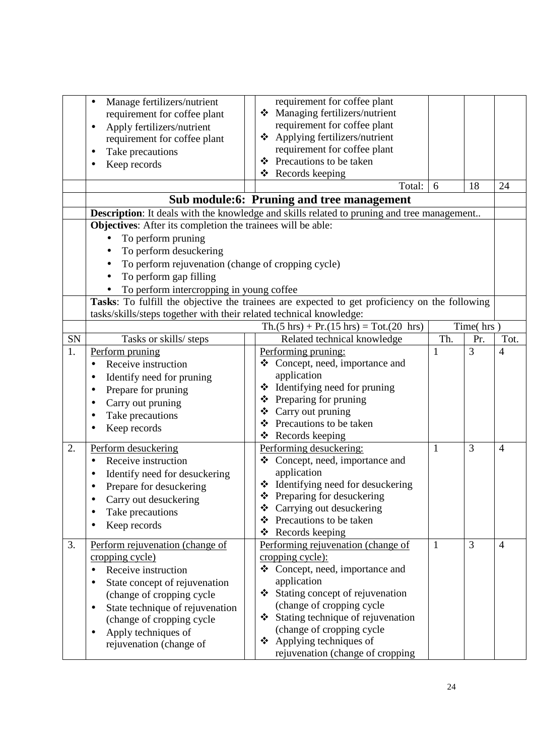|    | Manage fertilizers/nutrient<br>$\bullet$<br>requirement for coffee plant<br>Apply fertilizers/nutrient<br>$\bullet$<br>requirement for coffee plant<br>Take precautions<br>Keep records                                                                                     | requirement for coffee plant<br>Managing fertilizers/nutrient<br>❖<br>requirement for coffee plant<br>Applying fertilizers/nutrient<br>❖<br>requirement for coffee plant<br>❖ Precautions to be taken<br>Records keeping<br>❖<br>Total:<br>Sub module:6: Pruning and tree management<br><b>Description</b> : It deals with the knowledge and skills related to pruning and tree management | 6            | 18             | 24             |
|----|-----------------------------------------------------------------------------------------------------------------------------------------------------------------------------------------------------------------------------------------------------------------------------|--------------------------------------------------------------------------------------------------------------------------------------------------------------------------------------------------------------------------------------------------------------------------------------------------------------------------------------------------------------------------------------------|--------------|----------------|----------------|
|    | <b>Objectives:</b> After its completion the trainees will be able:<br>To perform pruning<br>To perform desuckering<br>To perform rejuvenation (change of cropping cycle)<br>$\bullet$<br>To perform gap filling<br>To perform intercropping in young coffee                 |                                                                                                                                                                                                                                                                                                                                                                                            |              |                |                |
|    | tasks/skills/steps together with their related technical knowledge:                                                                                                                                                                                                         | Tasks: To fulfill the objective the trainees are expected to get proficiency on the following                                                                                                                                                                                                                                                                                              |              |                |                |
|    |                                                                                                                                                                                                                                                                             | $Th.(5 hrs) + Pr.(15 hrs) = Tot.(20 hrs)$                                                                                                                                                                                                                                                                                                                                                  |              | Time(hrs)      |                |
| SN | Tasks or skills/ steps                                                                                                                                                                                                                                                      | Related technical knowledge                                                                                                                                                                                                                                                                                                                                                                | Th.          | Pr.            | Tot.           |
| 1. | Perform pruning<br>Receive instruction<br>Identify need for pruning<br>Prepare for pruning<br>Carry out pruning<br>Take precautions<br>Keep records                                                                                                                         | Performing pruning:<br>Concept, need, importance and<br>application<br>❖ Identifying need for pruning<br>$\triangle$ Preparing for pruning<br>Carry out pruning<br>❖<br>Precautions to be taken<br>❖<br>❖ Records keeping                                                                                                                                                                  | $\mathbf{1}$ | 3              | $\overline{4}$ |
| 2. | Perform desuckering<br>Receive instruction<br>Identify need for desuckering<br>Prepare for desuckering<br>Carry out desuckering<br>Take precautions<br>Keep records                                                                                                         | Performing desuckering:<br>Concept, need, importance and<br>❖<br>application<br>❖ Identifying need for desuckering<br>❖ Preparing for desuckering<br>Carrying out desuckering<br>❖<br>Precautions to be taken<br>❖<br>Records keeping<br>❖                                                                                                                                                 | $\mathbf{1}$ | $\overline{3}$ | $\overline{4}$ |
| 3. | Perform rejuvenation (change of<br>cropping cycle)<br>Receive instruction<br>State concept of rejuvenation<br>(change of cropping cycle<br>State technique of rejuvenation<br>$\bullet$<br>(change of cropping cycle<br>Apply techniques of<br>٠<br>rejuvenation (change of | Performing rejuvenation (change of<br>cropping cycle):<br>Concept, need, importance and<br>❖<br>application<br>Stating concept of rejuvenation<br>(change of cropping cycle<br>Stating technique of rejuvenation<br>❖<br>(change of cropping cycle<br>Applying techniques of<br>❖<br>rejuvenation (change of cropping                                                                      | $\mathbf{1}$ | $\overline{3}$ | $\overline{4}$ |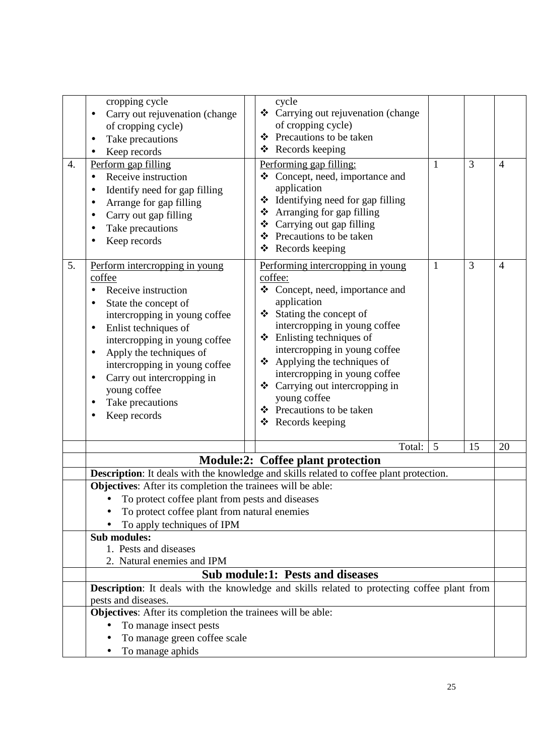| 4. | cropping cycle<br>Carry out rejuvenation (change<br>of cropping cycle)<br>Take precautions<br>Keep records<br>Perform gap filling<br>Receive instruction<br>Identify need for gap filling<br>Arrange for gap filling<br>Carry out gap filling<br>Take precautions<br>Keep records                                                            | cycle<br>❖ Carrying out rejuvenation (change<br>of cropping cycle)<br>❖ Precautions to be taken<br>Records keeping<br>❖<br>Performing gap filling:<br>Concept, need, importance and<br>❖<br>application<br>$\triangleleft$ Identifying need for gap filling<br>❖ Arranging for gap filling<br>Carrying out gap filling<br>❖<br>❖ Precautions to be taken<br>❖ Records keeping                       | $\mathbf{1}$ | $\overline{3}$ | $\overline{4}$ |
|----|----------------------------------------------------------------------------------------------------------------------------------------------------------------------------------------------------------------------------------------------------------------------------------------------------------------------------------------------|-----------------------------------------------------------------------------------------------------------------------------------------------------------------------------------------------------------------------------------------------------------------------------------------------------------------------------------------------------------------------------------------------------|--------------|----------------|----------------|
| 5. | Perform intercropping in young<br>coffee<br>Receive instruction<br>State the concept of<br>intercropping in young coffee<br>Enlist techniques of<br>$\bullet$<br>intercropping in young coffee<br>Apply the techniques of<br>intercropping in young coffee<br>Carry out intercropping in<br>young coffee<br>Take precautions<br>Keep records | Performing intercropping in young<br>coffee:<br>Concept, need, importance and<br>❖<br>application<br>Stating the concept of<br>intercropping in young coffee<br>Enlisting techniques of<br>❖<br>intercropping in young coffee<br>❖ Applying the techniques of<br>intercropping in young coffee<br>❖ Carrying out intercropping in<br>young coffee<br>❖ Precautions to be taken<br>❖ Records keeping | $\mathbf{1}$ | 3              | $\overline{4}$ |
|    |                                                                                                                                                                                                                                                                                                                                              | Total:                                                                                                                                                                                                                                                                                                                                                                                              | 5            | 15             | 20             |
|    |                                                                                                                                                                                                                                                                                                                                              | <b>Module:2: Coffee plant protection</b>                                                                                                                                                                                                                                                                                                                                                            |              |                |                |
|    |                                                                                                                                                                                                                                                                                                                                              | Description: It deals with the knowledge and skills related to coffee plant protection.                                                                                                                                                                                                                                                                                                             |              |                |                |
|    | Objectives: After its completion the trainees will be able:<br>To protect coffee plant from pests and diseases<br>To protect coffee plant from natural enemies<br>To apply techniques of IPM                                                                                                                                                 |                                                                                                                                                                                                                                                                                                                                                                                                     |              |                |                |
|    | <b>Sub modules:</b><br>1. Pests and diseases                                                                                                                                                                                                                                                                                                 |                                                                                                                                                                                                                                                                                                                                                                                                     |              |                |                |
|    | 2. Natural enemies and IPM                                                                                                                                                                                                                                                                                                                   |                                                                                                                                                                                                                                                                                                                                                                                                     |              |                |                |
|    |                                                                                                                                                                                                                                                                                                                                              | <b>Sub module:1: Pests and diseases</b>                                                                                                                                                                                                                                                                                                                                                             |              |                |                |
|    | pests and diseases.                                                                                                                                                                                                                                                                                                                          | Description: It deals with the knowledge and skills related to protecting coffee plant from                                                                                                                                                                                                                                                                                                         |              |                |                |
|    | Objectives: After its completion the trainees will be able:<br>To manage insect pests<br>To manage green coffee scale<br>To manage aphids<br>٠                                                                                                                                                                                               |                                                                                                                                                                                                                                                                                                                                                                                                     |              |                |                |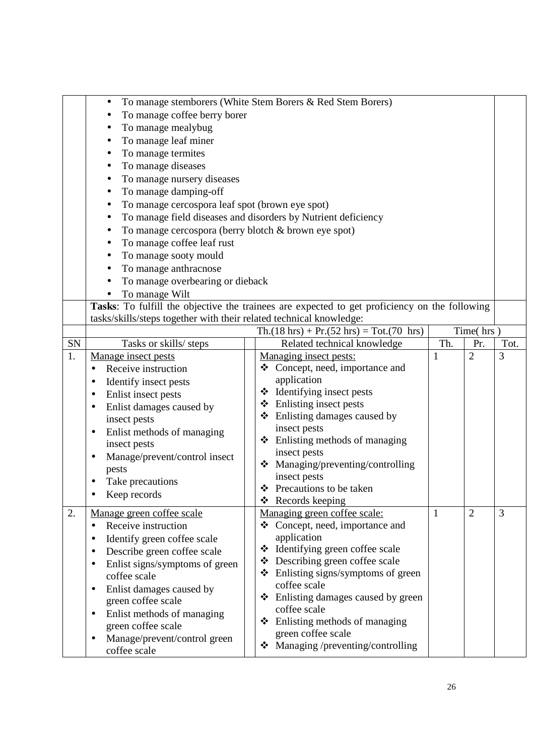|    |                                                                                                      | To manage stemborers (White Stem Borers & Red Stem Borers)    |     |                |      |  |  |  |  |
|----|------------------------------------------------------------------------------------------------------|---------------------------------------------------------------|-----|----------------|------|--|--|--|--|
|    | To manage coffee berry borer                                                                         |                                                               |     |                |      |  |  |  |  |
|    | To manage mealybug                                                                                   |                                                               |     |                |      |  |  |  |  |
|    | To manage leaf miner                                                                                 |                                                               |     |                |      |  |  |  |  |
|    | To manage termites                                                                                   |                                                               |     |                |      |  |  |  |  |
|    | To manage diseases                                                                                   |                                                               |     |                |      |  |  |  |  |
|    | To manage nursery diseases                                                                           |                                                               |     |                |      |  |  |  |  |
|    | To manage damping-off<br>٠                                                                           |                                                               |     |                |      |  |  |  |  |
|    | To manage cercospora leaf spot (brown eye spot)                                                      |                                                               |     |                |      |  |  |  |  |
|    |                                                                                                      | To manage field diseases and disorders by Nutrient deficiency |     |                |      |  |  |  |  |
|    | To manage cercospora (berry blotch & brown eye spot)                                                 |                                                               |     |                |      |  |  |  |  |
|    | To manage coffee leaf rust                                                                           |                                                               |     |                |      |  |  |  |  |
|    | To manage sooty mould<br>٠                                                                           |                                                               |     |                |      |  |  |  |  |
|    | To manage anthracnose                                                                                |                                                               |     |                |      |  |  |  |  |
|    | To manage overbearing or dieback                                                                     |                                                               |     |                |      |  |  |  |  |
|    | To manage Wilt<br>$\bullet$                                                                          |                                                               |     |                |      |  |  |  |  |
|    | Tasks: To fulfill the objective the trainees are expected to get proficiency on the following        |                                                               |     |                |      |  |  |  |  |
|    | tasks/skills/steps together with their related technical knowledge:                                  |                                                               |     |                |      |  |  |  |  |
|    | $\text{Th.}(18 \text{ hrs}) + \text{Pr.}(52 \text{ hrs}) = \text{Tot.}(70 \text{ hrs})$<br>Time(hrs) |                                                               |     |                |      |  |  |  |  |
| SN | Tasks or skills/ steps                                                                               | Related technical knowledge                                   | Th. | Pr.            | Tot. |  |  |  |  |
| 1. | Manage insect pests                                                                                  | Managing insect pests:                                        | 1   | $\overline{2}$ | 3    |  |  |  |  |
|    | Receive instruction                                                                                  | ❖ Concept, need, importance and                               |     |                |      |  |  |  |  |
|    | Identify insect pests                                                                                | application                                                   |     |                |      |  |  |  |  |
|    | Enlist insect pests                                                                                  | ❖ Identifying insect pests                                    |     |                |      |  |  |  |  |
|    | Enlist damages caused by                                                                             | Enlisting insect pests<br>❖                                   |     |                |      |  |  |  |  |
|    | insect pests                                                                                         | Enlisting damages caused by<br>❖                              |     |                |      |  |  |  |  |
|    | Enlist methods of managing<br>٠                                                                      | insect pests                                                  |     |                |      |  |  |  |  |
|    | insect pests                                                                                         | ❖ Enlisting methods of managing                               |     |                |      |  |  |  |  |
|    | Manage/prevent/control insect                                                                        | insect pests<br>Managing/preventing/controlling<br>❖          |     |                |      |  |  |  |  |
|    | pests                                                                                                | insect pests                                                  |     |                |      |  |  |  |  |
|    | Take precautions                                                                                     | Precautions to be taken<br>❖                                  |     |                |      |  |  |  |  |
|    | Keep records                                                                                         | $\triangleleft$ Records keeping                               |     |                |      |  |  |  |  |
| 2. | Manage green coffee scale                                                                            | Managing green coffee scale:                                  | 1   | $\overline{2}$ | 3    |  |  |  |  |
|    | Receive instruction                                                                                  | ❖ Concept, need, importance and                               |     |                |      |  |  |  |  |
|    | Identify green coffee scale                                                                          | application                                                   |     |                |      |  |  |  |  |
|    | Describe green coffee scale                                                                          | Identifying green coffee scale<br>❖                           |     |                |      |  |  |  |  |
|    | Enlist signs/symptoms of green<br>$\bullet$                                                          | Describing green coffee scale<br>❖                            |     |                |      |  |  |  |  |
|    | coffee scale                                                                                         | Enlisting signs/symptoms of green<br>❖                        |     |                |      |  |  |  |  |
|    | Enlist damages caused by<br>$\bullet$                                                                | coffee scale                                                  |     |                |      |  |  |  |  |
|    | green coffee scale                                                                                   | Enlisting damages caused by green<br>❖                        |     |                |      |  |  |  |  |
|    | Enlist methods of managing<br>٠                                                                      | coffee scale                                                  |     |                |      |  |  |  |  |
|    | green coffee scale                                                                                   | Enlisting methods of managing<br>❖                            |     |                |      |  |  |  |  |
|    | Manage/prevent/control green                                                                         | green coffee scale                                            |     |                |      |  |  |  |  |
|    | coffee scale                                                                                         | Managing /preventing/controlling<br>❖                         |     |                |      |  |  |  |  |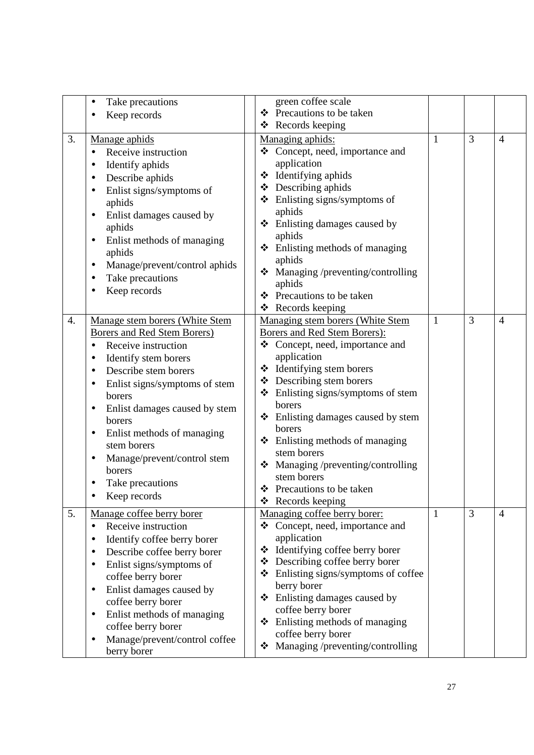|                  | Take precautions<br>٠<br>Keep records                                                                                                                                                                                                                                                                                                                                         | green coffee scale<br>❖ Precautions to be taken<br>❖ Records keeping                                                                                                                                                                                                                                                                                                                                                                                                 |   |   |                |
|------------------|-------------------------------------------------------------------------------------------------------------------------------------------------------------------------------------------------------------------------------------------------------------------------------------------------------------------------------------------------------------------------------|----------------------------------------------------------------------------------------------------------------------------------------------------------------------------------------------------------------------------------------------------------------------------------------------------------------------------------------------------------------------------------------------------------------------------------------------------------------------|---|---|----------------|
| 3.               | Manage aphids<br>Receive instruction<br>Identify aphids<br>Describe aphids<br>Enlist signs/symptoms of<br>aphids<br>Enlist damages caused by<br>aphids<br>Enlist methods of managing<br>٠<br>aphids<br>Manage/prevent/control aphids<br>Take precautions<br>Keep records                                                                                                      | Managing aphids:<br>Concept, need, importance and<br>application<br>Identifying aphids<br>❖<br>Describing aphids<br>❖<br>$\triangleleft$ Enlisting signs/symptoms of<br>aphids<br>Enlisting damages caused by<br>❖<br>aphids<br>$\div$ Enlisting methods of managing<br>aphids<br>Managing /preventing/controlling<br>❖<br>aphids<br>Precautions to be taken<br>❖<br>❖ Records keeping                                                                               | 1 | 3 | $\overline{4}$ |
| $\overline{4}$ . | Manage stem borers (White Stem<br><b>Borers and Red Stem Borers)</b><br>Receive instruction<br>Identify stem borers<br>Describe stem borers<br>Enlist signs/symptoms of stem<br>borers<br>Enlist damages caused by stem<br>$\bullet$<br>borers<br>Enlist methods of managing<br>stem borers<br>Manage/prevent/control stem<br>٠<br>borers<br>Take precautions<br>Keep records | Managing stem borers (White Stem<br>Borers and Red Stem Borers):<br>❖ Concept, need, importance and<br>application<br>Identifying stem borers<br>❖<br>Describing stem borers<br>❖<br>$\triangleleft$ Enlisting signs/symptoms of stem<br>borers<br>Enlisting damages caused by stem<br>❖<br>borers<br>Enlisting methods of managing<br>❖<br>stem borers<br>Managing /preventing/controlling<br>❖<br>stem borers<br>❖ Precautions to be taken<br>Records keeping<br>❖ | 1 | 3 | $\overline{4}$ |
| 5.               | Manage coffee berry borer<br>Receive instruction<br>Identify coffee berry borer<br>Describe coffee berry borer<br>Enlist signs/symptoms of<br>coffee berry borer<br>Enlist damages caused by<br>٠<br>coffee berry borer<br>Enlist methods of managing<br>$\bullet$<br>coffee berry borer<br>Manage/prevent/control coffee<br>$\bullet$<br>berry borer                         | Managing coffee berry borer:<br>Concept, need, importance and<br>❖<br>application<br>Identifying coffee berry borer<br>❖<br>Describing coffee berry borer<br>❖<br>Enlisting signs/symptoms of coffee<br>❖<br>berry borer<br>Enlisting damages caused by<br>❖<br>coffee berry borer<br>Enlisting methods of managing<br>❖<br>coffee berry borer<br>Managing /preventing/controlling                                                                                   | 1 | 3 | $\overline{4}$ |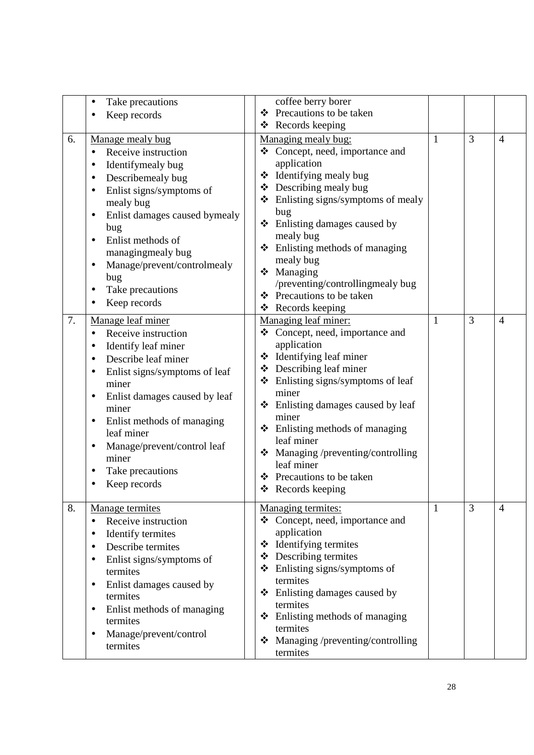|    | Take precautions<br>Keep records                                                                                                                                                                                                                                                                                                          | coffee berry borer<br>Precautions to be taken<br>❖<br>❖ Records keeping                                                                                                                                                                                                                                                                                                                                                            |   |   |                |
|----|-------------------------------------------------------------------------------------------------------------------------------------------------------------------------------------------------------------------------------------------------------------------------------------------------------------------------------------------|------------------------------------------------------------------------------------------------------------------------------------------------------------------------------------------------------------------------------------------------------------------------------------------------------------------------------------------------------------------------------------------------------------------------------------|---|---|----------------|
| 6. | Manage mealy bug<br>Receive instruction<br>$\bullet$<br>Identifymealy bug<br>Describemealy bug<br>٠<br>Enlist signs/symptoms of<br>mealy bug<br>Enlist damages caused bymealy<br>bug<br>Enlist methods of<br>managingmealy bug<br>Manage/prevent/controlmealy<br>bug<br>Take precautions<br>Keep records                                  | Managing mealy bug:<br>❖ Concept, need, importance and<br>application<br>Identifying mealy bug<br>❖<br>❖ Describing mealy bug<br>$\triangleleft$ Enlisting signs/symptoms of mealy<br>bug<br>❖ Enlisting damages caused by<br>mealy bug<br>Enlisting methods of managing<br>❖<br>mealy bug<br>Managing<br>❖<br>/preventing/controllingmealy bug<br>Precautions to be taken<br>❖                                                    | 1 | 3 | $\overline{4}$ |
| 7. | Manage leaf miner<br>Receive instruction<br>$\bullet$<br>Identify leaf miner<br>Describe leaf miner<br>Enlist signs/symptoms of leaf<br>miner<br>Enlist damages caused by leaf<br>miner<br>Enlist methods of managing<br>$\bullet$<br>leaf miner<br>Manage/prevent/control leaf<br>$\bullet$<br>miner<br>Take precautions<br>Keep records | $\triangleleft$ Records keeping<br>Managing leaf miner:<br>Concept, need, importance and<br>❖<br>application<br>❖ Identifying leaf miner<br>Describing leaf miner<br>❖<br>Enlisting signs/symptoms of leaf<br>❖<br>miner<br>❖ Enlisting damages caused by leaf<br>miner<br>Enlisting methods of managing<br>❖<br>leaf miner<br>Managing /preventing/controlling<br>leaf miner<br>Precautions to be taken<br>❖<br>❖ Records keeping | 1 | 3 | $\overline{4}$ |
| 8. | Manage termites<br>Receive instruction<br>$\bullet$<br>Identify termites<br>Describe termites<br>Enlist signs/symptoms of<br>termites<br>Enlist damages caused by<br>٠<br>termites<br>Enlist methods of managing<br>$\bullet$<br>termites<br>Manage/prevent/control<br>$\bullet$<br>termites                                              | Managing termites:<br>Concept, need, importance and<br>❖<br>application<br>❖ Identifying termites<br>Describing termites<br>❖<br>Enlisting signs/symptoms of<br>❖<br>termites<br>Enlisting damages caused by<br>❖<br>termites<br>Enlisting methods of managing<br>❖<br>termites<br>Managing /preventing/controlling<br>❖<br>termites                                                                                               | 1 | 3 | $\overline{4}$ |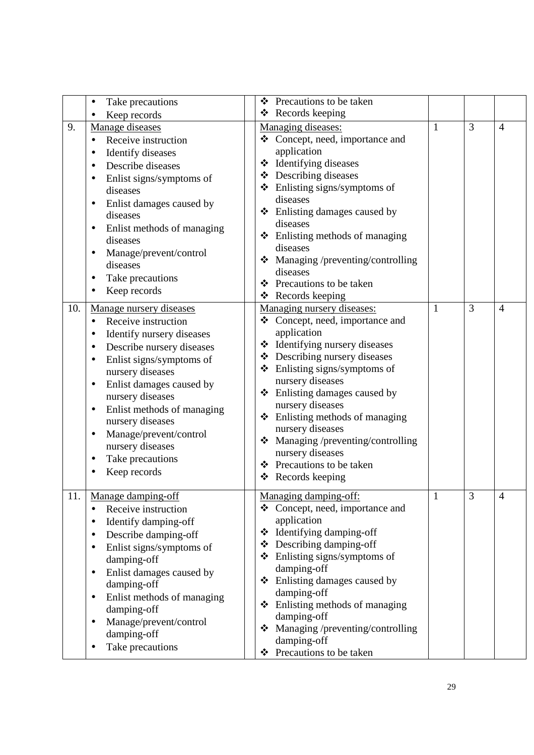|     | Take precautions                                       | ❖ | Precautions to be taken                                     |              |                |                |
|-----|--------------------------------------------------------|---|-------------------------------------------------------------|--------------|----------------|----------------|
|     | Keep records                                           |   | ❖ Records keeping                                           |              |                |                |
| 9.  | Manage diseases                                        |   | Managing diseases:                                          | 1            | $\overline{3}$ | $\overline{4}$ |
|     | Receive instruction<br>$\bullet$                       |   | ❖ Concept, need, importance and                             |              |                |                |
|     | <b>Identify diseases</b>                               |   | application                                                 |              |                |                |
|     | Describe diseases                                      |   | ❖ Identifying diseases                                      |              |                |                |
|     | Enlist signs/symptoms of                               |   | ❖ Describing diseases                                       |              |                |                |
|     | diseases                                               |   | ❖ Enlisting signs/symptoms of                               |              |                |                |
|     | Enlist damages caused by                               |   | diseases                                                    |              |                |                |
|     | diseases                                               |   | ❖ Enlisting damages caused by                               |              |                |                |
|     | Enlist methods of managing                             |   | diseases                                                    |              |                |                |
|     | diseases                                               |   | $\div$ Enlisting methods of managing                        |              |                |                |
|     | Manage/prevent/control<br>$\bullet$                    |   | diseases                                                    |              |                |                |
|     | diseases                                               |   | Managing /preventing/controlling                            |              |                |                |
|     | Take precautions                                       |   | diseases                                                    |              |                |                |
|     | Keep records                                           | ❖ | Precautions to be taken                                     |              |                |                |
|     |                                                        |   | ❖ Records keeping                                           |              | 3              |                |
| 10. | Manage nursery diseases                                | ❖ | Managing nursery diseases:<br>Concept, need, importance and | 1            |                | $\overline{4}$ |
|     | Receive instruction<br>$\bullet$                       |   | application                                                 |              |                |                |
|     | Identify nursery diseases<br>$\bullet$                 |   | ❖ Identifying nursery diseases                              |              |                |                |
|     | Describe nursery diseases                              |   | ❖ Describing nursery diseases                               |              |                |                |
|     | Enlist signs/symptoms of<br>$\bullet$                  |   | ❖ Enlisting signs/symptoms of                               |              |                |                |
|     | nursery diseases                                       |   | nursery diseases                                            |              |                |                |
|     | Enlist damages caused by                               |   | ❖ Enlisting damages caused by                               |              |                |                |
|     | nursery diseases                                       |   | nursery diseases                                            |              |                |                |
|     | Enlist methods of managing<br>$\bullet$                |   | $\div$ Enlisting methods of managing                        |              |                |                |
|     | nursery diseases                                       |   | nursery diseases                                            |              |                |                |
|     | Manage/prevent/control                                 |   | Managing /preventing/controlling                            |              |                |                |
|     | nursery diseases                                       |   | nursery diseases                                            |              |                |                |
|     | Take precautions                                       |   | ❖ Precautions to be taken                                   |              |                |                |
|     | Keep records                                           |   | $\triangleleft$ Records keeping                             |              |                |                |
|     |                                                        |   |                                                             |              | 3              |                |
| 11. | Manage damping-off<br>Receive instruction              |   | Managing damping-off:<br>❖ Concept, need, importance and    | $\mathbf{1}$ |                | $\overline{4}$ |
|     |                                                        |   | application                                                 |              |                |                |
|     | Identify damping-off<br>$\bullet$                      |   | ❖ Identifying damping-off                                   |              |                |                |
|     | Describe damping-off                                   |   | $\triangle$ Describing damping-off                          |              |                |                |
|     | Enlist signs/symptoms of                               |   | $\triangleleft$ Enlisting signs/symptoms of                 |              |                |                |
|     | damping-off                                            |   | damping-off                                                 |              |                |                |
|     | Enlist damages caused by<br>$\bullet$<br>damping-off   |   | ❖ Enlisting damages caused by                               |              |                |                |
|     |                                                        |   | damping-off                                                 |              |                |                |
|     | Enlist methods of managing<br>$\bullet$<br>damping-off |   | $\div$ Enlisting methods of managing                        |              |                |                |
|     | Manage/prevent/control                                 |   | damping-off                                                 |              |                |                |
|     | damping-off                                            | ❖ | Managing /preventing/controlling                            |              |                |                |
|     |                                                        |   | damping-off                                                 |              |                |                |
|     | Take precautions                                       |   | ❖ Precautions to be taken                                   |              |                |                |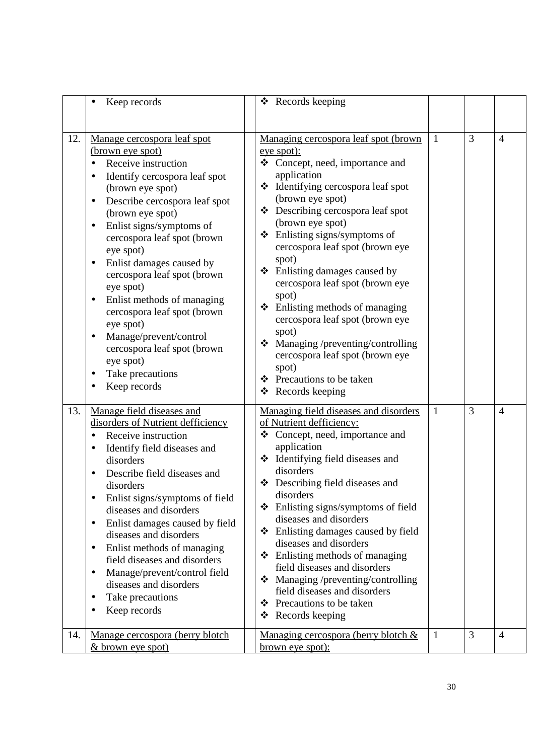|     | Keep records                                                                                                                                                                                                                                                                                                                                                                                                                                                                                                                                                             | $\triangleleft$ Records keeping                                                                                                                                                                                                                                                                                                                                                                                                                                                                                                                                                                                                             |   |   |                |
|-----|--------------------------------------------------------------------------------------------------------------------------------------------------------------------------------------------------------------------------------------------------------------------------------------------------------------------------------------------------------------------------------------------------------------------------------------------------------------------------------------------------------------------------------------------------------------------------|---------------------------------------------------------------------------------------------------------------------------------------------------------------------------------------------------------------------------------------------------------------------------------------------------------------------------------------------------------------------------------------------------------------------------------------------------------------------------------------------------------------------------------------------------------------------------------------------------------------------------------------------|---|---|----------------|
|     |                                                                                                                                                                                                                                                                                                                                                                                                                                                                                                                                                                          |                                                                                                                                                                                                                                                                                                                                                                                                                                                                                                                                                                                                                                             |   |   |                |
| 12. | Manage cercospora leaf spot<br>(brown eye spot)<br>Receive instruction<br>Identify cercospora leaf spot<br>(brown eye spot)<br>Describe cercospora leaf spot<br>$\bullet$<br>(brown eye spot)<br>Enlist signs/symptoms of<br>$\bullet$<br>cercospora leaf spot (brown<br>eye spot)<br>Enlist damages caused by<br>$\bullet$<br>cercospora leaf spot (brown<br>eye spot)<br>Enlist methods of managing<br>$\bullet$<br>cercospora leaf spot (brown<br>eye spot)<br>Manage/prevent/control<br>cercospora leaf spot (brown<br>eye spot)<br>Take precautions<br>Keep records | Managing cercospora leaf spot (brown<br>eye spot):<br>❖ Concept, need, importance and<br>application<br>Identifying cercospora leaf spot<br>❖<br>(brown eye spot)<br>❖ Describing cercospora leaf spot<br>(brown eye spot)<br>$\triangleleft$ Enlisting signs/symptoms of<br>cercospora leaf spot (brown eye<br>spot)<br>❖ Enlisting damages caused by<br>cercospora leaf spot (brown eye<br>spot)<br>$\div$ Enlisting methods of managing<br>cercospora leaf spot (brown eye<br>spot)<br>Managing /preventing/controlling<br>❖<br>cercospora leaf spot (brown eye<br>spot)<br>❖ Precautions to be taken<br>$\triangleleft$ Records keeping | 1 | 3 | $\overline{4}$ |
| 13. | Manage field diseases and<br>disorders of Nutrient defficiency<br>Receive instruction<br>Identify field diseases and<br>disorders<br>Describe field diseases and<br>disorders<br>Enlist signs/symptoms of field<br>diseases and disorders<br>Enlist damages caused by field<br>$\bullet$<br>diseases and disorders<br>Enlist methods of managing<br>$\bullet$<br>field diseases and disorders<br>Manage/prevent/control field<br>$\bullet$<br>diseases and disorders<br>Take precautions<br>$\bullet$<br>Keep records                                                    | Managing field diseases and disorders<br>of Nutrient defficiency:<br>Concept, need, importance and<br>❖<br>application<br>❖ Identifying field diseases and<br>disorders<br>❖ Describing field diseases and<br>disorders<br>$\triangleleft$ Enlisting signs/symptoms of field<br>diseases and disorders<br>❖ Enlisting damages caused by field<br>diseases and disorders<br>❖ Enlisting methods of managing<br>field diseases and disorders<br>Managing /preventing/controlling<br>❖<br>field diseases and disorders<br>Precautions to be taken<br>❖<br>Records keeping<br>❖                                                                 | 1 | 3 | $\overline{4}$ |
| 14. | Manage cercospora (berry blotch<br><u>&amp; brown eye spot)</u>                                                                                                                                                                                                                                                                                                                                                                                                                                                                                                          | Managing cercospora (berry blotch &<br>brown eye spot):                                                                                                                                                                                                                                                                                                                                                                                                                                                                                                                                                                                     | 1 | 3 | $\overline{4}$ |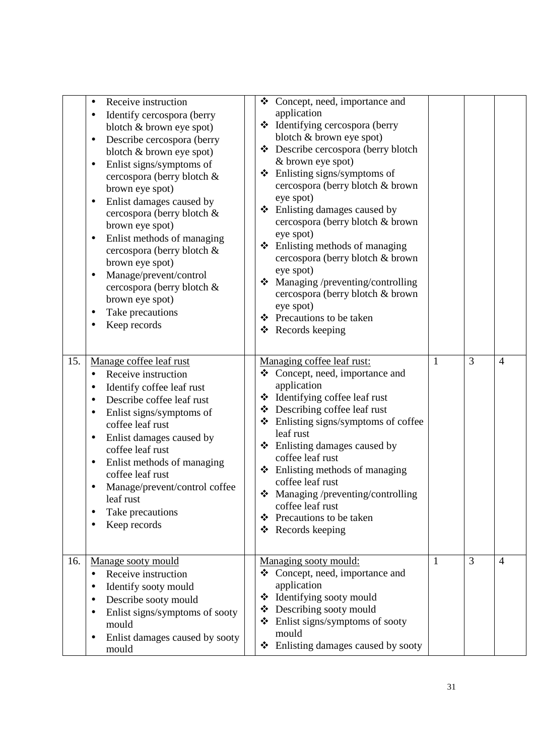|     | Receive instruction<br>$\bullet$<br>Identify cercospora (berry<br>٠<br>blotch & brown eye spot)<br>Describe cercospora (berry<br>$\bullet$<br>blotch & brown eye spot)<br>Enlist signs/symptoms of<br>$\bullet$<br>cercospora (berry blotch &<br>brown eye spot)<br>Enlist damages caused by<br>$\bullet$<br>cercospora (berry blotch &<br>brown eye spot)<br>Enlist methods of managing<br>$\bullet$<br>cercospora (berry blotch &<br>brown eye spot)<br>Manage/prevent/control<br>$\bullet$<br>cercospora (berry blotch &<br>brown eye spot)<br>Take precautions<br>٠<br>Keep records | ❖<br>❖<br>❖           | ❖ Concept, need, importance and<br>application<br>❖ Identifying cercospora (berry<br>blotch & brown eye spot)<br>❖ Describe cercospora (berry blotch<br>& brown eye spot)<br>Enlisting signs/symptoms of<br>cercospora (berry blotch & brown<br>eye spot)<br>❖ Enlisting damages caused by<br>cercospora (berry blotch & brown<br>eye spot)<br>Enlisting methods of managing<br>cercospora (berry blotch & brown<br>eye spot)<br>Managing /preventing/controlling<br>cercospora (berry blotch & brown<br>eye spot)<br>❖ Precautions to be taken<br>❖ Records keeping |   |   |                |
|-----|-----------------------------------------------------------------------------------------------------------------------------------------------------------------------------------------------------------------------------------------------------------------------------------------------------------------------------------------------------------------------------------------------------------------------------------------------------------------------------------------------------------------------------------------------------------------------------------------|-----------------------|----------------------------------------------------------------------------------------------------------------------------------------------------------------------------------------------------------------------------------------------------------------------------------------------------------------------------------------------------------------------------------------------------------------------------------------------------------------------------------------------------------------------------------------------------------------------|---|---|----------------|
| 15. | Manage coffee leaf rust<br>Receive instruction<br>$\bullet$<br>Identify coffee leaf rust<br>٠<br>Describe coffee leaf rust<br>Enlist signs/symptoms of<br>$\bullet$<br>coffee leaf rust<br>Enlist damages caused by<br>$\bullet$<br>coffee leaf rust<br>Enlist methods of managing<br>٠<br>coffee leaf rust<br>Manage/prevent/control coffee<br>$\bullet$<br>leaf rust<br>Take precautions<br>٠<br>Keep records                                                                                                                                                                         | ❖<br>❖<br>❖<br>❖<br>❖ | Managing coffee leaf rust:<br>Concept, need, importance and<br>application<br>❖ Identifying coffee leaf rust<br>Describing coffee leaf rust<br>Enlisting signs/symptoms of coffee<br>leaf rust<br>$\div$ Enlisting damages caused by<br>coffee leaf rust<br>Enlisting methods of managing<br>coffee leaf rust<br>$\bullet$ Managing /preventing/controlling<br>coffee leaf rust<br>Precautions to be taken<br>❖ Records keeping                                                                                                                                      | 1 | 3 | $\overline{4}$ |
| 16. | Manage sooty mould<br>Receive instruction<br>$\bullet$<br>Identify sooty mould<br>Describe sooty mould<br>$\bullet$<br>Enlist signs/symptoms of sooty<br>$\bullet$<br>mould<br>Enlist damages caused by sooty<br>$\bullet$<br>mould                                                                                                                                                                                                                                                                                                                                                     | ❖<br>❖<br>❖           | Managing sooty mould:<br>Concept, need, importance and<br>application<br>❖ Identifying sooty mould<br>Describing sooty mould<br>Enlist signs/symptoms of sooty<br>mould<br>$\triangle$ Enlisting damages caused by sooty                                                                                                                                                                                                                                                                                                                                             | 1 | 3 | $\overline{4}$ |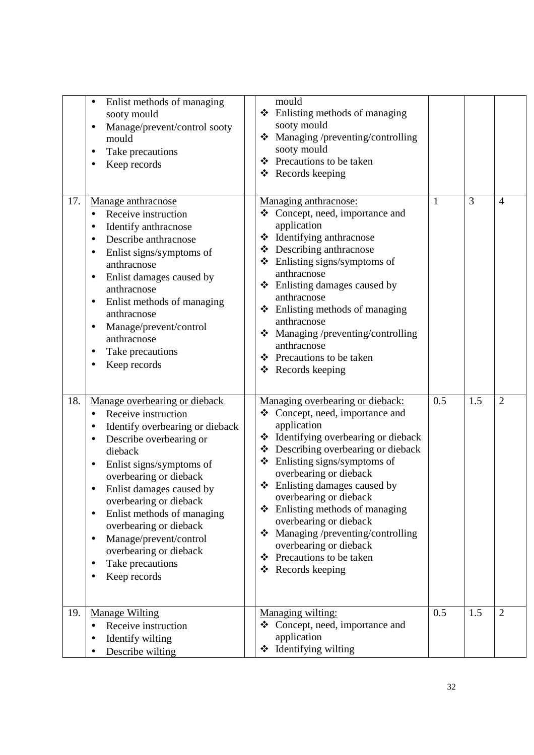|     | Enlist methods of managing<br>sooty mould<br>Manage/prevent/control sooty<br>$\bullet$<br>mould<br>Take precautions<br>Keep records                                                                                                                                                                                                                                                                                                        | mould<br>❖ Enlisting methods of managing<br>sooty mould<br>Managing /preventing/controlling<br>❖<br>sooty mould<br>❖ Precautions to be taken<br>$\triangleleft$ Records keeping                                                                                                                                                                                                                                                                                                       |     |     |                |
|-----|--------------------------------------------------------------------------------------------------------------------------------------------------------------------------------------------------------------------------------------------------------------------------------------------------------------------------------------------------------------------------------------------------------------------------------------------|---------------------------------------------------------------------------------------------------------------------------------------------------------------------------------------------------------------------------------------------------------------------------------------------------------------------------------------------------------------------------------------------------------------------------------------------------------------------------------------|-----|-----|----------------|
| 17. | Manage anthracnose<br>Receive instruction<br>$\bullet$<br>Identify anthracnose<br>Describe anthracnose<br>Enlist signs/symptoms of<br>anthracnose<br>Enlist damages caused by<br>$\bullet$<br>anthracnose<br>Enlist methods of managing<br>anthracnose<br>Manage/prevent/control<br>$\bullet$<br>anthracnose<br>Take precautions<br>Keep records                                                                                           | Managing anthracnose:<br>Concept, need, importance and<br>❖<br>application<br>❖ Identifying anthracnose<br>Describing anthracnose<br>❖<br>❖ Enlisting signs/symptoms of<br>anthracnose<br>❖ Enlisting damages caused by<br>anthracnose<br>Enlisting methods of managing<br>❖<br>anthracnose<br>Managing /preventing/controlling<br>❖<br>anthracnose<br>Precautions to be taken<br>❖<br>Records keeping<br>❖                                                                           | 1   | 3   | $\overline{4}$ |
| 18. | Manage overbearing or dieback<br>Receive instruction<br>$\bullet$<br>Identify overbearing or dieback<br>Describe overbearing or<br>dieback<br>Enlist signs/symptoms of<br>٠<br>overbearing or dieback<br>Enlist damages caused by<br>overbearing or dieback<br>Enlist methods of managing<br>$\bullet$<br>overbearing or dieback<br>Manage/prevent/control<br>$\bullet$<br>overbearing or dieback<br>Take precautions<br>٠<br>Keep records | Managing overbearing or dieback:<br>❖ Concept, need, importance and<br>application<br>❖ Identifying overbearing or dieback<br>❖ Describing overbearing or dieback<br>Enlisting signs/symptoms of<br>❖<br>overbearing or dieback<br>❖ Enlisting damages caused by<br>overbearing or dieback<br>Enlisting methods of managing<br>❖<br>overbearing or dieback<br>Managing /preventing/controlling<br>❖<br>overbearing or dieback<br>Precautions to be taken<br>❖<br>Records keeping<br>❖ | 0.5 | 1.5 | $\overline{2}$ |
| 19. | <b>Manage Wilting</b><br>Receive instruction<br>$\bullet$<br>Identify wilting<br>Describe wilting                                                                                                                                                                                                                                                                                                                                          | Managing wilting:<br>Concept, need, importance and<br>❖<br>application<br>Identifying wilting<br>❖                                                                                                                                                                                                                                                                                                                                                                                    | 0.5 | 1.5 | $\overline{2}$ |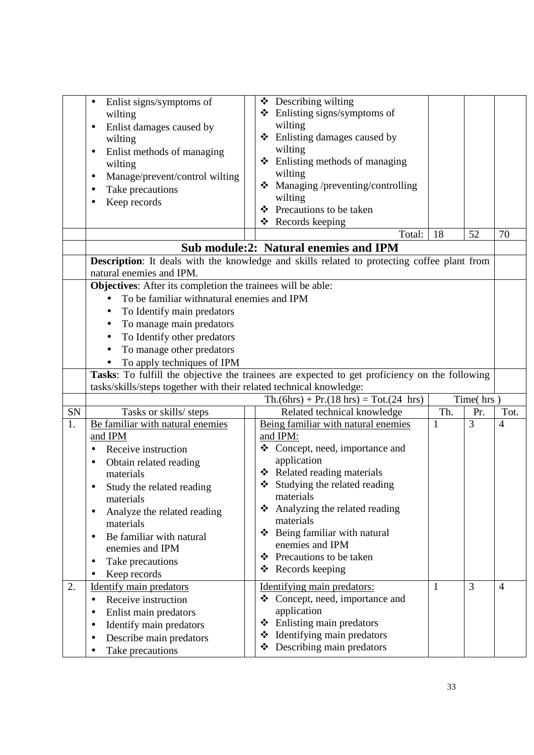|                  | Enlist signs/symptoms of<br>$\bullet$<br>wilting<br>Enlist damages caused by<br>٠<br>wilting<br>Enlist methods of managing<br>٠<br>wilting<br>Manage/prevent/control wilting<br>$\bullet$ | $\triangle$ Describing wilting<br>$\div$ Enlisting signs/symptoms of<br>wilting<br>Enlisting damages caused by<br>❖<br>wilting<br>Enlisting methods of managing<br>❖<br>wilting |          |           |                        |
|------------------|-------------------------------------------------------------------------------------------------------------------------------------------------------------------------------------------|---------------------------------------------------------------------------------------------------------------------------------------------------------------------------------|----------|-----------|------------------------|
|                  | Take precautions                                                                                                                                                                          | Managing /preventing/controlling<br>❖<br>wilting                                                                                                                                |          |           |                        |
|                  | Keep records                                                                                                                                                                              | Precautions to be taken<br>❖                                                                                                                                                    |          |           |                        |
|                  |                                                                                                                                                                                           | Records keeping<br>❖                                                                                                                                                            |          |           |                        |
|                  |                                                                                                                                                                                           | Total:                                                                                                                                                                          | 18       | 52        | 70                     |
|                  |                                                                                                                                                                                           | <b>Sub module:2: Natural enemies and IPM</b><br><b>Description:</b> It deals with the knowledge and skills related to protecting coffee plant from                              |          |           |                        |
|                  | natural enemies and IPM.                                                                                                                                                                  |                                                                                                                                                                                 |          |           |                        |
|                  | Objectives: After its completion the trainees will be able:                                                                                                                               |                                                                                                                                                                                 |          |           |                        |
|                  | To be familiar withnatural enemies and IPM                                                                                                                                                |                                                                                                                                                                                 |          |           |                        |
|                  | To Identify main predators<br>$\bullet$                                                                                                                                                   |                                                                                                                                                                                 |          |           |                        |
|                  | To manage main predators<br>$\bullet$<br>To Identify other predators<br>$\bullet$                                                                                                         |                                                                                                                                                                                 |          |           |                        |
|                  | To manage other predators<br>$\bullet$                                                                                                                                                    |                                                                                                                                                                                 |          |           |                        |
|                  | To apply techniques of IPM                                                                                                                                                                |                                                                                                                                                                                 |          |           |                        |
|                  |                                                                                                                                                                                           | Tasks: To fulfill the objective the trainees are expected to get proficiency on the following                                                                                   |          |           |                        |
|                  | tasks/skills/steps together with their related technical knowledge:                                                                                                                       |                                                                                                                                                                                 |          |           |                        |
|                  |                                                                                                                                                                                           | $Th.(6hrs) + Pr.(18 hrs) = Tot.(24 hrs)$                                                                                                                                        |          | Time(hrs) |                        |
| ${\rm SN}$<br>1. | Tasks or skills/ steps<br>Be familiar with natural enemies                                                                                                                                | Related technical knowledge<br>Being familiar with natural enemies                                                                                                              | Th.<br>1 | Pr.<br>3  | Tot.<br>$\overline{4}$ |
|                  | and IPM                                                                                                                                                                                   | and IPM:                                                                                                                                                                        |          |           |                        |
|                  | Receive instruction                                                                                                                                                                       | Concept, need, importance and<br>❖                                                                                                                                              |          |           |                        |
|                  | Obtain related reading<br>$\bullet$                                                                                                                                                       | application                                                                                                                                                                     |          |           |                        |
|                  | materials                                                                                                                                                                                 | ❖ Related reading materials                                                                                                                                                     |          |           |                        |
|                  | Study the related reading                                                                                                                                                                 | Studying the related reading<br>materials                                                                                                                                       |          |           |                        |
|                  | materials                                                                                                                                                                                 | Analyzing the related reading<br>❖                                                                                                                                              |          |           |                        |
|                  | Analyze the related reading<br>$\bullet$<br>materials                                                                                                                                     | materials                                                                                                                                                                       |          |           |                        |
|                  | Be familiar with natural<br>$\bullet$                                                                                                                                                     | ❖ Being familiar with natural                                                                                                                                                   |          |           |                        |
|                  | enemies and IPM                                                                                                                                                                           | enemies and IPM                                                                                                                                                                 |          |           |                        |
|                  | Take precautions                                                                                                                                                                          | Precautions to be taken<br>❖<br>Records keeping<br>❖                                                                                                                            |          |           |                        |
|                  | Keep records                                                                                                                                                                              |                                                                                                                                                                                 |          |           |                        |
| 2.               | <b>Identify main predators</b><br>Receive instruction<br>$\bullet$                                                                                                                        | Identifying main predators:<br>❖ Concept, need, importance and                                                                                                                  | 1        | 3         | $\overline{4}$         |
|                  | Enlist main predators<br>$\bullet$                                                                                                                                                        | application                                                                                                                                                                     |          |           |                        |
|                  | Identify main predators                                                                                                                                                                   | Enlisting main predators<br>❖                                                                                                                                                   |          |           |                        |
|                  | Describe main predators<br>$\bullet$                                                                                                                                                      | Identifying main predators<br>❖                                                                                                                                                 |          |           |                        |
|                  | Take precautions                                                                                                                                                                          | Describing main predators<br>❖                                                                                                                                                  |          |           |                        |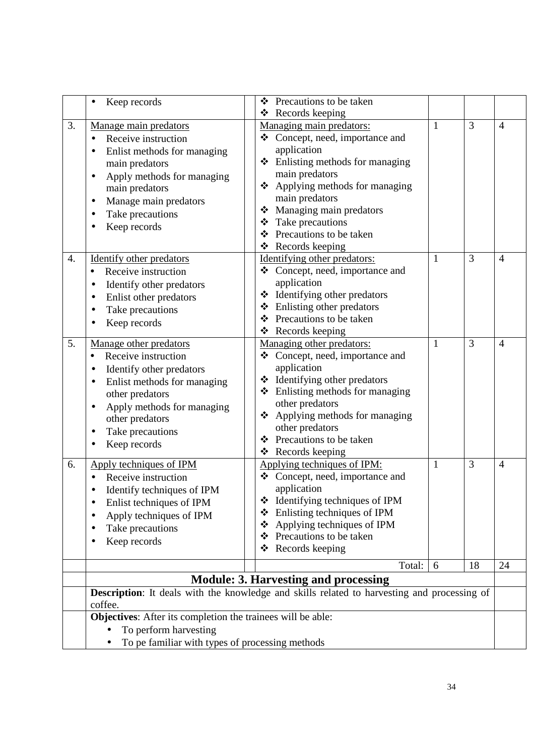|    | Keep records                                                                                                                                                                                                                         | Precautions to be taken<br>❖                                                                                                                                                                                                                                                                                 |   |    |                |
|----|--------------------------------------------------------------------------------------------------------------------------------------------------------------------------------------------------------------------------------------|--------------------------------------------------------------------------------------------------------------------------------------------------------------------------------------------------------------------------------------------------------------------------------------------------------------|---|----|----------------|
|    |                                                                                                                                                                                                                                      | ❖ Records keeping                                                                                                                                                                                                                                                                                            |   |    |                |
| 3. | Manage main predators<br>Receive instruction<br>$\bullet$<br>Enlist methods for managing<br>main predators<br>Apply methods for managing<br>$\bullet$<br>main predators<br>Manage main predators<br>Take precautions<br>Keep records | Managing main predators:<br>Concept, need, importance and<br>❖<br>application<br>Enlisting methods for managing<br>❖<br>main predators<br>Applying methods for managing<br>❖<br>main predators<br>Managing main predators<br>❖<br>Take precautions<br>❖<br>Precautions to be taken<br>❖<br>❖ Records keeping | 1 | 3  | $\overline{4}$ |
| 4. | <b>Identify other predators</b><br>Receive instruction<br>$\bullet$<br>Identify other predators<br>Enlist other predators<br>Take precautions<br>Keep records                                                                        | Identifying other predators:<br>Concept, need, importance and<br>❖<br>application<br>Identifying other predators<br>❖<br>Enlisting other predators<br>❖<br>Precautions to be taken<br>❖<br>❖ Records keeping                                                                                                 | 1 | 3  | $\overline{4}$ |
| 5. | Manage other predators<br>Receive instruction<br>Identify other predators<br>Enlist methods for managing<br>other predators<br>Apply methods for managing<br>$\bullet$<br>other predators<br>Take precautions<br>Keep records        | Managing other predators:<br>❖ Concept, need, importance and<br>application<br>Identifying other predators<br>❖<br>❖ Enlisting methods for managing<br>other predators<br>Applying methods for managing<br>❖<br>other predators<br>❖ Precautions to be taken<br>❖ Records keeping                            | 1 | 3  | $\overline{4}$ |
| 6. | Apply techniques of IPM<br>Receive instruction<br>Identify techniques of IPM<br>Enlist techniques of IPM<br>٠<br>Apply techniques of IPM<br>Take precautions<br>Keep records                                                         | Applying techniques of IPM:<br>❖ Concept, need, importance and<br>application<br>Identifying techniques of IPM<br>❖<br>Enlisting techniques of IPM<br>❖<br>Applying techniques of IPM<br>❖<br>Precautions to be taken<br>❖<br>Records keeping<br>❖                                                           | 1 | 3  | $\overline{4}$ |
|    |                                                                                                                                                                                                                                      | Total:                                                                                                                                                                                                                                                                                                       | 6 | 18 | 24             |
|    |                                                                                                                                                                                                                                      | <b>Module: 3. Harvesting and processing</b>                                                                                                                                                                                                                                                                  |   |    |                |
|    | coffee.                                                                                                                                                                                                                              | <b>Description:</b> It deals with the knowledge and skills related to harvesting and processing of                                                                                                                                                                                                           |   |    |                |
|    | Objectives: After its completion the trainees will be able:                                                                                                                                                                          |                                                                                                                                                                                                                                                                                                              |   |    |                |
|    | To perform harvesting<br>To pe familiar with types of processing methods                                                                                                                                                             |                                                                                                                                                                                                                                                                                                              |   |    |                |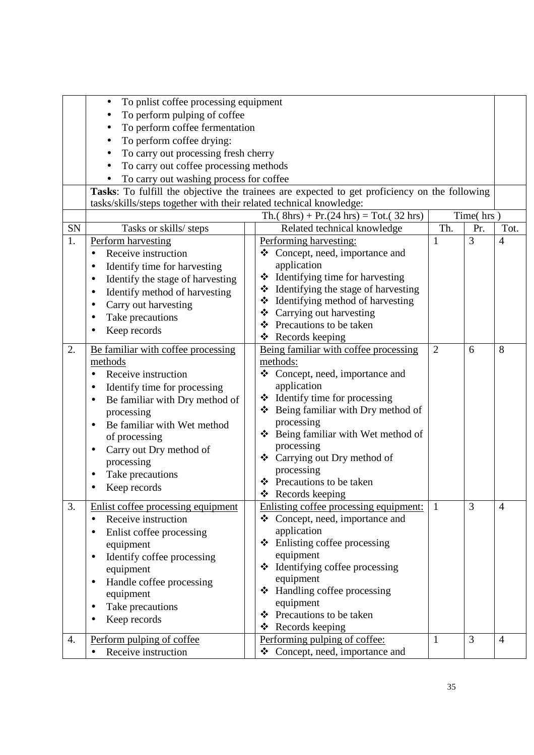|    | To pnlist coffee processing equipment                               |                                                                                               |                |           |                |  |  |
|----|---------------------------------------------------------------------|-----------------------------------------------------------------------------------------------|----------------|-----------|----------------|--|--|
|    | To perform pulping of coffee                                        |                                                                                               |                |           |                |  |  |
|    | To perform coffee fermentation<br>٠                                 |                                                                                               |                |           |                |  |  |
|    | To perform coffee drying:<br>$\bullet$                              |                                                                                               |                |           |                |  |  |
|    | To carry out processing fresh cherry                                |                                                                                               |                |           |                |  |  |
|    | To carry out coffee processing methods                              |                                                                                               |                |           |                |  |  |
|    | To carry out washing process for coffee                             |                                                                                               |                |           |                |  |  |
|    |                                                                     | Tasks: To fulfill the objective the trainees are expected to get proficiency on the following |                |           |                |  |  |
|    | tasks/skills/steps together with their related technical knowledge: |                                                                                               |                |           |                |  |  |
|    |                                                                     | Th.( $8hrs$ ) + Pr.(24 hrs) = Tot.(32 hrs)                                                    |                | Time(hrs) |                |  |  |
| SN | Tasks or skills/ steps                                              | Related technical knowledge                                                                   | Th.            | Pr.       | Tot.           |  |  |
| 1. | Perform harvesting                                                  | Performing harvesting:                                                                        | 1              | 3         | $\overline{4}$ |  |  |
|    | Receive instruction                                                 | Concept, need, importance and<br>❖                                                            |                |           |                |  |  |
|    | Identify time for harvesting                                        | application                                                                                   |                |           |                |  |  |
|    | Identify the stage of harvesting                                    | ❖ Identifying time for harvesting                                                             |                |           |                |  |  |
|    | Identify method of harvesting<br>$\bullet$                          | ❖ Identifying the stage of harvesting                                                         |                |           |                |  |  |
|    | Carry out harvesting                                                | ❖ Identifying method of harvesting                                                            |                |           |                |  |  |
|    | Take precautions                                                    | Carrying out harvesting<br>❖                                                                  |                |           |                |  |  |
|    | Keep records                                                        | ❖ Precautions to be taken                                                                     |                |           |                |  |  |
|    |                                                                     | $\triangleleft$ Records keeping                                                               |                |           |                |  |  |
| 2. | Be familiar with coffee processing                                  | Being familiar with coffee processing                                                         | $\overline{2}$ | 6         | 8              |  |  |
|    | methods                                                             | methods:                                                                                      |                |           |                |  |  |
|    | Receive instruction                                                 | ❖ Concept, need, importance and                                                               |                |           |                |  |  |
|    | Identify time for processing<br>٠                                   | application                                                                                   |                |           |                |  |  |
|    | Be familiar with Dry method of<br>$\bullet$                         | $\triangleleft$ Identify time for processing                                                  |                |           |                |  |  |
|    | processing                                                          | ❖ Being familiar with Dry method of                                                           |                |           |                |  |  |
|    | Be familiar with Wet method                                         | processing                                                                                    |                |           |                |  |  |
|    | of processing                                                       | Being familiar with Wet method of<br>❖                                                        |                |           |                |  |  |
|    | Carry out Dry method of                                             | processing                                                                                    |                |           |                |  |  |
|    | processing                                                          | ❖ Carrying out Dry method of                                                                  |                |           |                |  |  |
|    | Take precautions                                                    | processing<br>❖ Precautions to be taken                                                       |                |           |                |  |  |
|    | Keep records                                                        | ❖<br>Records keeping                                                                          |                |           |                |  |  |
| 3. | Enlist coffee processing equipment                                  | Enlisting coffee processing equipment:                                                        | 1              | 3         | $\overline{4}$ |  |  |
|    | Receive instruction                                                 | ❖ Concept, need, importance and                                                               |                |           |                |  |  |
|    |                                                                     | application                                                                                   |                |           |                |  |  |
|    | Enlist coffee processing                                            | $\div$ Enlisting coffee processing                                                            |                |           |                |  |  |
|    | equipment                                                           | equipment                                                                                     |                |           |                |  |  |
|    | Identify coffee processing<br>$\bullet$                             | $\div$ Identifying coffee processing                                                          |                |           |                |  |  |
|    | equipment                                                           | equipment                                                                                     |                |           |                |  |  |
|    | Handle coffee processing<br>$\bullet$                               | Handling coffee processing<br>❖                                                               |                |           |                |  |  |
|    | equipment                                                           | equipment                                                                                     |                |           |                |  |  |
|    | Take precautions<br>٠                                               | ❖ Precautions to be taken                                                                     |                |           |                |  |  |
|    | Keep records                                                        | ❖ Records keeping                                                                             |                |           |                |  |  |
| 4. | Perform pulping of coffee                                           | Performing pulping of coffee:                                                                 | $\mathbf{1}$   | 3         | $\overline{4}$ |  |  |
|    | Receive instruction                                                 | ❖ Concept, need, importance and                                                               |                |           |                |  |  |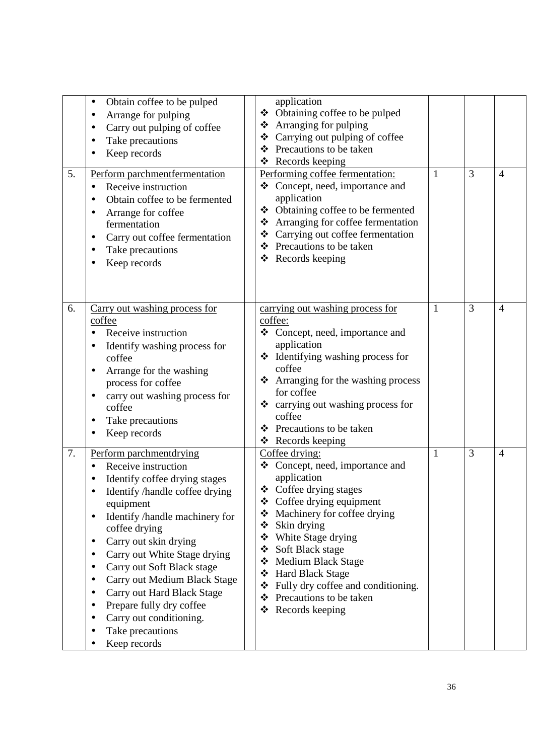| 5. | Obtain coffee to be pulped<br>٠<br>Arrange for pulping<br>Carry out pulping of coffee<br>Take precautions<br>Keep records<br>Perform parchmentfermentation<br>Receive instruction<br>Obtain coffee to be fermented<br>Arrange for coffee<br>fermentation<br>Carry out coffee fermentation<br>٠<br>Take precautions<br>Keep records                                                                                                                  | application<br>❖ Obtaining coffee to be pulped<br>$\triangle$ Arranging for pulping<br>Carrying out pulping of coffee<br>❖<br>Precautions to be taken<br>❖<br>Records keeping<br>❖<br>Performing coffee fermentation:<br>Concept, need, importance and<br>❖<br>application<br>Obtaining coffee to be fermented<br>❖<br>❖ Arranging for coffee fermentation<br>Carrying out coffee fermentation<br>❖<br>❖ Precautions to be taken<br>Records keeping<br>❖ | 1 | 3 | $\overline{4}$ |
|----|-----------------------------------------------------------------------------------------------------------------------------------------------------------------------------------------------------------------------------------------------------------------------------------------------------------------------------------------------------------------------------------------------------------------------------------------------------|----------------------------------------------------------------------------------------------------------------------------------------------------------------------------------------------------------------------------------------------------------------------------------------------------------------------------------------------------------------------------------------------------------------------------------------------------------|---|---|----------------|
| 6. | Carry out washing process for<br>coffee<br>Receive instruction<br>Identify washing process for<br>coffee<br>Arrange for the washing<br>process for coffee<br>carry out washing process for<br>coffee<br>Take precautions<br>Keep records                                                                                                                                                                                                            | carrying out washing process for<br>coffee:<br>Concept, need, importance and<br>❖<br>application<br>❖ Identifying washing process for<br>coffee<br>Arranging for the washing process<br>❖<br>for coffee<br>❖ carrying out washing process for<br>coffee<br>Precautions to be taken<br>❖<br>$\triangleleft$ Records keeping                                                                                                                               | 1 | 3 | $\overline{4}$ |
| 7. | Perform parchmentdrying<br>Receive instruction<br>Identify coffee drying stages<br>Identify /handle coffee drying<br>equipment<br>Identify /handle machinery for<br>$\bullet$<br>coffee drying<br>Carry out skin drying<br>Carry out White Stage drying<br>٠<br>Carry out Soft Black stage<br>Carry out Medium Black Stage<br>Carry out Hard Black Stage<br>Prepare fully dry coffee<br>Carry out conditioning.<br>Take precautions<br>Keep records | Coffee drying:<br>❖ Concept, need, importance and<br>application<br>❖ Coffee drying stages<br>Coffee drying equipment<br>❖<br>Machinery for coffee drying<br>❖<br>Skin drying<br>❖<br>White Stage drying<br>❖<br>Soft Black stage<br>❖<br><b>Medium Black Stage</b><br>❖<br><b>Hard Black Stage</b><br>❖<br>Fully dry coffee and conditioning.<br>❖<br>Precautions to be taken<br>❖<br>Records keeping<br>❖                                              | 1 | 3 | $\overline{4}$ |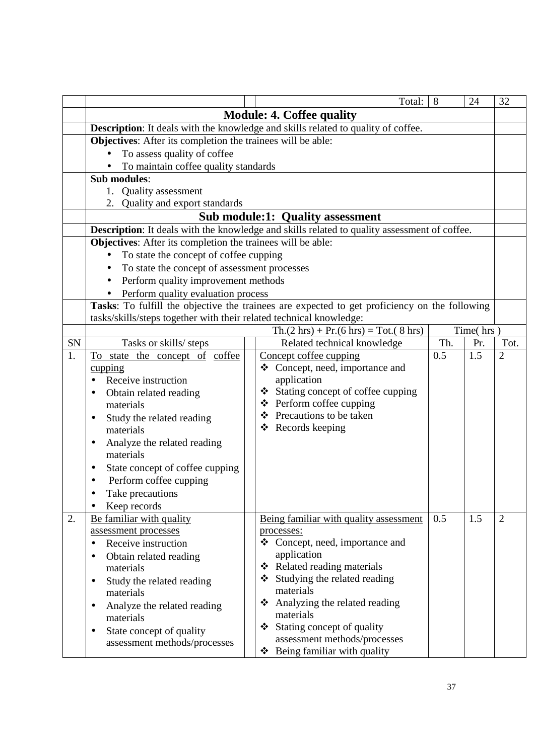|    |                                                                                                                                         |  | Total:                                                                                        | 8   | 24  | 32             |  |
|----|-----------------------------------------------------------------------------------------------------------------------------------------|--|-----------------------------------------------------------------------------------------------|-----|-----|----------------|--|
|    |                                                                                                                                         |  | <b>Module: 4. Coffee quality</b>                                                              |     |     |                |  |
|    |                                                                                                                                         |  | <b>Description:</b> It deals with the knowledge and skills related to quality of coffee.      |     |     |                |  |
|    | Objectives: After its completion the trainees will be able:                                                                             |  |                                                                                               |     |     |                |  |
|    | To assess quality of coffee                                                                                                             |  |                                                                                               |     |     |                |  |
|    | To maintain coffee quality standards                                                                                                    |  |                                                                                               |     |     |                |  |
|    | Sub modules:                                                                                                                            |  |                                                                                               |     |     |                |  |
|    | 1. Quality assessment                                                                                                                   |  |                                                                                               |     |     |                |  |
|    | 2. Quality and export standards                                                                                                         |  |                                                                                               |     |     |                |  |
|    | <b>Sub module:1: Quality assessment</b><br>Description: It deals with the knowledge and skills related to quality assessment of coffee. |  |                                                                                               |     |     |                |  |
|    | Objectives: After its completion the trainees will be able:                                                                             |  |                                                                                               |     |     |                |  |
|    | To state the concept of coffee cupping<br>$\bullet$                                                                                     |  |                                                                                               |     |     |                |  |
|    | To state the concept of assessment processes                                                                                            |  |                                                                                               |     |     |                |  |
|    | Perform quality improvement methods<br>$\bullet$                                                                                        |  |                                                                                               |     |     |                |  |
|    | Perform quality evaluation process<br>$\bullet$                                                                                         |  |                                                                                               |     |     |                |  |
|    |                                                                                                                                         |  | Tasks: To fulfill the objective the trainees are expected to get proficiency on the following |     |     |                |  |
|    | tasks/skills/steps together with their related technical knowledge:                                                                     |  |                                                                                               |     |     |                |  |
|    | Time(hrs)<br>$\text{Th.}(2 \text{ hrs}) + \text{Pr.}(6 \text{ hrs}) = \text{Tot.}(8 \text{ hrs})$                                       |  |                                                                                               |     |     |                |  |
| SN | Tasks or skills/ steps                                                                                                                  |  | Related technical knowledge                                                                   | Th. | Pr. | Tot.           |  |
| 1. | To state the concept of coffee                                                                                                          |  | Concept coffee cupping                                                                        | 0.5 | 1.5 | $\overline{2}$ |  |
|    | cupping                                                                                                                                 |  | ❖ Concept, need, importance and                                                               |     |     |                |  |
|    | Receive instruction                                                                                                                     |  | application                                                                                   |     |     |                |  |
|    | Obtain related reading                                                                                                                  |  | ❖ Stating concept of coffee cupping                                                           |     |     |                |  |
|    | materials                                                                                                                               |  | $\triangle$ Perform coffee cupping                                                            |     |     |                |  |
|    | Study the related reading<br>$\bullet$                                                                                                  |  | ❖ Precautions to be taken                                                                     |     |     |                |  |
|    | materials                                                                                                                               |  | $\triangleleft$ Records keeping                                                               |     |     |                |  |
|    | Analyze the related reading                                                                                                             |  |                                                                                               |     |     |                |  |
|    | materials                                                                                                                               |  |                                                                                               |     |     |                |  |
|    | State concept of coffee cupping                                                                                                         |  |                                                                                               |     |     |                |  |
|    | Perform coffee cupping                                                                                                                  |  |                                                                                               |     |     |                |  |
|    | Take precautions                                                                                                                        |  |                                                                                               |     |     |                |  |
|    | Keep records                                                                                                                            |  |                                                                                               |     |     |                |  |
| 2. | Be familiar with quality                                                                                                                |  | Being familiar with quality assessment                                                        | 0.5 | 1.5 | $\overline{2}$ |  |
|    | assessment processes<br>Receive instruction                                                                                             |  | processes:<br>❖ Concept, need, importance and                                                 |     |     |                |  |
|    |                                                                                                                                         |  | application                                                                                   |     |     |                |  |
|    | Obtain related reading<br>$\bullet$<br>materials                                                                                        |  | Related reading materials<br>❖                                                                |     |     |                |  |
|    | Study the related reading<br>٠                                                                                                          |  | Studying the related reading<br>❖                                                             |     |     |                |  |
|    | materials                                                                                                                               |  | materials                                                                                     |     |     |                |  |
|    | Analyze the related reading<br>$\bullet$                                                                                                |  | Analyzing the related reading<br>❖                                                            |     |     |                |  |
|    | materials                                                                                                                               |  | materials                                                                                     |     |     |                |  |
|    | State concept of quality<br>٠                                                                                                           |  | Stating concept of quality<br>❖                                                               |     |     |                |  |
|    | assessment methods/processes                                                                                                            |  | assessment methods/processes                                                                  |     |     |                |  |
|    |                                                                                                                                         |  | Being familiar with quality<br>❖                                                              |     |     |                |  |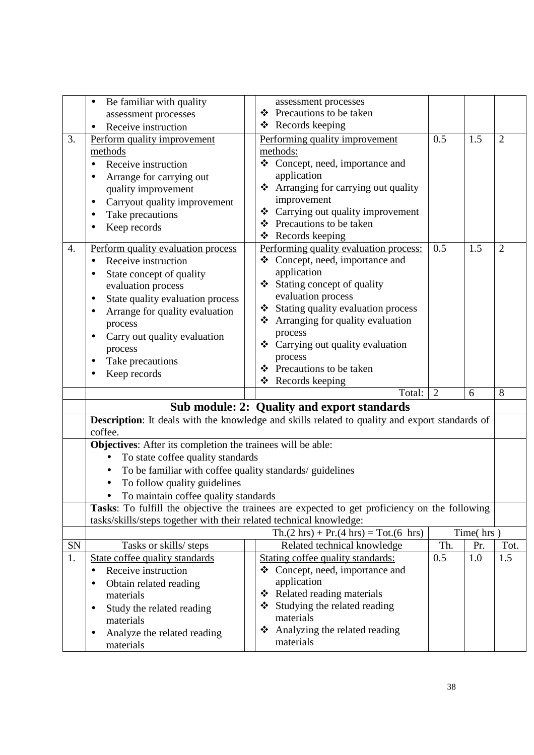|    | Be familiar with quality                                              | assessment processes                                                                                  |                |           |                |
|----|-----------------------------------------------------------------------|-------------------------------------------------------------------------------------------------------|----------------|-----------|----------------|
|    | assessment processes                                                  | Precautions to be taken<br>❖                                                                          |                |           |                |
|    | Receive instruction                                                   | ❖ Records keeping                                                                                     |                |           |                |
| 3. | Perform quality improvement                                           | Performing quality improvement                                                                        | 0.5            | 1.5       | $\overline{2}$ |
|    | methods                                                               | methods:                                                                                              |                |           |                |
|    | Receive instruction                                                   | ❖ Concept, need, importance and                                                                       |                |           |                |
|    | Arrange for carrying out                                              | application                                                                                           |                |           |                |
|    | quality improvement                                                   | Arranging for carrying out quality<br>❖                                                               |                |           |                |
|    | Carryout quality improvement                                          | improvement                                                                                           |                |           |                |
|    | Take precautions                                                      | ❖ Carrying out quality improvement                                                                    |                |           |                |
|    | Keep records                                                          | ❖ Precautions to be taken                                                                             |                |           |                |
|    |                                                                       | Records keeping<br>❖                                                                                  |                |           |                |
| 4. | Perform quality evaluation process                                    | Performing quality evaluation process:                                                                | 0.5            | 1.5       | $\overline{2}$ |
|    | Receive instruction                                                   | ❖ Concept, need, importance and                                                                       |                |           |                |
|    | State concept of quality                                              | application                                                                                           |                |           |                |
|    | evaluation process                                                    | Stating concept of quality<br>❖                                                                       |                |           |                |
|    | State quality evaluation process                                      | evaluation process                                                                                    |                |           |                |
|    | Arrange for quality evaluation                                        | Stating quality evaluation process<br>❖                                                               |                |           |                |
|    | process                                                               | Arranging for quality evaluation<br>❖                                                                 |                |           |                |
|    | Carry out quality evaluation                                          | process                                                                                               |                |           |                |
|    | process                                                               | ❖ Carrying out quality evaluation                                                                     |                |           |                |
|    | Take precautions                                                      | process                                                                                               |                |           |                |
|    | Keep records                                                          | ❖ Precautions to be taken                                                                             |                |           |                |
|    |                                                                       | ❖ Records keeping                                                                                     |                |           |                |
|    |                                                                       | Total:                                                                                                | $\overline{2}$ | 6         | 8              |
|    |                                                                       | Sub module: 2: Quality and export standards                                                           |                |           |                |
|    | coffee.                                                               | <b>Description:</b> It deals with the knowledge and skills related to quality and export standards of |                |           |                |
|    | Objectives: After its completion the trainees will be able:           |                                                                                                       |                |           |                |
|    | To state coffee quality standards<br>$\bullet$                        |                                                                                                       |                |           |                |
|    | To be familiar with coffee quality standards/ guidelines<br>$\bullet$ |                                                                                                       |                |           |                |
|    | To follow quality guidelines                                          |                                                                                                       |                |           |                |
|    | To maintain coffee quality standards                                  |                                                                                                       |                |           |                |
|    |                                                                       | Tasks: To fulfill the objective the trainees are expected to get proficiency on the following         |                |           |                |
|    | tasks/skills/steps together with their related technical knowledge:   |                                                                                                       |                |           |                |
|    |                                                                       | $\text{Th.}(2 \text{ hrs}) + \text{Pr.}(4 \text{ hrs}) = \text{Tot.}(6 \text{ hrs})$                  |                | Time(hrs) |                |
| SN | Tasks or skills/ steps                                                | Related technical knowledge                                                                           | Th.            | Pr.       | Tot.           |
| 1. | State coffee quality standards                                        | Stating coffee quality standards:                                                                     | 0.5            | 1.0       | 1.5            |
|    | Receive instruction                                                   | Concept, need, importance and<br>❖                                                                    |                |           |                |
|    | Obtain related reading<br>٠                                           | application                                                                                           |                |           |                |
|    | materials                                                             | Related reading materials<br>❖                                                                        |                |           |                |
|    | Study the related reading                                             | Studying the related reading<br>❖                                                                     |                |           |                |
|    | materials                                                             | materials                                                                                             |                |           |                |
|    | Analyze the related reading                                           | Analyzing the related reading<br>❖                                                                    |                |           |                |
|    | materials                                                             | materials                                                                                             |                |           |                |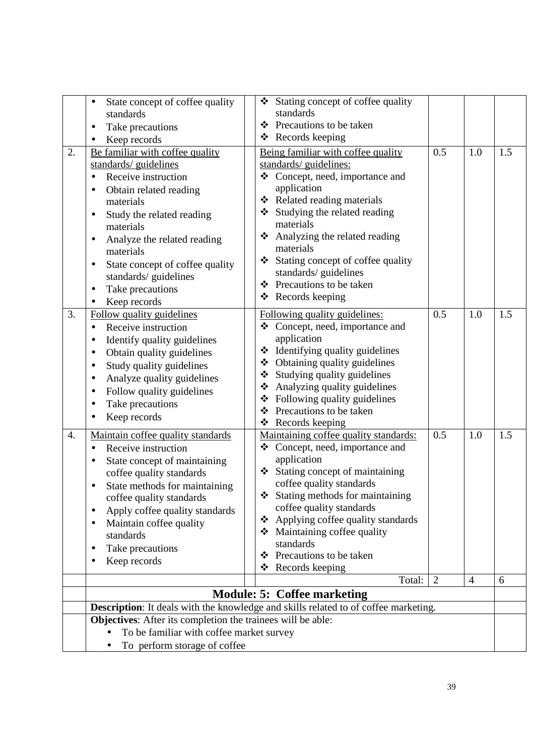|    | State concept of coffee quality<br>$\bullet$<br>standards<br>Take precautions<br>Keep records<br>$\bullet$                                                                                                                                                                                                                                         | Stating concept of coffee quality<br>❖<br>standards<br>Precautions to be taken<br>❖<br>Records keeping<br>❖                                                                                                                                                                                                                                                                |                |                |     |
|----|----------------------------------------------------------------------------------------------------------------------------------------------------------------------------------------------------------------------------------------------------------------------------------------------------------------------------------------------------|----------------------------------------------------------------------------------------------------------------------------------------------------------------------------------------------------------------------------------------------------------------------------------------------------------------------------------------------------------------------------|----------------|----------------|-----|
| 2. | Be familiar with coffee quality<br>standards/ guidelines<br>Receive instruction<br>Obtain related reading<br>materials<br>Study the related reading<br>$\bullet$<br>materials<br>Analyze the related reading<br>materials<br>State concept of coffee quality<br>$\bullet$<br>standards/guidelines<br>Take precautions<br>$\bullet$<br>Keep records | Being familiar with coffee quality<br>standards/ guidelines:<br>❖ Concept, need, importance and<br>application<br>❖ Related reading materials<br>Studying the related reading<br>❖<br>materials<br>Analyzing the related reading<br>❖<br>materials<br>Stating concept of coffee quality<br>❖<br>standards/ guidelines<br>Precautions to be taken<br>❖<br>❖ Records keeping | 0.5            | 1.0            | 1.5 |
| 3. | Follow quality guidelines<br>Receive instruction<br>$\bullet$<br>Identify quality guidelines<br>Obtain quality guidelines<br>Study quality guidelines<br>$\bullet$<br>Analyze quality guidelines<br>Follow quality guidelines<br>Take precautions<br>Keep records                                                                                  | Following quality guidelines:<br>Concept, need, importance and<br>❖<br>application<br>Identifying quality guidelines<br>❖<br>❖ Obtaining quality guidelines<br>Studying quality guidelines<br>❖<br>Analyzing quality guidelines<br>❖<br>Following quality guidelines<br>❖<br>Precautions to be taken<br>❖<br>Records keeping<br>❖                                          | 0.5            | 1.0            | 1.5 |
| 4. | Maintain coffee quality standards<br>Receive instruction<br>State concept of maintaining<br>coffee quality standards<br>State methods for maintaining<br>coffee quality standards<br>Apply coffee quality standards<br>$\bullet$<br>Maintain coffee quality<br>standards<br>Take precautions<br>٠<br>Keep records                                  | Maintaining coffee quality standards:<br>❖ Concept, need, importance and<br>application<br>Stating concept of maintaining<br>coffee quality standards<br>Stating methods for maintaining<br>coffee quality standards<br>Applying coffee quality standards<br>❖<br>Maintaining coffee quality<br>❖<br>standards<br>Precautions to be taken<br>❖<br>❖<br>Records keeping     | 0.5            | 1.0            | 1.5 |
|    |                                                                                                                                                                                                                                                                                                                                                    | Total:                                                                                                                                                                                                                                                                                                                                                                     | $\overline{2}$ | $\overline{4}$ | 6   |
|    |                                                                                                                                                                                                                                                                                                                                                    | <b>Module: 5: Coffee marketing</b>                                                                                                                                                                                                                                                                                                                                         |                |                |     |
|    |                                                                                                                                                                                                                                                                                                                                                    | Description: It deals with the knowledge and skills related to of coffee marketing.                                                                                                                                                                                                                                                                                        |                |                |     |
|    | Objectives: After its completion the trainees will be able:<br>To be familiar with coffee market survey                                                                                                                                                                                                                                            |                                                                                                                                                                                                                                                                                                                                                                            |                |                |     |
|    | To perform storage of coffee                                                                                                                                                                                                                                                                                                                       |                                                                                                                                                                                                                                                                                                                                                                            |                |                |     |

39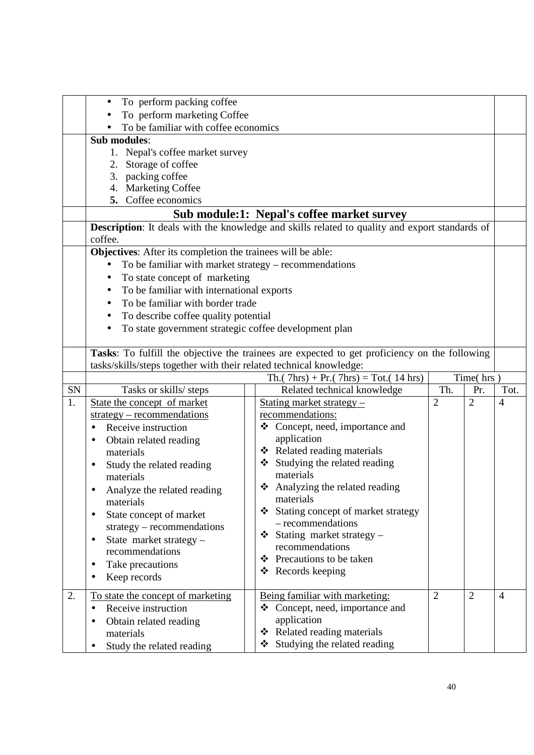|    | To perform packing coffee<br>$\bullet$                              |                                                                                                       |                |                |                |
|----|---------------------------------------------------------------------|-------------------------------------------------------------------------------------------------------|----------------|----------------|----------------|
|    | To perform marketing Coffee                                         |                                                                                                       |                |                |                |
|    | To be familiar with coffee economics<br>Sub modules:                |                                                                                                       |                |                |                |
|    |                                                                     |                                                                                                       |                |                |                |
|    | 1. Nepal's coffee market survey<br>2.                               |                                                                                                       |                |                |                |
|    | Storage of coffee<br>packing coffee<br>3.                           |                                                                                                       |                |                |                |
|    | <b>Marketing Coffee</b><br>4.                                       |                                                                                                       |                |                |                |
|    | 5. Coffee economics                                                 |                                                                                                       |                |                |                |
|    |                                                                     | Sub module:1: Nepal's coffee market survey                                                            |                |                |                |
|    |                                                                     | <b>Description:</b> It deals with the knowledge and skills related to quality and export standards of |                |                |                |
|    | coffee.                                                             |                                                                                                       |                |                |                |
|    | Objectives: After its completion the trainees will be able:         |                                                                                                       |                |                |                |
|    | To be familiar with market strategy – recommendations<br>$\bullet$  |                                                                                                       |                |                |                |
|    | To state concept of marketing<br>$\bullet$                          |                                                                                                       |                |                |                |
|    | To be familiar with international exports<br>$\bullet$              |                                                                                                       |                |                |                |
|    | To be familiar with border trade<br>$\bullet$                       |                                                                                                       |                |                |                |
|    | To describe coffee quality potential<br>$\bullet$                   |                                                                                                       |                |                |                |
|    | To state government strategic coffee development plan               |                                                                                                       |                |                |                |
|    |                                                                     |                                                                                                       |                |                |                |
|    |                                                                     | Tasks: To fulfill the objective the trainees are expected to get proficiency on the following         |                |                |                |
|    | tasks/skills/steps together with their related technical knowledge: |                                                                                                       |                |                |                |
|    |                                                                     | Th. $(7hrs) + Pr. (7hrs) = Tot. (14 hrs)$                                                             |                | Time(hrs)      |                |
| SN | Tasks or skills/ steps                                              | Related technical knowledge                                                                           | Th.            | Pr.            | Tot.           |
| 1. | State the concept of market                                         | Stating market strategy -                                                                             | 2              | $\overline{2}$ | $\overline{4}$ |
|    | $strategy - recommendations$                                        | recommendations:                                                                                      |                |                |                |
|    | Receive instruction<br>$\bullet$                                    | ❖ Concept, need, importance and                                                                       |                |                |                |
|    |                                                                     |                                                                                                       |                |                |                |
|    | Obtain related reading                                              | application                                                                                           |                |                |                |
|    | materials                                                           | ❖ Related reading materials                                                                           |                |                |                |
|    | Study the related reading                                           | Studying the related reading<br>❖                                                                     |                |                |                |
|    | materials                                                           | materials                                                                                             |                |                |                |
|    | Analyze the related reading                                         | Analyzing the related reading<br>❖                                                                    |                |                |                |
|    | materials                                                           | materials                                                                                             |                |                |                |
|    | State concept of market<br>$\bullet$                                | Stating concept of market strategy<br>❖                                                               |                |                |                |
|    | $strategy - recommendations$                                        | - recommendations                                                                                     |                |                |                |
|    | State market strategy -<br>٠                                        | Stating market strategy -<br>❖                                                                        |                |                |                |
|    | recommendations                                                     | recommendations                                                                                       |                |                |                |
|    | Take precautions<br>٠                                               | Precautions to be taken<br>❖                                                                          |                |                |                |
|    | Keep records<br>$\bullet$                                           | Records keeping<br>❖                                                                                  |                |                |                |
| 2. |                                                                     |                                                                                                       | $\overline{2}$ | $\overline{2}$ | $\overline{4}$ |
|    | To state the concept of marketing<br>Receive instruction            | Being familiar with marketing:<br>Concept, need, importance and<br>❖                                  |                |                |                |
|    |                                                                     | application                                                                                           |                |                |                |
|    | Obtain related reading<br>materials                                 | ❖ Related reading materials                                                                           |                |                |                |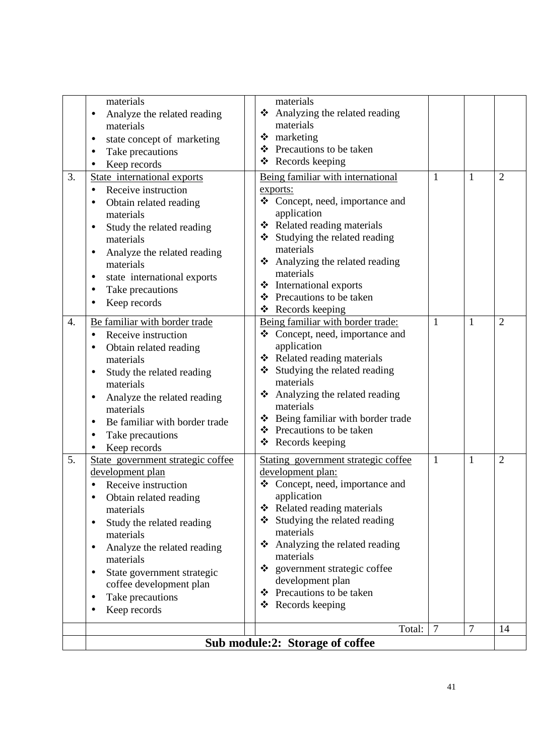|    | state international exports<br>Take precautions                                                                                                                                                                                                                                                                                                    | International exports<br>❖<br>❖ Precautions to be taken                                                                                                                                                                                                                                                                                                           |                |                |                |
|----|----------------------------------------------------------------------------------------------------------------------------------------------------------------------------------------------------------------------------------------------------------------------------------------------------------------------------------------------------|-------------------------------------------------------------------------------------------------------------------------------------------------------------------------------------------------------------------------------------------------------------------------------------------------------------------------------------------------------------------|----------------|----------------|----------------|
| 4. | Keep records<br>Be familiar with border trade                                                                                                                                                                                                                                                                                                      | ❖ Records keeping<br>Being familiar with border trade:                                                                                                                                                                                                                                                                                                            | 1              | $\mathbf{1}$   | 2              |
|    | Receive instruction<br>Obtain related reading<br>materials<br>Study the related reading<br>materials<br>Analyze the related reading<br>٠<br>materials<br>Be familiar with border trade<br>Take precautions<br>Keep records                                                                                                                         | ❖ Concept, need, importance and<br>application<br>❖ Related reading materials<br>Studying the related reading<br>❖<br>materials<br>❖ Analyzing the related reading<br>materials<br>❖ Being familiar with border trade<br>❖ Precautions to be taken<br>❖ Records keeping                                                                                           |                |                |                |
| 5. | State government strategic coffee<br>development plan<br>Receive instruction<br>Obtain related reading<br>materials<br>Study the related reading<br>$\bullet$<br>materials<br>Analyze the related reading<br>$\bullet$<br>materials<br>State government strategic<br>٠<br>coffee development plan<br>Take precautions<br>$\bullet$<br>Keep records | Stating government strategic coffee<br>development plan:<br>❖ Concept, need, importance and<br>application<br>Related reading materials<br>❖<br>Studying the related reading<br>❖<br>materials<br>Analyzing the related reading<br>❖<br>materials<br>government strategic coffee<br>❖<br>development plan<br>Precautions to be taken<br>❖<br>Records keeping<br>❖ | $\mathbf{1}$   | $\mathbf{1}$   | $\overline{2}$ |
|    |                                                                                                                                                                                                                                                                                                                                                    | Total:                                                                                                                                                                                                                                                                                                                                                            | $\overline{7}$ | $\overline{7}$ | 14             |
|    |                                                                                                                                                                                                                                                                                                                                                    | Sub module:2: Storage of coffee                                                                                                                                                                                                                                                                                                                                   |                |                |                |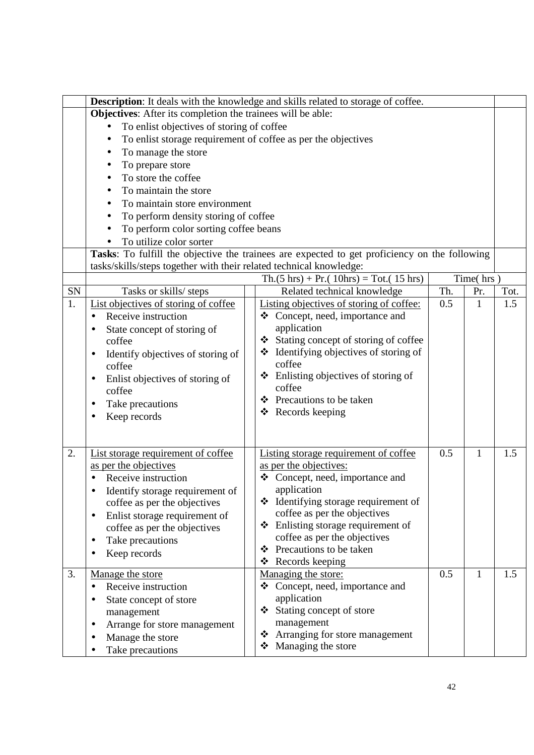|    | <b>Description:</b> It deals with the knowledge and skills related to storage of coffee. |                                                                                               |     |           |      |  |
|----|------------------------------------------------------------------------------------------|-----------------------------------------------------------------------------------------------|-----|-----------|------|--|
|    | Objectives: After its completion the trainees will be able:                              |                                                                                               |     |           |      |  |
|    | To enlist objectives of storing of coffee                                                |                                                                                               |     |           |      |  |
|    | To enlist storage requirement of coffee as per the objectives                            |                                                                                               |     |           |      |  |
|    | To manage the store<br>$\bullet$                                                         |                                                                                               |     |           |      |  |
|    | To prepare store                                                                         |                                                                                               |     |           |      |  |
|    | To store the coffee                                                                      |                                                                                               |     |           |      |  |
|    | To maintain the store                                                                    |                                                                                               |     |           |      |  |
|    | To maintain store environment                                                            |                                                                                               |     |           |      |  |
|    | To perform density storing of coffee<br>٠                                                |                                                                                               |     |           |      |  |
|    | To perform color sorting coffee beans                                                    |                                                                                               |     |           |      |  |
|    | To utilize color sorter                                                                  |                                                                                               |     |           |      |  |
|    |                                                                                          | Tasks: To fulfill the objective the trainees are expected to get proficiency on the following |     |           |      |  |
|    | tasks/skills/steps together with their related technical knowledge:                      |                                                                                               |     |           |      |  |
|    |                                                                                          | $Th.(5 hrs) + Pr.(10hrs) = Tot.(15 hrs)$                                                      |     | Time(hrs) |      |  |
| SN | Tasks or skills/ steps                                                                   | Related technical knowledge                                                                   | Th. | Pr.       | Tot. |  |
| 1. | List objectives of storing of coffee                                                     | Listing objectives of storing of coffee:                                                      | 0.5 | 1         | 1.5  |  |
|    | Receive instruction                                                                      | ❖ Concept, need, importance and                                                               |     |           |      |  |
|    | State concept of storing of                                                              | application                                                                                   |     |           |      |  |
|    | coffee                                                                                   | Stating concept of storing of coffee<br>❖                                                     |     |           |      |  |
|    | Identify objectives of storing of                                                        | $\triangleleft$ Identifying objectives of storing of                                          |     |           |      |  |
|    | coffee                                                                                   | coffee                                                                                        |     |           |      |  |
|    | Enlist objectives of storing of                                                          | Enlisting objectives of storing of<br>❖                                                       |     |           |      |  |
|    | coffee                                                                                   | coffee                                                                                        |     |           |      |  |
|    | Take precautions                                                                         | ❖ Precautions to be taken                                                                     |     |           |      |  |
|    | Keep records                                                                             | $\triangleleft$ Records keeping                                                               |     |           |      |  |
|    |                                                                                          |                                                                                               |     |           |      |  |
|    |                                                                                          |                                                                                               |     |           |      |  |
| 2. | List storage requirement of coffee                                                       | Listing storage requirement of coffee                                                         | 0.5 | 1         | 1.5  |  |
|    | as per the objectives                                                                    | as per the objectives:                                                                        |     |           |      |  |
|    | Receive instruction                                                                      | Concept, need, importance and<br>❖                                                            |     |           |      |  |
|    | Identify storage requirement of                                                          | application                                                                                   |     |           |      |  |
|    | coffee as per the objectives                                                             | ❖ Identifying storage requirement of                                                          |     |           |      |  |
|    | Enlist storage requirement of<br>$\bullet$                                               | coffee as per the objectives<br>❖                                                             |     |           |      |  |
|    | coffee as per the objectives                                                             | Enlisting storage requirement of<br>coffee as per the objectives                              |     |           |      |  |
|    | Take precautions<br>٠                                                                    | Precautions to be taken<br>❖                                                                  |     |           |      |  |
|    | Keep records                                                                             | Records keeping<br>❖                                                                          |     |           |      |  |
| 3. | Manage the store                                                                         | Managing the store:                                                                           | 0.5 | 1         | 1.5  |  |
|    | Receive instruction<br>$\bullet$                                                         | Concept, need, importance and<br>❖                                                            |     |           |      |  |
|    | State concept of store                                                                   | application                                                                                   |     |           |      |  |
|    | management                                                                               | ❖ Stating concept of store                                                                    |     |           |      |  |
|    | Arrange for store management<br>$\bullet$                                                | management                                                                                    |     |           |      |  |
|    | Manage the store                                                                         | Arranging for store management<br>❖                                                           |     |           |      |  |
|    | Take precautions                                                                         | Managing the store<br>❖                                                                       |     |           |      |  |
|    |                                                                                          |                                                                                               |     |           |      |  |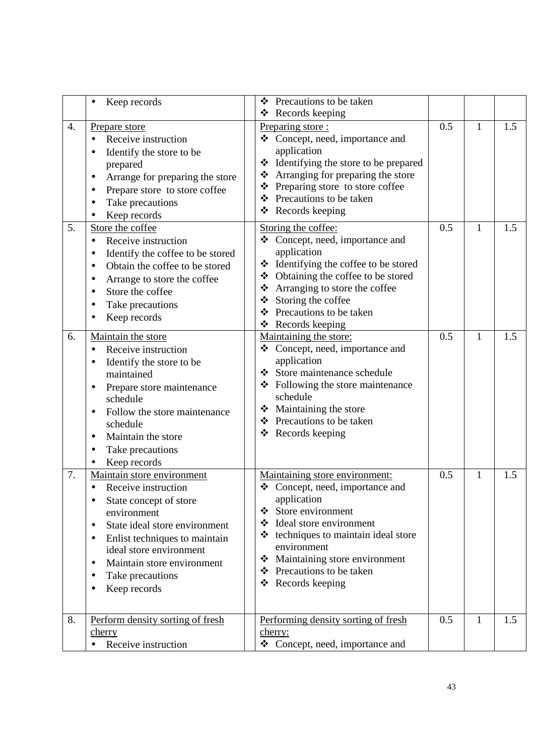|                  | Keep records                                                                                                                                                                                                                                                                                                                            | Precautions to be taken<br>❖<br>❖ Records keeping                                                                                                                                                                                                                                                 |     |   |     |
|------------------|-----------------------------------------------------------------------------------------------------------------------------------------------------------------------------------------------------------------------------------------------------------------------------------------------------------------------------------------|---------------------------------------------------------------------------------------------------------------------------------------------------------------------------------------------------------------------------------------------------------------------------------------------------|-----|---|-----|
| $\overline{4}$ . | <b>Prepare store</b><br>Receive instruction<br>Identify the store to be<br>prepared<br>Arrange for preparing the store<br>$\bullet$<br>Prepare store to store coffee<br>Take precautions<br>Keep records                                                                                                                                | Preparing store:<br>Concept, need, importance and<br>❖<br>application<br>Identifying the store to be prepared<br>❖<br>Arranging for preparing the store<br>❖<br>Preparing store to store coffee<br>❖<br>❖ Precautions to be taken<br>Records keeping<br>❖                                         | 0.5 | 1 | 1.5 |
| 5.               | Store the coffee<br>Receive instruction<br>$\bullet$<br>Identify the coffee to be stored<br>Obtain the coffee to be stored<br>Arrange to store the coffee<br>٠<br>Store the coffee<br>Take precautions<br>Keep records                                                                                                                  | Storing the coffee:<br>Concept, need, importance and<br>❖<br>application<br>❖ Identifying the coffee to be stored<br>❖ Obtaining the coffee to be stored<br>Arranging to store the coffee<br>❖<br>Storing the coffee<br>❖<br>Precautions to be taken<br>❖<br>Records keeping<br>❖                 | 0.5 | 1 | 1.5 |
| 6.               | Maintain the store<br>Receive instruction<br>$\bullet$<br>Identify the store to be<br>maintained<br>Prepare store maintenance<br>schedule<br>Follow the store maintenance<br>schedule<br>Maintain the store<br>Take precautions<br>Keep records                                                                                         | Maintaining the store:<br>❖ Concept, need, importance and<br>application<br>Store maintenance schedule<br>❖<br>❖ Following the store maintenance<br>schedule<br>❖ Maintaining the store<br>❖ Precautions to be taken<br>Records keeping<br>❖                                                      | 0.5 | 1 | 1.5 |
| 7.               | Maintain store environment<br>Receive instruction<br>$\bullet$<br>State concept of store<br>$\bullet$<br>environment<br>State ideal store environment<br>$\bullet$<br>Enlist techniques to maintain<br>$\bullet$<br>ideal store environment<br>Maintain store environment<br>$\bullet$<br>Take precautions<br>Keep records<br>$\bullet$ | Maintaining store environment:<br>❖ Concept, need, importance and<br>application<br>$\div$ Store environment<br>Ideal store environment<br>❖<br>techniques to maintain ideal store<br>❖<br>environment<br>Maintaining store environment<br>❖<br>❖ Precautions to be taken<br>Records keeping<br>❖ | 0.5 | 1 | 1.5 |
| 8.               | Perform density sorting of fresh<br><u>cherry</u><br>Receive instruction<br>$\bullet$                                                                                                                                                                                                                                                   | Performing density sorting of fresh<br>cherry:<br>❖ Concept, need, importance and                                                                                                                                                                                                                 | 0.5 | 1 | 1.5 |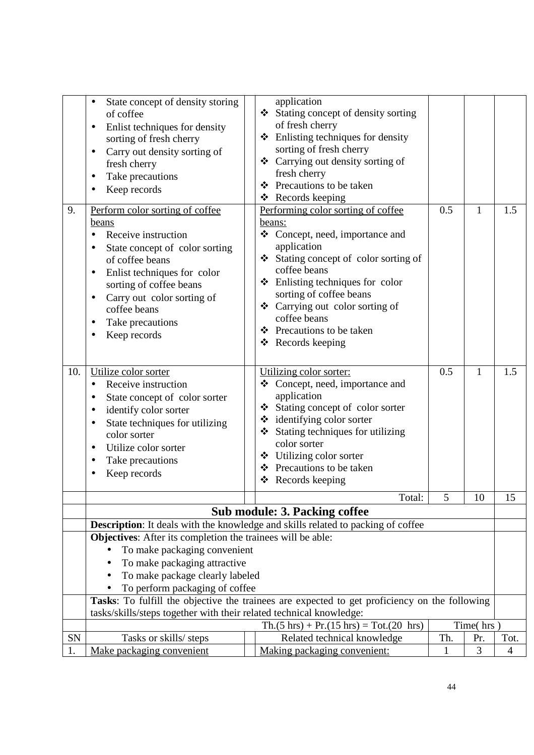| 9.<br>10. | State concept of density storing<br>of coffee<br>Enlist techniques for density<br>$\bullet$<br>sorting of fresh cherry<br>Carry out density sorting of<br>fresh cherry<br>Take precautions<br>Keep records<br>Perform color sorting of coffee<br>beans<br>Receive instruction<br>State concept of color sorting<br>of coffee beans<br>Enlist techniques for color<br>٠<br>sorting of coffee beans<br>Carry out color sorting of<br>coffee beans<br>Take precautions<br>Keep records<br>Utilize color sorter<br>Receive instruction<br>$\bullet$<br>State concept of color sorter<br>identify color sorter | application<br>❖ Stating concept of density sorting<br>of fresh cherry<br>$\triangle$ Enlisting techniques for density<br>sorting of fresh cherry<br>❖ Carrying out density sorting of<br>fresh cherry<br>Precautions to be taken<br>❖<br>❖ Records keeping<br>Performing color sorting of coffee<br>beans:<br>Concept, need, importance and<br>❖<br>application<br>❖ Stating concept of color sorting of<br>coffee beans<br>Enlisting techniques for color<br>❖<br>sorting of coffee beans<br>❖ Carrying out color sorting of<br>coffee beans<br>❖ Precautions to be taken<br>❖ Records keeping<br>Utilizing color sorter:<br>Concept, need, importance and<br>❖<br>application<br>❖ Stating concept of color sorter | 0.5<br>0.5 | 1<br>$\mathbf{1}$ | 1.5<br>1.5     |
|-----------|-----------------------------------------------------------------------------------------------------------------------------------------------------------------------------------------------------------------------------------------------------------------------------------------------------------------------------------------------------------------------------------------------------------------------------------------------------------------------------------------------------------------------------------------------------------------------------------------------------------|-----------------------------------------------------------------------------------------------------------------------------------------------------------------------------------------------------------------------------------------------------------------------------------------------------------------------------------------------------------------------------------------------------------------------------------------------------------------------------------------------------------------------------------------------------------------------------------------------------------------------------------------------------------------------------------------------------------------------|------------|-------------------|----------------|
|           | State techniques for utilizing<br>color sorter                                                                                                                                                                                                                                                                                                                                                                                                                                                                                                                                                            | ❖ identifying color sorter<br>Stating techniques for utilizing<br>❖                                                                                                                                                                                                                                                                                                                                                                                                                                                                                                                                                                                                                                                   |            |                   |                |
|           | Utilize color sorter                                                                                                                                                                                                                                                                                                                                                                                                                                                                                                                                                                                      | color sorter<br>Utilizing color sorter<br>❖                                                                                                                                                                                                                                                                                                                                                                                                                                                                                                                                                                                                                                                                           |            |                   |                |
|           | Take precautions<br>Keep records                                                                                                                                                                                                                                                                                                                                                                                                                                                                                                                                                                          | ❖ Precautions to be taken<br>❖                                                                                                                                                                                                                                                                                                                                                                                                                                                                                                                                                                                                                                                                                        |            |                   |                |
|           |                                                                                                                                                                                                                                                                                                                                                                                                                                                                                                                                                                                                           | Records keeping                                                                                                                                                                                                                                                                                                                                                                                                                                                                                                                                                                                                                                                                                                       |            |                   |                |
|           |                                                                                                                                                                                                                                                                                                                                                                                                                                                                                                                                                                                                           | Total:<br><b>Sub module: 3. Packing coffee</b>                                                                                                                                                                                                                                                                                                                                                                                                                                                                                                                                                                                                                                                                        | 5          | 10                | 15             |
|           |                                                                                                                                                                                                                                                                                                                                                                                                                                                                                                                                                                                                           | Description: It deals with the knowledge and skills related to packing of coffee                                                                                                                                                                                                                                                                                                                                                                                                                                                                                                                                                                                                                                      |            |                   |                |
|           | Objectives: After its completion the trainees will be able:                                                                                                                                                                                                                                                                                                                                                                                                                                                                                                                                               |                                                                                                                                                                                                                                                                                                                                                                                                                                                                                                                                                                                                                                                                                                                       |            |                   |                |
|           | To make packaging convenient                                                                                                                                                                                                                                                                                                                                                                                                                                                                                                                                                                              |                                                                                                                                                                                                                                                                                                                                                                                                                                                                                                                                                                                                                                                                                                                       |            |                   |                |
|           | To make packaging attractive<br>To make package clearly labeled<br>$\bullet$                                                                                                                                                                                                                                                                                                                                                                                                                                                                                                                              |                                                                                                                                                                                                                                                                                                                                                                                                                                                                                                                                                                                                                                                                                                                       |            |                   |                |
|           | To perform packaging of coffee                                                                                                                                                                                                                                                                                                                                                                                                                                                                                                                                                                            |                                                                                                                                                                                                                                                                                                                                                                                                                                                                                                                                                                                                                                                                                                                       |            |                   |                |
|           |                                                                                                                                                                                                                                                                                                                                                                                                                                                                                                                                                                                                           | Tasks: To fulfill the objective the trainees are expected to get proficiency on the following                                                                                                                                                                                                                                                                                                                                                                                                                                                                                                                                                                                                                         |            |                   |                |
|           | tasks/skills/steps together with their related technical knowledge:                                                                                                                                                                                                                                                                                                                                                                                                                                                                                                                                       |                                                                                                                                                                                                                                                                                                                                                                                                                                                                                                                                                                                                                                                                                                                       |            |                   |                |
| <b>SN</b> | Tasks or skills/ steps                                                                                                                                                                                                                                                                                                                                                                                                                                                                                                                                                                                    | $\text{Th.}(5 \text{ hrs}) + \text{Pr.}(15 \text{ hrs}) = \text{Tot.}(20 \text{ hrs})$<br>Related technical knowledge                                                                                                                                                                                                                                                                                                                                                                                                                                                                                                                                                                                                 | Th.        | Time(hrs)<br>Pr.  | Tot.           |
| 1.        | Make packaging convenient                                                                                                                                                                                                                                                                                                                                                                                                                                                                                                                                                                                 | Making packaging convenient:                                                                                                                                                                                                                                                                                                                                                                                                                                                                                                                                                                                                                                                                                          | 1          | 3                 | $\overline{4}$ |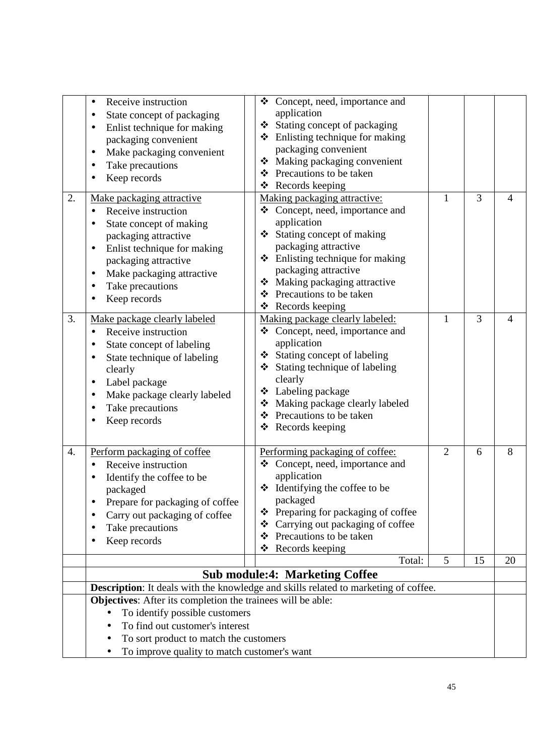| 2. | Receive instruction<br>$\bullet$<br>State concept of packaging<br>Enlist technique for making<br>packaging convenient<br>Make packaging convenient<br>Take precautions<br>Keep records<br>Make packaging attractive<br>Receive instruction<br>State concept of making<br>packaging attractive<br>Enlist technique for making<br>packaging attractive<br>Make packaging attractive<br>Take precautions | ❖ Concept, need, importance and<br>application<br>Stating concept of packaging<br>❖ Enlisting technique for making<br>packaging convenient<br>❖ Making packaging convenient<br>❖ Precautions to be taken<br>Records keeping<br>❖<br>Making packaging attractive:<br>❖ Concept, need, importance and<br>application<br>Stating concept of making<br>packaging attractive<br>❖ Enlisting technique for making<br>packaging attractive<br>Making packaging attractive<br>❖ | 1              | 3  | $\overline{4}$ |
|----|-------------------------------------------------------------------------------------------------------------------------------------------------------------------------------------------------------------------------------------------------------------------------------------------------------------------------------------------------------------------------------------------------------|-------------------------------------------------------------------------------------------------------------------------------------------------------------------------------------------------------------------------------------------------------------------------------------------------------------------------------------------------------------------------------------------------------------------------------------------------------------------------|----------------|----|----------------|
| 3. | Keep records<br>Make package clearly labeled<br>Receive instruction<br>$\bullet$<br>State concept of labeling<br>State technique of labeling<br>clearly<br>Label package<br>Make package clearly labeled<br>Take precautions<br>Keep records                                                                                                                                                          | Precautions to be taken<br>❖<br>❖ Records keeping<br>Making package clearly labeled:<br>Concept, need, importance and<br>❖<br>application<br>❖ Stating concept of labeling<br>❖ Stating technique of labeling<br>clearly<br>❖ Labeling package<br>Making package clearly labeled<br>❖<br>❖ Precautions to be taken<br>Records keeping<br>❖                                                                                                                              | $\mathbf{1}$   | 3  | 4              |
| 4. | Perform packaging of coffee<br>Receive instruction<br>Identify the coffee to be<br>packaged<br>Prepare for packaging of coffee<br>Carry out packaging of coffee<br>Take precautions<br>Keep records                                                                                                                                                                                                   | Performing packaging of coffee:<br>❖ Concept, need, importance and<br>application<br>$\div$ Identifying the coffee to be<br>packaged<br>❖ Preparing for packaging of coffee<br>Carrying out packaging of coffee<br>❖<br>Precautions to be taken<br>❖<br>❖<br>Records keeping                                                                                                                                                                                            | $\overline{2}$ | 6  | 8              |
|    |                                                                                                                                                                                                                                                                                                                                                                                                       | Total:                                                                                                                                                                                                                                                                                                                                                                                                                                                                  | 5              | 15 | 20             |
|    |                                                                                                                                                                                                                                                                                                                                                                                                       | <b>Sub module:4: Marketing Coffee</b>                                                                                                                                                                                                                                                                                                                                                                                                                                   |                |    |                |
|    |                                                                                                                                                                                                                                                                                                                                                                                                       | Description: It deals with the knowledge and skills related to marketing of coffee.                                                                                                                                                                                                                                                                                                                                                                                     |                |    |                |
|    | Objectives: After its completion the trainees will be able:<br>To identify possible customers<br>$\bullet$<br>To find out customer's interest<br>To sort product to match the customers<br>To improve quality to match customer's want                                                                                                                                                                |                                                                                                                                                                                                                                                                                                                                                                                                                                                                         |                |    |                |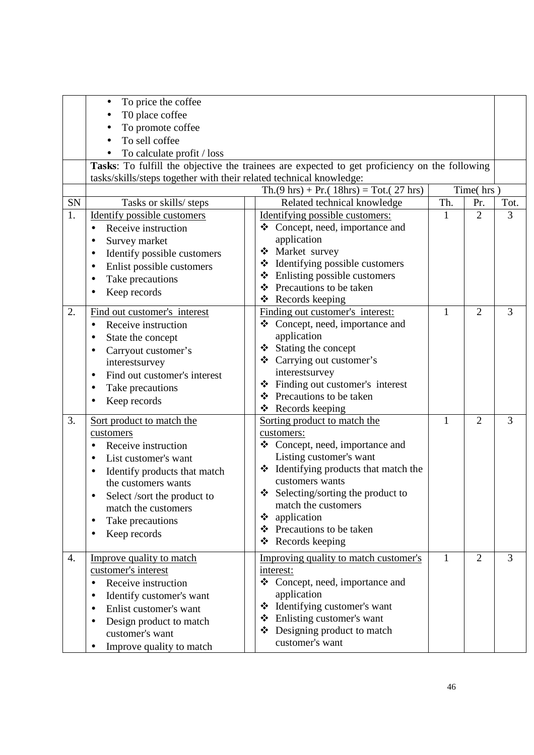|    | To price the coffee<br>$\bullet$<br>T0 place coffee<br>To promote coffee<br>To sell coffee<br>To calculate profit / loss<br>tasks/skills/steps together with their related technical knowledge:                                                     | Tasks: To fulfill the objective the trainees are expected to get proficiency on the following<br>$\text{Th.}(9 \text{ hrs}) + \text{Pr.}(18 \text{ hrs}) = \text{Tot.}(27 \text{ hrs})$                                                                                                                         |              | Time(hrs)      |                |
|----|-----------------------------------------------------------------------------------------------------------------------------------------------------------------------------------------------------------------------------------------------------|-----------------------------------------------------------------------------------------------------------------------------------------------------------------------------------------------------------------------------------------------------------------------------------------------------------------|--------------|----------------|----------------|
| SN |                                                                                                                                                                                                                                                     | Related technical knowledge                                                                                                                                                                                                                                                                                     | Th.          | Pr.            | Tot.           |
| 1. | Tasks or skills/ steps<br>Identify possible customers<br>Receive instruction<br>Survey market<br>Identify possible customers<br>Enlist possible customers<br>Take precautions<br>Keep records                                                       | Identifying possible customers:<br>❖ Concept, need, importance and<br>application<br>Market survey<br>* Identifying possible customers<br>Enlisting possible customers<br>❖<br>Precautions to be taken<br>❖<br>Records keeping<br>❖                                                                             | $\mathbf{1}$ | $\overline{2}$ | 3              |
| 2. | Find out customer's interest<br>Receive instruction<br>State the concept<br>Carryout customer's<br>interestsurvey<br>Find out customer's interest<br>$\bullet$<br>Take precautions<br>Keep records                                                  | Finding out customer's interest:<br>❖ Concept, need, importance and<br>application<br>Stating the concept<br>❖<br>❖ Carrying out customer's<br>interestsurvey<br>Finding out customer's interest<br>❖<br>Precautions to be taken<br>❖<br>Records keeping<br>❖                                                   | $\mathbf{1}$ | $\overline{2}$ | 3              |
| 3. | Sort product to match the<br>customers<br>Receive instruction<br>List customer's want<br>Identify products that match<br>the customers wants<br>Select /sort the product to<br>match the customers<br>Take precautions<br>$\bullet$<br>Keep records | Sorting product to match the<br>customers:<br>❖ Concept, need, importance and<br>Listing customer's want<br>❖ Identifying products that match the<br>customers wants<br>$\bullet$ Selecting/sorting the product to<br>match the customers<br>❖ application<br>❖ Precautions to be taken<br>Records keeping<br>❖ | $\mathbf{1}$ | $\overline{2}$ | 3              |
| 4. | Improve quality to match<br>customer's interest<br>Receive instruction<br>Identify customer's want<br>٠<br>Enlist customer's want<br>$\bullet$<br>Design product to match<br>customer's want<br>Improve quality to match                            | Improving quality to match customer's<br>interest:<br>❖ Concept, need, importance and<br>application<br>❖ Identifying customer's want<br>❖ Enlisting customer's want<br>❖ Designing product to match<br>customer's want                                                                                         | $\mathbf{1}$ | $\overline{2}$ | $\overline{3}$ |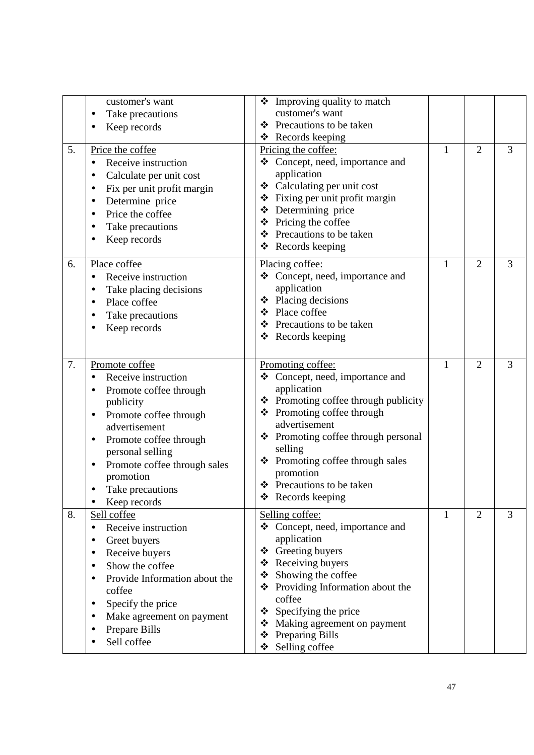| 5. | customer's want<br>Take precautions<br>Keep records<br>Price the coffee<br>Receive instruction<br>Calculate per unit cost<br>Fix per unit profit margin<br>Determine price<br>Price the coffee<br>$\bullet$<br>Take precautions                                               | $\div$ Improving quality to match<br>customer's want<br>❖ Precautions to be taken<br>$\triangleleft$ Records keeping<br>Pricing the coffee:<br>Concept, need, importance and<br>application<br>Calculating per unit cost<br>❖<br>❖ Fixing per unit profit margin<br>❖ Determining price<br>$\triangle$ Pricing the coffee | $\mathbf{1}$ | $\overline{2}$ | 3 |
|----|-------------------------------------------------------------------------------------------------------------------------------------------------------------------------------------------------------------------------------------------------------------------------------|---------------------------------------------------------------------------------------------------------------------------------------------------------------------------------------------------------------------------------------------------------------------------------------------------------------------------|--------------|----------------|---|
|    | Keep records                                                                                                                                                                                                                                                                  | ❖ Precautions to be taken<br>Records keeping<br>❖                                                                                                                                                                                                                                                                         |              |                |   |
| 6. | Place coffee<br>Receive instruction<br>Take placing decisions<br>Place coffee<br>Take precautions<br>Keep records                                                                                                                                                             | Placing coffee:<br>Concept, need, importance and<br>❖<br>application<br>$\triangle$ Placing decisions<br>❖ Place coffee<br>Precautions to be taken<br>❖<br>$\triangleleft$ Records keeping                                                                                                                                | $\mathbf{1}$ | $\overline{2}$ | 3 |
| 7. | Promote coffee<br>Receive instruction<br>Promote coffee through<br>publicity<br>Promote coffee through<br>$\bullet$<br>advertisement<br>Promote coffee through<br>٠<br>personal selling<br>Promote coffee through sales<br>٠<br>promotion<br>Take precautions<br>Keep records | Promoting coffee:<br>❖ Concept, need, importance and<br>application<br>❖ Promoting coffee through publicity<br>❖ Promoting coffee through<br>advertisement<br>❖ Promoting coffee through personal<br>selling<br>Promoting coffee through sales<br>❖<br>promotion<br>❖ Precautions to be taken<br>❖ Records keeping        | 1            | $\overline{2}$ | 3 |
| 8. | Sell coffee<br>Receive instruction<br>٠<br>Greet buyers<br>Receive buyers<br>٠<br>Show the coffee<br>$\bullet$<br>Provide Information about the<br>coffee<br>Specify the price<br>Make agreement on payment<br>Prepare Bills<br>Sell coffee                                   | Selling coffee:<br>❖ Concept, need, importance and<br>application<br>Greeting buyers<br>❖<br>❖ Receiving buyers<br>Showing the coffee<br>❖<br>❖ Providing Information about the<br>coffee<br>Specifying the price<br>❖<br>Making agreement on payment<br>❖<br>Preparing Bills<br>❖<br>Selling coffee<br>❖                 | 1            | $\overline{2}$ | 3 |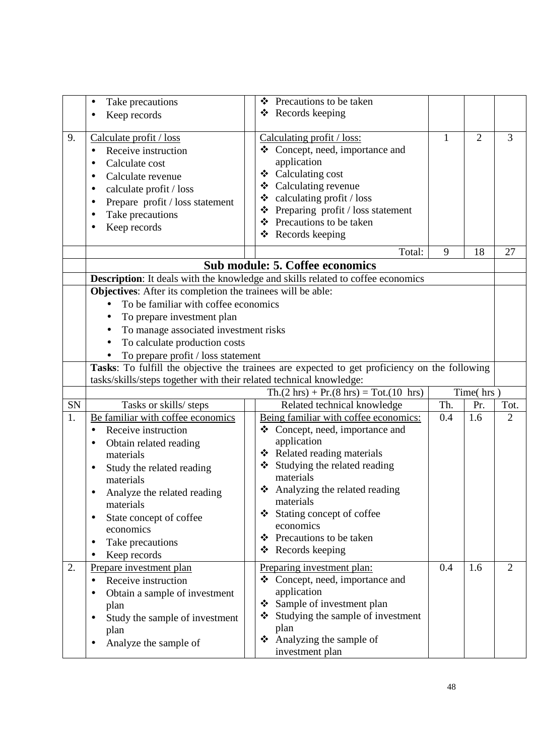|    | Take precautions<br>٠                                               | Precautions to be taken<br>❖                                                                  |              |                |                |
|----|---------------------------------------------------------------------|-----------------------------------------------------------------------------------------------|--------------|----------------|----------------|
|    | Keep records                                                        | Records keeping<br>❖                                                                          |              |                |                |
|    |                                                                     |                                                                                               |              |                |                |
| 9. | Calculate profit / loss                                             | Calculating profit / loss:                                                                    | $\mathbf{1}$ | $\overline{2}$ | 3              |
|    | Receive instruction<br>$\bullet$                                    | Concept, need, importance and<br>❖                                                            |              |                |                |
|    |                                                                     | application                                                                                   |              |                |                |
|    | Calculate cost                                                      | ❖ Calculating cost                                                                            |              |                |                |
|    | Calculate revenue                                                   | ❖ Calculating revenue                                                                         |              |                |                |
|    | calculate profit / loss                                             | $\div$ calculating profit / loss                                                              |              |                |                |
|    | Prepare profit / loss statement                                     | Preparing profit / loss statement<br>❖                                                        |              |                |                |
|    | Take precautions                                                    | ❖ Precautions to be taken                                                                     |              |                |                |
|    | Keep records                                                        | Records keeping<br>❖                                                                          |              |                |                |
|    |                                                                     |                                                                                               |              |                |                |
|    |                                                                     | Total:                                                                                        | 9            | 18             | 27             |
|    |                                                                     | <b>Sub module: 5. Coffee economics</b>                                                        |              |                |                |
|    |                                                                     | <b>Description:</b> It deals with the knowledge and skills related to coffee economics        |              |                |                |
|    | <b>Objectives:</b> After its completion the trainees will be able:  |                                                                                               |              |                |                |
|    | To be familiar with coffee economics                                |                                                                                               |              |                |                |
|    | To prepare investment plan                                          |                                                                                               |              |                |                |
|    | To manage associated investment risks<br>$\bullet$                  |                                                                                               |              |                |                |
|    | To calculate production costs                                       |                                                                                               |              |                |                |
|    | To prepare profit / loss statement                                  |                                                                                               |              |                |                |
|    |                                                                     | Tasks: To fulfill the objective the trainees are expected to get proficiency on the following |              |                |                |
|    | tasks/skills/steps together with their related technical knowledge: |                                                                                               |              |                |                |
|    |                                                                     | $Th.(2 hrs) + Pr.(8 hrs) = Tot.(10 hrs)$                                                      |              | Time( $hrs$ )  |                |
| SN | Tasks or skills/ steps                                              | Related technical knowledge                                                                   | Th.          | Pr.            | Tot.           |
| 1. | Be familiar with coffee economics                                   | Being familiar with coffee economics:                                                         | 0.4          | 1.6            | $\overline{2}$ |
|    | Receive instruction<br>$\bullet$                                    | Concept, need, importance and<br>❖                                                            |              |                |                |
|    |                                                                     | application                                                                                   |              |                |                |
|    | Obtain related reading                                              | ❖ Related reading materials                                                                   |              |                |                |
|    | materials                                                           | Studying the related reading<br>❖                                                             |              |                |                |
|    | Study the related reading<br>$\bullet$                              | materials                                                                                     |              |                |                |
|    | materials                                                           | Analyzing the related reading<br>❖                                                            |              |                |                |
|    | Analyze the related reading                                         | materials                                                                                     |              |                |                |
|    | materials                                                           | Stating concept of coffee<br>❖                                                                |              |                |                |
|    | State concept of coffee<br>٠                                        | economics                                                                                     |              |                |                |
|    | economics                                                           | Precautions to be taken                                                                       |              |                |                |
|    | Take precautions<br>$\bullet$                                       | ❖                                                                                             |              |                |                |
|    | Keep records                                                        | Records keeping<br>❖                                                                          |              |                |                |
| 2. | Prepare investment plan                                             | Preparing investment plan:                                                                    | 0.4          | 1.6            | $\overline{2}$ |
|    | Receive instruction                                                 | Concept, need, importance and<br>❖                                                            |              |                |                |
|    | Obtain a sample of investment                                       | application                                                                                   |              |                |                |
|    | plan                                                                | Sample of investment plan<br>❖                                                                |              |                |                |
|    | Study the sample of investment                                      | Studying the sample of investment<br>❖                                                        |              |                |                |
|    | plan                                                                | plan                                                                                          |              |                |                |
|    | Analyze the sample of                                               | Analyzing the sample of<br>❖                                                                  |              |                |                |
|    |                                                                     | investment plan                                                                               |              |                |                |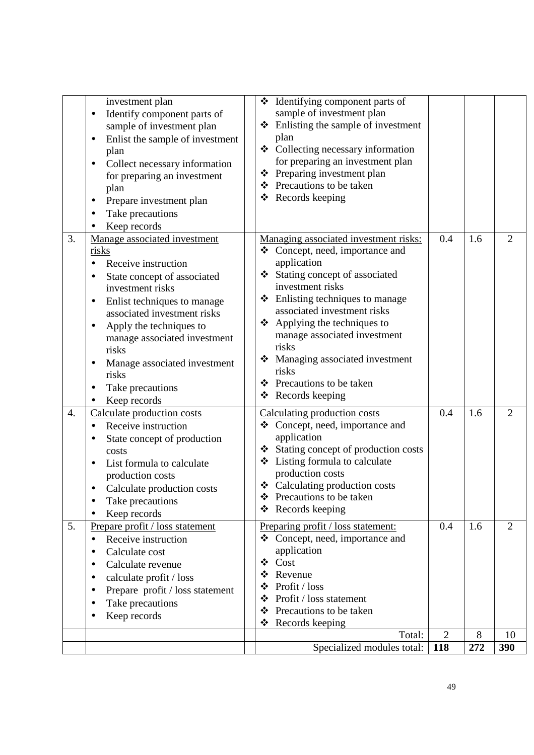|                  | investment plan<br>Identify component parts of<br>$\bullet$<br>sample of investment plan<br>Enlist the sample of investment<br>plan<br>Collect necessary information<br>$\bullet$<br>for preparing an investment<br>plan<br>Prepare investment plan                                                                                         | ❖                               | * Identifying component parts of<br>sample of investment plan<br>$\triangle$ Enlisting the sample of investment<br>plan<br>❖ Collecting necessary information<br>for preparing an investment plan<br>Preparing investment plan<br>❖ Precautions to be taken<br>❖ Records keeping                                                                                                                   |                |     |                |
|------------------|---------------------------------------------------------------------------------------------------------------------------------------------------------------------------------------------------------------------------------------------------------------------------------------------------------------------------------------------|---------------------------------|----------------------------------------------------------------------------------------------------------------------------------------------------------------------------------------------------------------------------------------------------------------------------------------------------------------------------------------------------------------------------------------------------|----------------|-----|----------------|
|                  | Take precautions<br>Keep records                                                                                                                                                                                                                                                                                                            |                                 |                                                                                                                                                                                                                                                                                                                                                                                                    |                |     |                |
| 3.               | Manage associated investment<br>risks<br>Receive instruction<br>State concept of associated<br>investment risks<br>Enlist techniques to manage<br>associated investment risks<br>Apply the techniques to<br>$\bullet$<br>manage associated investment<br>risks<br>Manage associated investment<br>risks<br>Take precautions<br>Keep records | ❖                               | Managing associated investment risks:<br>❖ Concept, need, importance and<br>application<br>Stating concept of associated<br>investment risks<br>$\div$ Enlisting techniques to manage<br>associated investment risks<br>$\triangle$ Applying the techniques to<br>manage associated investment<br>risks<br>Managing associated investment<br>risks<br>❖ Precautions to be taken<br>Records keeping | 0.4            | 1.6 | $\overline{2}$ |
| $\overline{4}$ . | Calculate production costs<br>Receive instruction<br>State concept of production<br>costs<br>List formula to calculate<br>production costs<br>Calculate production costs<br>$\bullet$<br>Take precautions<br>Keep records                                                                                                                   | ❖<br>❖                          | Calculating production costs<br>Concept, need, importance and<br>application<br>Stating concept of production costs<br>❖ Listing formula to calculate<br>production costs<br>❖ Calculating production costs<br>Precautions to be taken<br>Records keeping                                                                                                                                          | 0.4            | 1.6 | $\overline{2}$ |
| 5.               | Prepare profit / loss statement<br>Receive instruction<br>$\bullet$<br>Calculate cost<br>Calculate revenue<br>calculate profit / loss<br>Prepare profit / loss statement<br>$\bullet$<br>Take precautions<br>Keep records                                                                                                                   | ❖<br>❖<br>❖<br>❖<br>❖<br>❖<br>❖ | Preparing profit / loss statement:<br>Concept, need, importance and<br>application<br>Cost<br>Revenue<br>Profit / loss<br>Profit / loss statement<br>Precautions to be taken<br>Records keeping                                                                                                                                                                                                    | 0.4            | 1.6 | 2              |
|                  |                                                                                                                                                                                                                                                                                                                                             |                                 | Total:                                                                                                                                                                                                                                                                                                                                                                                             | $\overline{2}$ | 8   | 10             |
|                  |                                                                                                                                                                                                                                                                                                                                             |                                 | Specialized modules total:                                                                                                                                                                                                                                                                                                                                                                         | <b>118</b>     | 272 | 390            |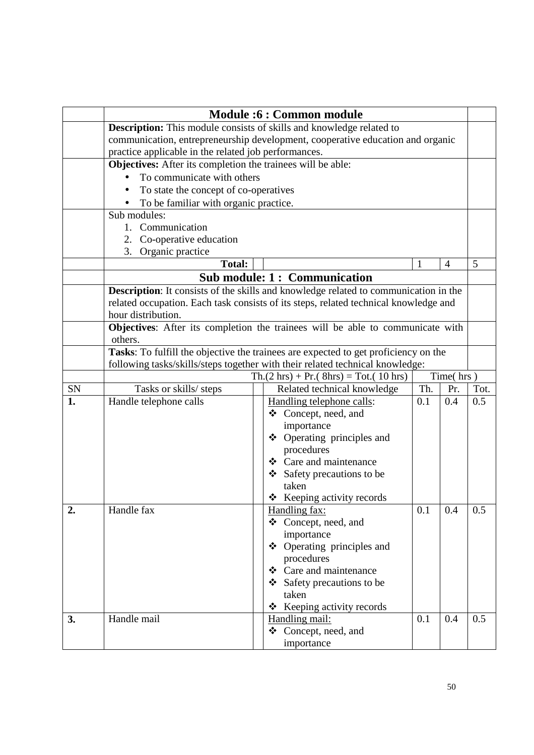|    |                                                                                           |  | <b>Module:6: Common module</b>                                                        |             |                |      |  |  |
|----|-------------------------------------------------------------------------------------------|--|---------------------------------------------------------------------------------------|-------------|----------------|------|--|--|
|    | <b>Description:</b> This module consists of skills and knowledge related to               |  |                                                                                       |             |                |      |  |  |
|    |                                                                                           |  | communication, entrepreneurship development, cooperative education and organic        |             |                |      |  |  |
|    | practice applicable in the related job performances.                                      |  |                                                                                       |             |                |      |  |  |
|    | Objectives: After its completion the trainees will be able:                               |  |                                                                                       |             |                |      |  |  |
|    | To communicate with others                                                                |  |                                                                                       |             |                |      |  |  |
|    | To state the concept of co-operatives<br>$\bullet$                                        |  |                                                                                       |             |                |      |  |  |
|    | To be familiar with organic practice.                                                     |  |                                                                                       |             |                |      |  |  |
|    | Sub modules:                                                                              |  |                                                                                       |             |                |      |  |  |
|    | 1. Communication                                                                          |  |                                                                                       |             |                |      |  |  |
|    | 2. Co-operative education                                                                 |  |                                                                                       |             |                |      |  |  |
|    | 3. Organic practice                                                                       |  |                                                                                       |             |                | 5    |  |  |
|    | <b>Total:</b>                                                                             |  |                                                                                       | $\mathbf 1$ | $\overline{4}$ |      |  |  |
|    |                                                                                           |  | <b>Sub module: 1: Communication</b>                                                   |             |                |      |  |  |
|    |                                                                                           |  | Description: It consists of the skills and knowledge related to communication in the  |             |                |      |  |  |
|    | hour distribution.                                                                        |  | related occupation. Each task consists of its steps, related technical knowledge and  |             |                |      |  |  |
|    |                                                                                           |  |                                                                                       |             |                |      |  |  |
|    | Objectives: After its completion the trainees will be able to communicate with<br>others. |  |                                                                                       |             |                |      |  |  |
|    | Tasks: To fulfill the objective the trainees are expected to get proficiency on the       |  |                                                                                       |             |                |      |  |  |
|    | following tasks/skills/steps together with their related technical knowledge:             |  |                                                                                       |             |                |      |  |  |
|    |                                                                                           |  | $\text{Th.}(2 \text{ hrs}) + \text{Pr.}(8 \text{ hrs}) = \text{Tot.}(10 \text{ hrs})$ |             | Time(hrs)      |      |  |  |
| SN | Tasks or skills/ steps                                                                    |  | Related technical knowledge                                                           | Th.         | Pr.            | Tot. |  |  |
| 1. | Handle telephone calls                                                                    |  | Handling telephone calls:                                                             | 0.1         | 0.4            | 0.5  |  |  |
|    |                                                                                           |  | Concept, need, and<br>❖                                                               |             |                |      |  |  |
|    |                                                                                           |  | importance                                                                            |             |                |      |  |  |
|    |                                                                                           |  | Operating principles and<br>❖                                                         |             |                |      |  |  |
|    |                                                                                           |  | procedures                                                                            |             |                |      |  |  |
|    |                                                                                           |  | $\div$ Care and maintenance                                                           |             |                |      |  |  |
|    |                                                                                           |  | Safety precautions to be<br>taken                                                     |             |                |      |  |  |
|    |                                                                                           |  | $\div$ Keeping activity records                                                       |             |                |      |  |  |
|    | Handle fax                                                                                |  | Handling fax:                                                                         | 0.1         | $0.4^{\circ}$  | 0.5  |  |  |
| 2. |                                                                                           |  | ❖ Concept, need, and                                                                  |             |                |      |  |  |
|    |                                                                                           |  | importance                                                                            |             |                |      |  |  |
|    |                                                                                           |  | ❖ Operating principles and                                                            |             |                |      |  |  |
|    |                                                                                           |  | procedures                                                                            |             |                |      |  |  |
|    |                                                                                           |  | Care and maintenance<br>❖                                                             |             |                |      |  |  |
|    |                                                                                           |  | $\div$ Safety precautions to be                                                       |             |                |      |  |  |
|    |                                                                                           |  | taken                                                                                 |             |                |      |  |  |
|    |                                                                                           |  | Keeping activity records<br>❖                                                         |             |                |      |  |  |
| 3. | Handle mail                                                                               |  | Handling mail:                                                                        | 0.1         | 0.4            | 0.5  |  |  |
|    |                                                                                           |  | ❖ Concept, need, and                                                                  |             |                |      |  |  |
|    |                                                                                           |  | importance                                                                            |             |                |      |  |  |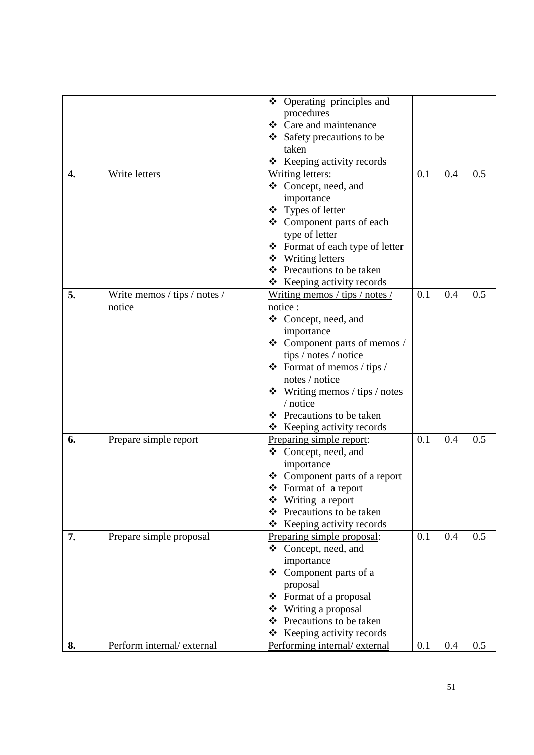|    |                              | ❖ Operating principles and        |     |     |     |
|----|------------------------------|-----------------------------------|-----|-----|-----|
|    |                              | procedures                        |     |     |     |
|    |                              | Care and maintenance<br>❖         |     |     |     |
|    |                              | ❖ Safety precautions to be        |     |     |     |
|    |                              | taken                             |     |     |     |
|    |                              | ❖ Keeping activity records        |     |     |     |
| 4. | Write letters                | <b>Writing letters:</b>           | 0.1 | 0.4 | 0.5 |
|    |                              | ❖ Concept, need, and              |     |     |     |
|    |                              | importance                        |     |     |     |
|    |                              | ❖ Types of letter                 |     |     |     |
|    |                              | ❖ Component parts of each         |     |     |     |
|    |                              | type of letter                    |     |     |     |
|    |                              | ❖ Format of each type of letter   |     |     |     |
|    |                              | ❖ Writing letters                 |     |     |     |
|    |                              | Precautions to be taken<br>❖      |     |     |     |
|    |                              | * Keeping activity records        |     |     |     |
| 5. | Write memos / tips / notes / | Writing memos / tips / notes /    | 0.1 | 0.4 | 0.5 |
|    | notice                       | notice:                           |     |     |     |
|    |                              | ❖ Concept, need, and              |     |     |     |
|    |                              |                                   |     |     |     |
|    |                              | importance                        |     |     |     |
|    |                              | ❖ Component parts of memos /      |     |     |     |
|    |                              | tips / notes / notice             |     |     |     |
|    |                              | Format of memos / tips /<br>❖     |     |     |     |
|    |                              | notes / notice                    |     |     |     |
|    |                              | Writing memos / tips / notes<br>❖ |     |     |     |
|    |                              | / notice                          |     |     |     |
|    |                              | Precautions to be taken<br>❖      |     |     |     |
|    |                              | ❖<br>Keeping activity records     |     |     |     |
| 6. | Prepare simple report        | Preparing simple report:          | 0.1 | 0.4 | 0.5 |
|    |                              | ❖ Concept, need, and              |     |     |     |
|    |                              | importance                        |     |     |     |
|    |                              | Component parts of a report       |     |     |     |
|    |                              | ❖ Format of a report              |     |     |     |
|    |                              | Writing a report<br>❖             |     |     |     |
|    |                              | Precautions to be taken<br>❖      |     |     |     |
|    |                              | Keeping activity records          |     |     |     |
| 7. | Prepare simple proposal      | Preparing simple proposal:        | 0.1 | 0.4 | 0.5 |
|    |                              | ❖ Concept, need, and              |     |     |     |
|    |                              | importance                        |     |     |     |
|    |                              | Component parts of a<br>❖         |     |     |     |
|    |                              | proposal                          |     |     |     |
|    |                              | Format of a proposal<br>❖         |     |     |     |
|    |                              | Writing a proposal<br>❖           |     |     |     |
|    |                              | Precautions to be taken<br>❖      |     |     |     |
|    |                              | Keeping activity records<br>❖     |     |     |     |
| 8. | Perform internal/external    | Performing internal/external      | 0.1 | 0.4 | 0.5 |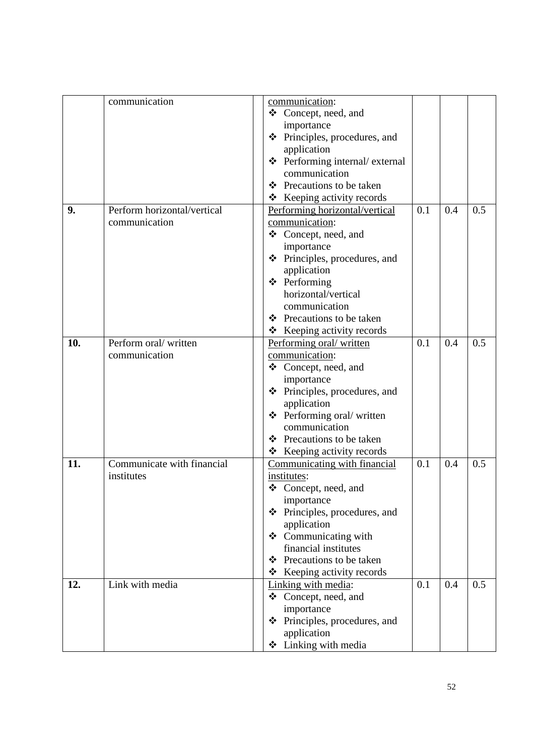|     | communication               | communication:                       |     |     |     |
|-----|-----------------------------|--------------------------------------|-----|-----|-----|
|     |                             | ❖ Concept, need, and                 |     |     |     |
|     |                             | importance                           |     |     |     |
|     |                             | ❖ Principles, procedures, and        |     |     |     |
|     |                             | application                          |     |     |     |
|     |                             | ❖ Performing internal/ external      |     |     |     |
|     |                             | communication                        |     |     |     |
|     |                             | Precautions to be taken<br>❖         |     |     |     |
|     |                             | $\triangle$ Keeping activity records |     |     |     |
| 9.  | Perform horizontal/vertical | Performing horizontal/vertical       | 0.1 | 0.4 | 0.5 |
|     | communication               | communication:                       |     |     |     |
|     |                             | ❖ Concept, need, and                 |     |     |     |
|     |                             | importance                           |     |     |     |
|     |                             | ❖ Principles, procedures, and        |     |     |     |
|     |                             | application                          |     |     |     |
|     |                             | ❖ Performing                         |     |     |     |
|     |                             | horizontal/vertical                  |     |     |     |
|     |                             | communication                        |     |     |     |
|     |                             | ❖ Precautions to be taken            |     |     |     |
|     |                             | ❖ Keeping activity records           |     |     |     |
| 10. | Perform oral/written        | Performing oral/written              | 0.1 | 0.4 | 0.5 |
|     | communication               | communication:                       |     |     |     |
|     |                             | ❖ Concept, need, and                 |     |     |     |
|     |                             | importance                           |     |     |     |
|     |                             | ❖ Principles, procedures, and        |     |     |     |
|     |                             |                                      |     |     |     |
|     |                             | application                          |     |     |     |
|     |                             | $\triangle$ Performing oral/written  |     |     |     |
|     |                             | communication                        |     |     |     |
|     |                             | ❖ Precautions to be taken            |     |     |     |
|     |                             | ❖ Keeping activity records           |     |     |     |
| 11. | Communicate with financial  | Communicating with financial         | 0.1 | 0.4 | 0.5 |
|     | institutes                  | institutes:                          |     |     |     |
|     |                             | ❖ Concept, need, and                 |     |     |     |
|     |                             | importance                           |     |     |     |
|     |                             | Principles, procedures, and<br>❖     |     |     |     |
|     |                             | application                          |     |     |     |
|     |                             | ❖ Communicating with                 |     |     |     |
|     |                             | financial institutes                 |     |     |     |
|     |                             | Precautions to be taken<br>❖         |     |     |     |
|     |                             | Keeping activity records<br>❖        |     |     |     |
| 12. | Link with media             | Linking with media:                  | 0.1 | 0.4 | 0.5 |
|     |                             | ❖ Concept, need, and                 |     |     |     |
|     |                             | importance                           |     |     |     |
|     |                             | Principles, procedures, and<br>❖     |     |     |     |
|     |                             | application                          |     |     |     |
|     |                             | Linking with media<br>❖              |     |     |     |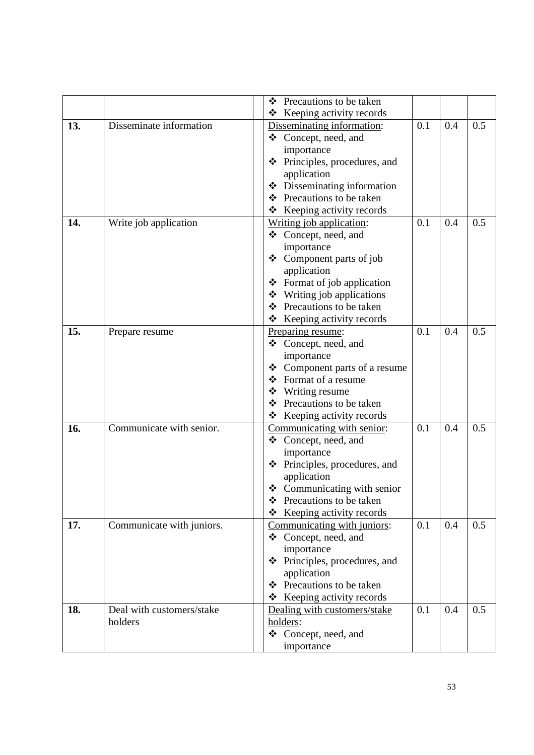|     |                           | Precautions to be taken<br>❖              |     |     |     |
|-----|---------------------------|-------------------------------------------|-----|-----|-----|
|     |                           | Keeping activity records<br>❖             |     |     |     |
| 13. | Disseminate information   | Disseminating information:                | 0.1 | 0.4 | 0.5 |
|     |                           | Concept, need, and<br>❖                   |     |     |     |
|     |                           | importance                                |     |     |     |
|     |                           | Principles, procedures, and<br>❖          |     |     |     |
|     |                           | application                               |     |     |     |
|     |                           | Disseminating information<br>❖            |     |     |     |
|     |                           | Precautions to be taken<br>❖              |     |     |     |
|     |                           | Keeping activity records<br>❖             |     |     |     |
| 14. | Write job application     | Writing job application:                  | 0.1 | 0.4 | 0.5 |
|     |                           | ❖ Concept, need, and                      |     |     |     |
|     |                           | importance                                |     |     |     |
|     |                           | ❖ Component parts of job                  |     |     |     |
|     |                           | application                               |     |     |     |
|     |                           | Format of job application<br>❖            |     |     |     |
|     |                           | Writing job applications<br>❖             |     |     |     |
|     |                           | Precautions to be taken<br>❖              |     |     |     |
|     |                           | Keeping activity records<br>❖             |     |     |     |
| 15. | Prepare resume            | Preparing resume:                         | 0.1 | 0.4 | 0.5 |
|     |                           | ❖ Concept, need, and                      |     |     |     |
|     |                           | importance                                |     |     |     |
|     |                           | Component parts of a resume<br>❖          |     |     |     |
|     |                           | Format of a resume<br>❖                   |     |     |     |
|     |                           | Writing resume<br>❖                       |     |     |     |
|     |                           | Precautions to be taken<br>❖              |     |     |     |
|     |                           | Keeping activity records<br>❖             |     |     |     |
| 16. | Communicate with senior.  | Communicating with senior:                | 0.1 | 0.4 | 0.5 |
|     |                           | ❖ Concept, need, and                      |     |     |     |
|     |                           | importance                                |     |     |     |
|     |                           | Principles, procedures, and<br>❖          |     |     |     |
|     |                           | application                               |     |     |     |
|     |                           | $\triangleleft$ Communicating with senior |     |     |     |
|     |                           | Precautions to be taken<br>❖              |     |     |     |
|     |                           | Keeping activity records<br>❖             |     |     |     |
| 17. | Communicate with juniors. | Communicating with juniors:               | 0.1 | 0.4 | 0.5 |
|     |                           | ❖ Concept, need, and                      |     |     |     |
|     |                           | importance                                |     |     |     |
|     |                           | ❖ Principles, procedures, and             |     |     |     |
|     |                           | application                               |     |     |     |
|     |                           | ❖ Precautions to be taken                 |     |     |     |
|     |                           | Keeping activity records<br>❖             |     |     |     |
| 18. | Deal with customers/stake | Dealing with customers/stake              | 0.1 | 0.4 | 0.5 |
|     | holders                   | holders:                                  |     |     |     |
|     |                           | ❖ Concept, need, and                      |     |     |     |
|     |                           | importance                                |     |     |     |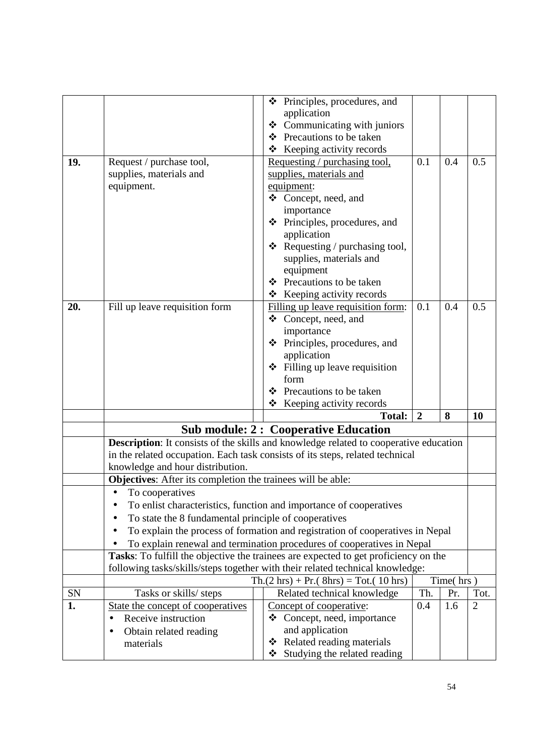|     |                                                                    | Principles, procedures, and<br>❖                                                                                                                              |                |           |                |
|-----|--------------------------------------------------------------------|---------------------------------------------------------------------------------------------------------------------------------------------------------------|----------------|-----------|----------------|
|     |                                                                    | application                                                                                                                                                   |                |           |                |
|     |                                                                    | Communicating with juniors<br>❖                                                                                                                               |                |           |                |
|     |                                                                    | Precautions to be taken<br>❖                                                                                                                                  |                |           |                |
|     |                                                                    | Keeping activity records<br>❖                                                                                                                                 |                |           |                |
| 19. | Request / purchase tool,                                           | Requesting / purchasing tool,                                                                                                                                 | 0.1            | 0.4       | 0.5            |
|     | supplies, materials and                                            | supplies, materials and                                                                                                                                       |                |           |                |
|     | equipment.                                                         | equipment:                                                                                                                                                    |                |           |                |
|     |                                                                    | ❖ Concept, need, and                                                                                                                                          |                |           |                |
|     |                                                                    | importance<br>❖ Principles, procedures, and                                                                                                                   |                |           |                |
|     |                                                                    | application                                                                                                                                                   |                |           |                |
|     |                                                                    | $\triangleleft$ Requesting / purchasing tool,                                                                                                                 |                |           |                |
|     |                                                                    | supplies, materials and                                                                                                                                       |                |           |                |
|     |                                                                    | equipment                                                                                                                                                     |                |           |                |
|     |                                                                    | Precautions to be taken<br>❖                                                                                                                                  |                |           |                |
|     |                                                                    | ❖ Keeping activity records                                                                                                                                    |                |           |                |
| 20. | Fill up leave requisition form                                     | Filling up leave requisition form:                                                                                                                            | 0.1            | 0.4       | 0.5            |
|     |                                                                    | ❖ Concept, need, and                                                                                                                                          |                |           |                |
|     |                                                                    | importance                                                                                                                                                    |                |           |                |
|     |                                                                    | Principles, procedures, and<br>❖                                                                                                                              |                |           |                |
|     |                                                                    | application                                                                                                                                                   |                |           |                |
|     |                                                                    | ❖ Filling up leave requisition                                                                                                                                |                |           |                |
|     |                                                                    | form                                                                                                                                                          |                |           |                |
|     |                                                                    | Precautions to be taken<br>❖                                                                                                                                  |                |           |                |
|     |                                                                    | Keeping activity records<br>❖                                                                                                                                 |                |           |                |
|     |                                                                    | <b>Total:</b>                                                                                                                                                 | $\overline{2}$ | 8         | 10             |
|     |                                                                    | <b>Sub module: 2: Cooperative Education</b>                                                                                                                   |                |           |                |
|     |                                                                    | Description: It consists of the skills and knowledge related to cooperative education                                                                         |                |           |                |
|     |                                                                    | in the related occupation. Each task consists of its steps, related technical                                                                                 |                |           |                |
|     | knowledge and hour distribution.                                   |                                                                                                                                                               |                |           |                |
|     | <b>Objectives:</b> After its completion the trainees will be able: |                                                                                                                                                               |                |           |                |
|     | • To cooperatives                                                  |                                                                                                                                                               |                |           |                |
|     |                                                                    | To enlist characteristics, function and importance of cooperatives                                                                                            |                |           |                |
|     | To state the 8 fundamental principle of cooperatives               |                                                                                                                                                               |                |           |                |
|     |                                                                    | To explain the process of formation and registration of cooperatives in Nepal                                                                                 |                |           |                |
|     |                                                                    | To explain renewal and termination procedures of cooperatives in Nepal<br>Tasks: To fulfill the objective the trainees are expected to get proficiency on the |                |           |                |
|     |                                                                    | following tasks/skills/steps together with their related technical knowledge:                                                                                 |                |           |                |
|     |                                                                    | $\text{Th.}(2 \text{ hrs}) + \text{Pr.}(8 \text{ hrs}) = \text{Tot.}(10 \text{ hrs})$                                                                         |                | Time(hrs) |                |
| SN  | Tasks or skills/ steps                                             | Related technical knowledge                                                                                                                                   | Th.            | Pr.       | Tot.           |
| 1.  | State the concept of cooperatives                                  | Concept of cooperative:                                                                                                                                       | 0.4            | 1.6       | $\overline{2}$ |
|     | Receive instruction<br>$\bullet$                                   | ❖ Concept, need, importance                                                                                                                                   |                |           |                |
|     | Obtain related reading                                             | and application                                                                                                                                               |                |           |                |
|     | materials                                                          | Related reading materials<br>❖                                                                                                                                |                |           |                |
|     |                                                                    | Studying the related reading<br>❖                                                                                                                             |                |           |                |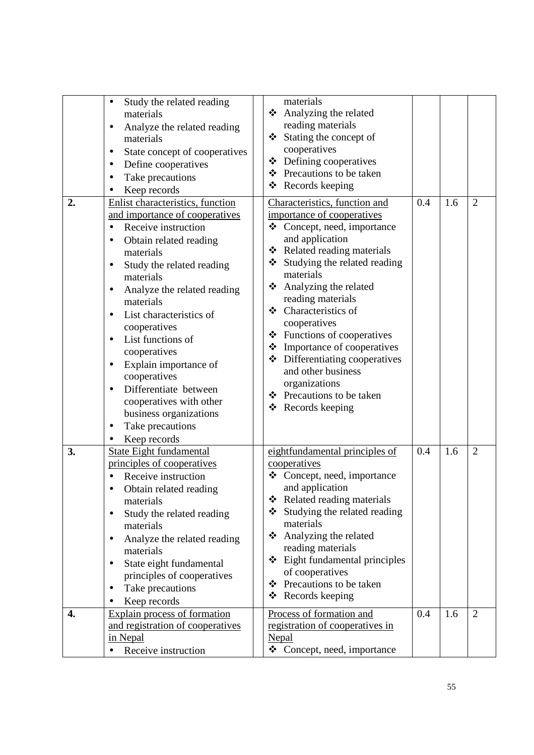| 2. | Study the related reading<br>$\bullet$<br>materials<br>Analyze the related reading<br>$\bullet$<br>materials<br>State concept of cooperatives<br>$\bullet$<br>Define cooperatives<br>$\bullet$<br>Take precautions<br>$\bullet$<br>Keep records<br>Enlist characteristics, function<br>and importance of cooperatives<br>Receive instruction<br>Obtain related reading<br>$\bullet$<br>materials<br>Study the related reading<br>$\bullet$<br>materials<br>Analyze the related reading<br>$\bullet$<br>materials<br>List characteristics of<br>$\bullet$<br>cooperatives<br>List functions of<br>$\bullet$<br>cooperatives<br>Explain importance of<br>$\bullet$<br>cooperatives<br>Differentiate between<br>$\bullet$<br>cooperatives with other<br>business organizations<br>Take precautions<br>٠<br>Keep records<br>$\bullet$ | materials<br>Analyzing the related<br>❖<br>reading materials<br>Stating the concept of<br>❖<br>cooperatives<br>Defining cooperatives<br>❖<br>Precautions to be taken<br>❖<br>❖<br>Records keeping<br>Characteristics, function and<br>importance of cooperatives<br>❖ Concept, need, importance<br>and application<br>Related reading materials<br>❖<br>Studying the related reading<br>❖<br>materials<br>Analyzing the related<br>❖<br>reading materials<br>❖ Characteristics of<br>cooperatives<br>Functions of cooperatives<br>❖<br>Importance of cooperatives<br>❖<br>Differentiating cooperatives<br>❖<br>and other business<br>organizations<br>❖ Precautions to be taken<br>❖ Records keeping | 0.4 | 1.6 | $\overline{2}$ |
|----|-----------------------------------------------------------------------------------------------------------------------------------------------------------------------------------------------------------------------------------------------------------------------------------------------------------------------------------------------------------------------------------------------------------------------------------------------------------------------------------------------------------------------------------------------------------------------------------------------------------------------------------------------------------------------------------------------------------------------------------------------------------------------------------------------------------------------------------|------------------------------------------------------------------------------------------------------------------------------------------------------------------------------------------------------------------------------------------------------------------------------------------------------------------------------------------------------------------------------------------------------------------------------------------------------------------------------------------------------------------------------------------------------------------------------------------------------------------------------------------------------------------------------------------------------|-----|-----|----------------|
| 3. | <b>State Eight fundamental</b><br>principles of cooperatives<br>Receive instruction<br>Obtain related reading<br>$\bullet$<br>materials<br>Study the related reading<br>$\bullet$<br>materials<br>Analyze the related reading<br>materials<br>State eight fundamental<br>$\bullet$<br>principles of cooperatives<br>Take precautions<br>Keep records                                                                                                                                                                                                                                                                                                                                                                                                                                                                              | eightfundamental principles of<br>cooperatives<br>Concept, need, importance<br>❖<br>and application<br>Related reading materials<br>❖<br>Studying the related reading<br>❖<br>materials<br>Analyzing the related<br>❖<br>reading materials<br>$\div$ Eight fundamental principles<br>of cooperatives<br>Precautions to be taken<br>❖<br>Records keeping<br>❖                                                                                                                                                                                                                                                                                                                                         | 0.4 | 1.6 | $\overline{2}$ |
| 4. | <b>Explain process of formation</b><br>and registration of cooperatives<br>in Nepal<br>Receive instruction                                                                                                                                                                                                                                                                                                                                                                                                                                                                                                                                                                                                                                                                                                                        | Process of formation and<br>registration of cooperatives in<br>Nepal<br>$\triangleleft$ Concept, need, importance                                                                                                                                                                                                                                                                                                                                                                                                                                                                                                                                                                                    | 0.4 | 1.6 | $\overline{2}$ |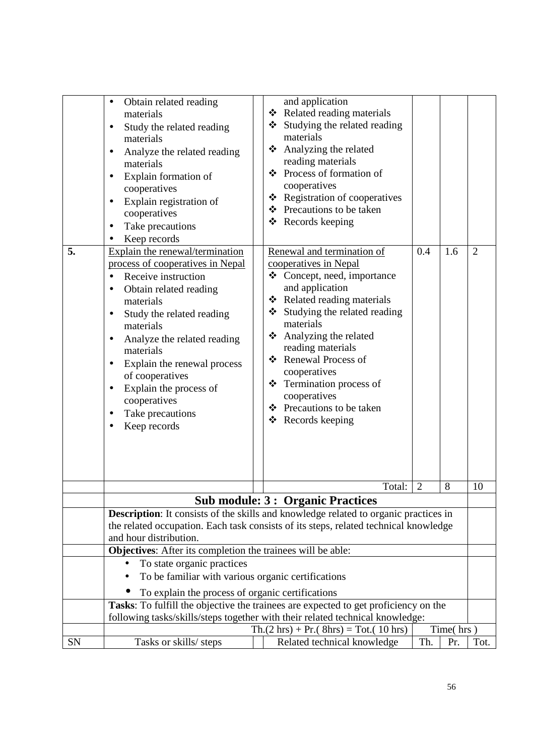| 5. | Obtain related reading<br>$\bullet$<br>materials<br>Study the related reading<br>$\bullet$<br>materials<br>Analyze the related reading<br>$\bullet$<br>materials<br>Explain formation of<br>$\bullet$<br>cooperatives<br>Explain registration of<br>$\bullet$<br>cooperatives<br>Take precautions<br>Keep records<br>Explain the renewal/termination<br>process of cooperatives in Nepal<br>Receive instruction<br>$\bullet$<br>Obtain related reading<br>$\bullet$<br>materials<br>Study the related reading<br>$\bullet$<br>materials<br>Analyze the related reading<br>$\bullet$<br>materials<br>Explain the renewal process<br>$\bullet$<br>of cooperatives<br>Explain the process of<br>$\bullet$<br>cooperatives<br>Take precautions<br>$\bullet$<br>Keep records | and application<br>❖ Related reading materials<br>Studying the related reading<br>❖<br>materials<br>❖ Analyzing the related<br>reading materials<br>Process of formation of<br>❖<br>cooperatives<br>❖ Registration of cooperatives<br>❖ Precautions to be taken<br>❖ Records keeping<br>Renewal and termination of<br>cooperatives in Nepal<br>❖<br>Concept, need, importance<br>and application<br>❖ Related reading materials<br>❖ Studying the related reading<br>materials<br>Analyzing the related<br>❖<br>reading materials<br>❖ Renewal Process of<br>cooperatives<br>❖ Termination process of<br>cooperatives<br>❖ Precautions to be taken<br>❖ Records keeping | 0.4<br>1.6          | $\overline{2}$ |
|----|-------------------------------------------------------------------------------------------------------------------------------------------------------------------------------------------------------------------------------------------------------------------------------------------------------------------------------------------------------------------------------------------------------------------------------------------------------------------------------------------------------------------------------------------------------------------------------------------------------------------------------------------------------------------------------------------------------------------------------------------------------------------------|-------------------------------------------------------------------------------------------------------------------------------------------------------------------------------------------------------------------------------------------------------------------------------------------------------------------------------------------------------------------------------------------------------------------------------------------------------------------------------------------------------------------------------------------------------------------------------------------------------------------------------------------------------------------------|---------------------|----------------|
|    |                                                                                                                                                                                                                                                                                                                                                                                                                                                                                                                                                                                                                                                                                                                                                                         | Total:                                                                                                                                                                                                                                                                                                                                                                                                                                                                                                                                                                                                                                                                  | $\overline{2}$<br>8 | 10             |
|    |                                                                                                                                                                                                                                                                                                                                                                                                                                                                                                                                                                                                                                                                                                                                                                         | <b>Sub module: 3: Organic Practices</b>                                                                                                                                                                                                                                                                                                                                                                                                                                                                                                                                                                                                                                 |                     |                |
|    | and hour distribution.                                                                                                                                                                                                                                                                                                                                                                                                                                                                                                                                                                                                                                                                                                                                                  | <b>Description:</b> It consists of the skills and knowledge related to organic practices in<br>the related occupation. Each task consists of its steps, related technical knowledge                                                                                                                                                                                                                                                                                                                                                                                                                                                                                     |                     |                |
|    | <b>Objectives:</b> After its completion the trainees will be able:<br>To state organic practices<br>To be familiar with various organic certifications<br>To explain the process of organic certifications                                                                                                                                                                                                                                                                                                                                                                                                                                                                                                                                                              |                                                                                                                                                                                                                                                                                                                                                                                                                                                                                                                                                                                                                                                                         |                     |                |
|    |                                                                                                                                                                                                                                                                                                                                                                                                                                                                                                                                                                                                                                                                                                                                                                         | Tasks: To fulfill the objective the trainees are expected to get proficiency on the<br>following tasks/skills/steps together with their related technical knowledge:<br>$\text{Th.}(2 \text{ hrs}) + \text{Pr.}(8 \text{ hrs}) = \text{Tot.}(10 \text{ hrs})$                                                                                                                                                                                                                                                                                                                                                                                                           | Time(hrs)           |                |
| SN | Tasks or skills/ steps                                                                                                                                                                                                                                                                                                                                                                                                                                                                                                                                                                                                                                                                                                                                                  | Related technical knowledge                                                                                                                                                                                                                                                                                                                                                                                                                                                                                                                                                                                                                                             | Th.<br>Pr.          | Tot.           |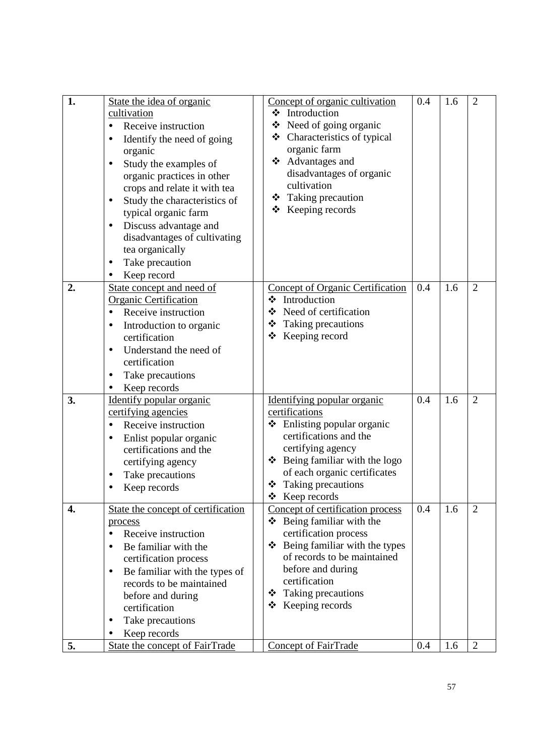| 1. | State the idea of organic<br>cultivation<br>Receive instruction<br>$\bullet$<br>Identify the need of going<br>$\bullet$<br>organic<br>Study the examples of<br>$\bullet$<br>organic practices in other<br>crops and relate it with tea<br>Study the characteristics of<br>typical organic farm<br>Discuss advantage and<br>$\bullet$<br>disadvantages of cultivating<br>tea organically | Concept of organic cultivation<br>❖ Introduction<br>$\triangle$ Need of going organic<br>❖ Characteristics of typical<br>organic farm<br>❖ Advantages and<br>disadvantages of organic<br>cultivation<br>❖ Taking precaution<br>$\div$ Keeping records     | 0.4 | 1.6 | $\overline{2}$ |
|----|-----------------------------------------------------------------------------------------------------------------------------------------------------------------------------------------------------------------------------------------------------------------------------------------------------------------------------------------------------------------------------------------|-----------------------------------------------------------------------------------------------------------------------------------------------------------------------------------------------------------------------------------------------------------|-----|-----|----------------|
|    | Take precaution                                                                                                                                                                                                                                                                                                                                                                         |                                                                                                                                                                                                                                                           |     |     |                |
| 2. | Keep record<br>State concept and need of<br>Organic Certification<br>Receive instruction<br>Introduction to organic<br>$\bullet$<br>certification<br>Understand the need of<br>$\bullet$<br>certification<br>Take precautions<br>Keep records                                                                                                                                           | <b>Concept of Organic Certification</b><br>❖ Introduction<br>❖ Need of certification<br>Taking precautions<br>❖<br>Keeping record<br>❖                                                                                                                    | 0.4 | 1.6 | $\overline{2}$ |
| 3. | Identify popular organic<br>certifying agencies<br>Receive instruction<br>Enlist popular organic<br>$\bullet$<br>certifications and the<br>certifying agency<br>Take precautions<br>Keep records                                                                                                                                                                                        | Identifying popular organic<br>certifications<br>❖ Enlisting popular organic<br>certifications and the<br>certifying agency<br>Being familiar with the logo<br>❖<br>of each organic certificates<br>❖ Taking precautions<br>❖<br>Keep records             | 0.4 | 1.6 | $\overline{2}$ |
| 4. | State the concept of certification<br>process<br>Receive instruction<br>Be familiar with the<br>certification process<br>Be familiar with the types of<br>records to be maintained<br>before and during<br>certification<br>Take precautions<br>Keep records                                                                                                                            | Concept of certification process<br>$\div$ Being familiar with the<br>certification process<br>Being familiar with the types<br>❖<br>of records to be maintained<br>before and during<br>certification<br>Taking precautions<br>❖<br>Keeping records<br>❖ | 0.4 | 1.6 | 2              |
| 5. | <b>State the concept of FairTrade</b>                                                                                                                                                                                                                                                                                                                                                   | <b>Concept of FairTrade</b>                                                                                                                                                                                                                               | 0.4 | 1.6 | $\overline{2}$ |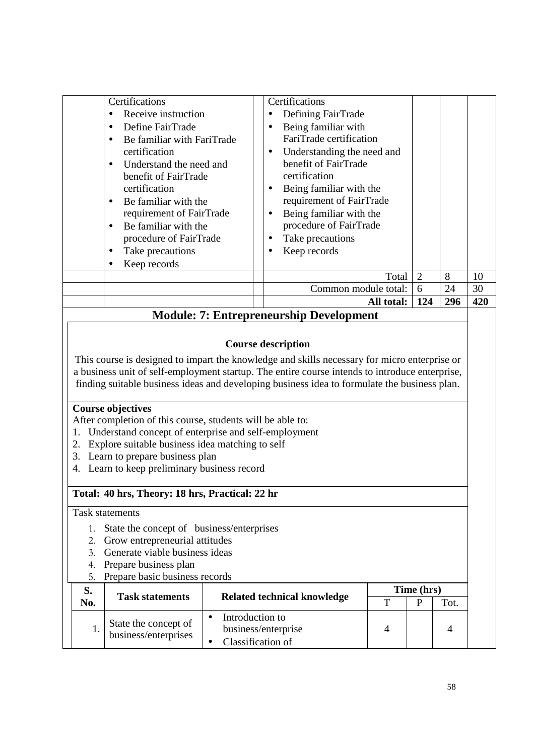| Certifications<br>Receive instruction<br>$\bullet$<br>Define FairTrade<br>$\bullet$<br>Be familiar with FariTrade<br>certification<br>Understand the need and<br>$\bullet$<br>benefit of FairTrade<br>certification<br>Be familiar with the<br>$\bullet$<br>requirement of FairTrade<br>Be familiar with the<br>$\bullet$<br>procedure of FairTrade<br>Take precautions<br>$\bullet$<br>Keep records | Certifications<br>Defining FairTrade<br>$\bullet$<br>Being familiar with<br>$\bullet$<br>FariTrade certification<br>Understanding the need and<br>$\bullet$<br>benefit of FairTrade<br>certification<br>Being familiar with the<br>$\bullet$<br>requirement of FairTrade<br>Being familiar with the<br>$\bullet$<br>procedure of FairTrade<br>Take precautions<br>$\bullet$<br>Keep records<br>$\bullet$ |                |     |     |
|------------------------------------------------------------------------------------------------------------------------------------------------------------------------------------------------------------------------------------------------------------------------------------------------------------------------------------------------------------------------------------------------------|----------------------------------------------------------------------------------------------------------------------------------------------------------------------------------------------------------------------------------------------------------------------------------------------------------------------------------------------------------------------------------------------------------|----------------|-----|-----|
|                                                                                                                                                                                                                                                                                                                                                                                                      | Total                                                                                                                                                                                                                                                                                                                                                                                                    | $\overline{2}$ | 8   | 10  |
|                                                                                                                                                                                                                                                                                                                                                                                                      | Common module total:                                                                                                                                                                                                                                                                                                                                                                                     | 6              | 24  | 30  |
|                                                                                                                                                                                                                                                                                                                                                                                                      |                                                                                                                                                                                                                                                                                                                                                                                                          |                |     |     |
|                                                                                                                                                                                                                                                                                                                                                                                                      | All total:                                                                                                                                                                                                                                                                                                                                                                                               | 124            | 296 | 420 |
|                                                                                                                                                                                                                                                                                                                                                                                                      | <b>Module: 7: Entrepreneurship Development</b><br><b>Course description</b><br>This course is designed to impart the knowledge and skills necessary for micro enterprise or<br>a business unit of self-employment startup. The entire course intends to introduce enterprise,<br>finding suitable business ideas and developing business idea to formulate the business plan.                            |                |     |     |

### **Total: 40 hrs, Theory: 18 hrs, Practical: 22 hr**

Task statements

- 1. State the concept of business/enterprises
- 2. Grow entrepreneurial attitudes
- 3. Generate viable business ideas
- 4. Prepare business plan
- 5. Prepare basic business records

| S.  | <b>Task statements</b>                       | Time (hrs)<br>Related technical knowledge |   |  |      |
|-----|----------------------------------------------|-------------------------------------------|---|--|------|
| No. |                                              |                                           | ௱ |  | Tot. |
|     |                                              | Introduction to                           |   |  |      |
|     | State the concept of<br>business/enterprises | business/enterprise                       |   |  |      |
|     |                                              | Classification of                         |   |  |      |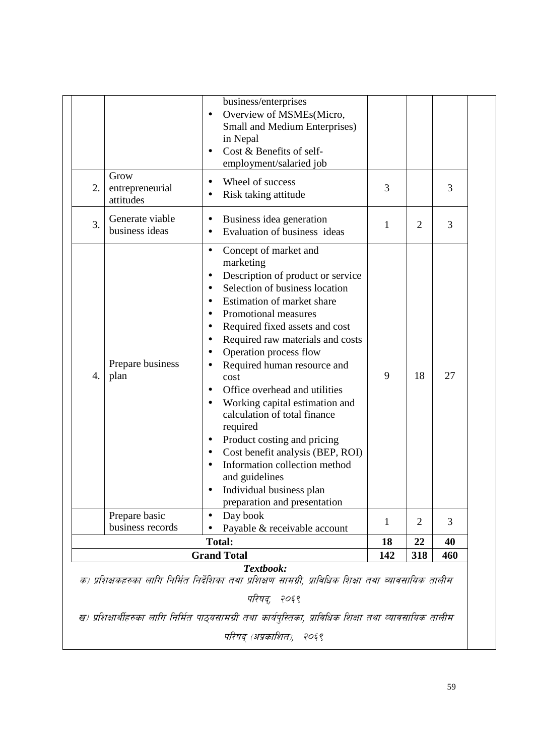|    |                                      | <b>Total:</b><br><b>Grand Total</b>                                                                                                                                                                                                                                                                                                                                                                                                                                                                                                                                                                                                                                                                                                       | 18<br>142 | 22<br>318      | 40<br>460 |
|----|--------------------------------------|-------------------------------------------------------------------------------------------------------------------------------------------------------------------------------------------------------------------------------------------------------------------------------------------------------------------------------------------------------------------------------------------------------------------------------------------------------------------------------------------------------------------------------------------------------------------------------------------------------------------------------------------------------------------------------------------------------------------------------------------|-----------|----------------|-----------|
|    | Prepare basic<br>business records    | Day book<br>$\bullet$<br>Payable & receivable account                                                                                                                                                                                                                                                                                                                                                                                                                                                                                                                                                                                                                                                                                     | 1         | 2              | 3         |
| 4. | Prepare business<br>plan             | Concept of market and<br>$\bullet$<br>marketing<br>Description of product or service<br>$\bullet$<br>Selection of business location<br>$\bullet$<br>Estimation of market share<br>Promotional measures<br>$\bullet$<br>Required fixed assets and cost<br>Required raw materials and costs<br>$\bullet$<br>Operation process flow<br>Required human resource and<br>$\bullet$<br>cost<br>Office overhead and utilities<br>Working capital estimation and<br>$\bullet$<br>calculation of total finance<br>required<br>Product costing and pricing<br>$\bullet$<br>Cost benefit analysis (BEP, ROI)<br>$\bullet$<br>Information collection method<br>and guidelines<br>Individual business plan<br>$\bullet$<br>preparation and presentation | 9         | 18             | 27        |
| 3. | Generate viable<br>business ideas    | Business idea generation<br>$\bullet$<br>Evaluation of business ideas<br>$\bullet$                                                                                                                                                                                                                                                                                                                                                                                                                                                                                                                                                                                                                                                        | 1         | $\overline{2}$ | 3         |
| 2. | Grow<br>entrepreneurial<br>attitudes | Wheel of success<br>$\bullet$<br>Risk taking attitude                                                                                                                                                                                                                                                                                                                                                                                                                                                                                                                                                                                                                                                                                     | 3         |                | 3         |
|    |                                      | Overview of MSMEs(Micro,<br>$\bullet$<br>Small and Medium Enterprises)<br>in Nepal<br>Cost & Benefits of self-<br>employment/salaried job                                                                                                                                                                                                                                                                                                                                                                                                                                                                                                                                                                                                 |           |                |           |

ख) प्रशिक्षार्थीहरुका लागि निर्मित पाठ्यसामग्री तथा कार्यपुस्तिका, प्राविधिक शिक्षा तथा व्यावसायिक तालीम परिषद् (अप्रकाशित), २०६९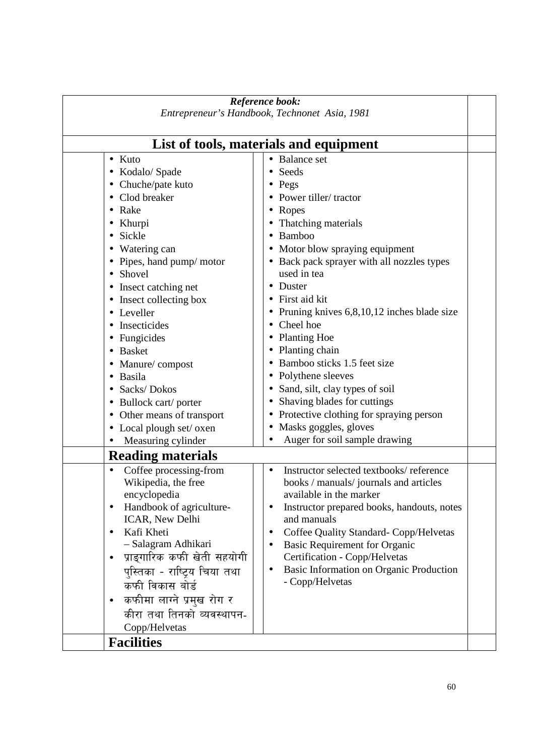| Reference book:<br>Entrepreneur's Handbook, Technonet Asia, 1981 |                                                                         |  |  |  |  |  |  |
|------------------------------------------------------------------|-------------------------------------------------------------------------|--|--|--|--|--|--|
|                                                                  |                                                                         |  |  |  |  |  |  |
| List of tools, materials and equipment                           |                                                                         |  |  |  |  |  |  |
| $\bullet$ Kuto                                                   | <b>Balance set</b>                                                      |  |  |  |  |  |  |
| • Kodalo/ Spade                                                  | Seeds                                                                   |  |  |  |  |  |  |
| • Chuche/pate kuto                                               | Pegs                                                                    |  |  |  |  |  |  |
| Clod breaker                                                     | Power tiller/tractor                                                    |  |  |  |  |  |  |
| Rake<br>$\bullet$                                                | Ropes                                                                   |  |  |  |  |  |  |
| Khurpi                                                           | Thatching materials                                                     |  |  |  |  |  |  |
| Sickle<br>$\bullet$                                              | Bamboo                                                                  |  |  |  |  |  |  |
| Watering can                                                     | Motor blow spraying equipment                                           |  |  |  |  |  |  |
| • Pipes, hand pump/ motor                                        | Back pack sprayer with all nozzles types                                |  |  |  |  |  |  |
| Shovel<br>$\bullet$                                              | used in tea                                                             |  |  |  |  |  |  |
| • Insect catching net                                            | Duster                                                                  |  |  |  |  |  |  |
| Insect collecting box<br>$\bullet$                               | First aid kit                                                           |  |  |  |  |  |  |
| • Leveller                                                       | Pruning knives 6,8,10,12 inches blade size                              |  |  |  |  |  |  |
| Insecticides                                                     | Cheel hoe                                                               |  |  |  |  |  |  |
| Fungicides                                                       | <b>Planting Hoe</b>                                                     |  |  |  |  |  |  |
| <b>Basket</b>                                                    | Planting chain                                                          |  |  |  |  |  |  |
| • Manure/compost                                                 | Bamboo sticks 1.5 feet size                                             |  |  |  |  |  |  |
| Basila                                                           | Polythene sleeves                                                       |  |  |  |  |  |  |
| Sacks/Dokos                                                      | Sand, silt, clay types of soil                                          |  |  |  |  |  |  |
| Bullock cart/ porter                                             | Shaving blades for cuttings                                             |  |  |  |  |  |  |
| Other means of transport                                         | Protective clothing for spraying person                                 |  |  |  |  |  |  |
| • Local plough set/oxen                                          | Masks goggles, gloves                                                   |  |  |  |  |  |  |
| Measuring cylinder                                               | Auger for soil sample drawing                                           |  |  |  |  |  |  |
| <b>Reading materials</b>                                         |                                                                         |  |  |  |  |  |  |
| Coffee processing-from                                           | Instructor selected textbooks/reference                                 |  |  |  |  |  |  |
| Wikipedia, the free                                              | books / manuals/ journals and articles                                  |  |  |  |  |  |  |
| encyclopedia                                                     | available in the marker                                                 |  |  |  |  |  |  |
| Handbook of agriculture-                                         | Instructor prepared books, handouts, notes                              |  |  |  |  |  |  |
| ICAR, New Delhi                                                  | and manuals                                                             |  |  |  |  |  |  |
| Kafi Kheti<br>$\bullet$                                          | Coffee Quality Standard-Copp/Helvetas<br>٠                              |  |  |  |  |  |  |
| - Salagram Adhikari                                              | <b>Basic Requirement for Organic</b>                                    |  |  |  |  |  |  |
| प्राङ्गारिक कफी खेती सहयोगी<br>$\bullet$                         | Certification - Copp/Helvetas                                           |  |  |  |  |  |  |
| पुस्तिका - राष्ट्रिय चिया तथा<br>कफी विकास बोर्ड                 | Basic Information on Organic Production<br>$\bullet$<br>- Copp/Helvetas |  |  |  |  |  |  |
| कफीमा लाग्ने प्रमुख रोग र<br>$\bullet$                           |                                                                         |  |  |  |  |  |  |
| कीरा तथा तिनको व्यवस्थापन-                                       |                                                                         |  |  |  |  |  |  |
|                                                                  |                                                                         |  |  |  |  |  |  |
| Copp/Helvetas                                                    |                                                                         |  |  |  |  |  |  |
| <b>Facilities</b>                                                |                                                                         |  |  |  |  |  |  |